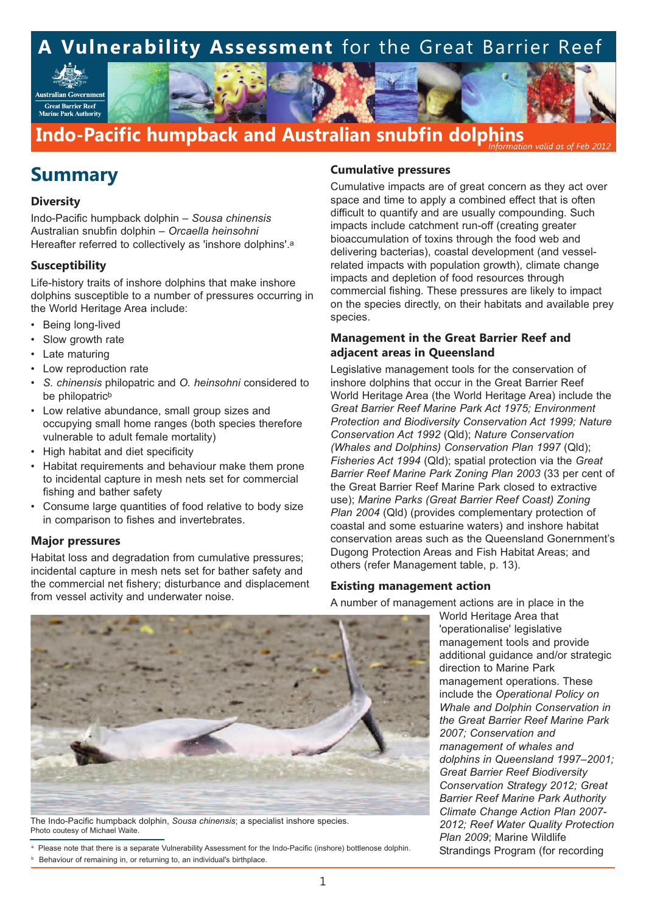Australian Governmen **Great Barrier Reef**<br>Marine Park Authority

## **Indo-Pacific humpback and Australian snubfin dolphins** *Information valid as of Feb 2012*

# **Summary**

### **Diversity**

Indo-Pacific humpback dolphin – *Sousa chinensis* Australian snubfin dolphin – *Orcaella heinsohni* Hereafter referred to collectively as 'inshore dolphins'.a

## **Susceptibility**

Life-history traits of inshore dolphins that make inshore dolphins susceptible to a number of pressures occurring in the World Heritage Area include:

- Being long-lived
- Slow growth rate
- Late maturing
- Low reproduction rate
- *S. chinensis* philopatric and *O. heinsohni* considered to be philopatric<sup>b</sup>
- Low relative abundance, small group sizes and occupying small home ranges (both species therefore vulnerable to adult female mortality)
- High habitat and diet specificity
- Habitat requirements and behaviour make them prone to incidental capture in mesh nets set for commercial fishing and bather safety
- Consume large quantities of food relative to body size in comparison to fishes and invertebrates.

### **Major pressures**

Habitat loss and degradation from cumulative pressures; incidental capture in mesh nets set for bather safety and the commercial net fishery; disturbance and displacement from vessel activity and underwater noise.

## **Cumulative pressures**

Cumulative impacts are of great concern as they act over space and time to apply a combined effect that is often difficult to quantify and are usually compounding. Such impacts include catchment run-off (creating greater bioaccumulation of toxins through the food web and delivering bacterias), coastal development (and vesselrelated impacts with population growth), climate change impacts and depletion of food resources through commercial fishing. These pressures are likely to impact on the species directly, on their habitats and available prey species.

## **Management in the Great Barrier Reef and adjacent areas in Queensland**

Legislative management tools for the conservation of inshore dolphins that occur in the Great Barrier Reef World Heritage Area (the World Heritage Area) include the *Great Barrier Reef Marine Park Act 1975; Environment Protection and Biodiversity Conservation Act 1999; Nature Conservation Act 1992* (Qld); *Nature Conservation (Whales and Dolphins) Conservation Plan 1997* (Qld); *Fisheries Act 1994* (Qld); spatial protection via the *Great Barrier Reef Marine Park Zoning Plan 2003* (33 per cent of the Great Barrier Reef Marine Park closed to extractive use); *Marine Parks (Great Barrier Reef Coast) Zoning Plan 2004* (Qld) (provides complementary protection of coastal and some estuarine waters) and inshore habitat conservation areas such as the Queensland Gonernment's Dugong Protection Areas and Fish Habitat Areas; and others (refer Management table, p. 13).

## **Existing management action**

A number of management actions are in place in the

World Heritage Area that 'operationalise' legislative management tools and provide additional guidance and/or strategic direction to Marine Park management operations. These include the *Operational Policy on Whale and Dolphin Conservation in the Great Barrier Reef Marine Park 2007; Conservation and management of whales and dolphins in Queensland 1997–2001; Great Barrier Reef Biodiversity Conservation Strategy 2012; Great Barrier Reef Marine Park Authority Climate Change Action Plan 2007- 2012; Reef Water Quality Protection Plan 2009*; Marine Wildlife Strandings Program (for recording



The Indo-Pacific humpback dolphin, *Sousa chinensis*; a specialist inshore species. Photo coutesy of Michael Waite.

Please note that there is a separate Vulnerability Assessment for the Indo-Pacific (inshore) bottlenose dolphin.

<sup>b</sup> Behaviour of remaining in, or returning to, an individual's birthplace.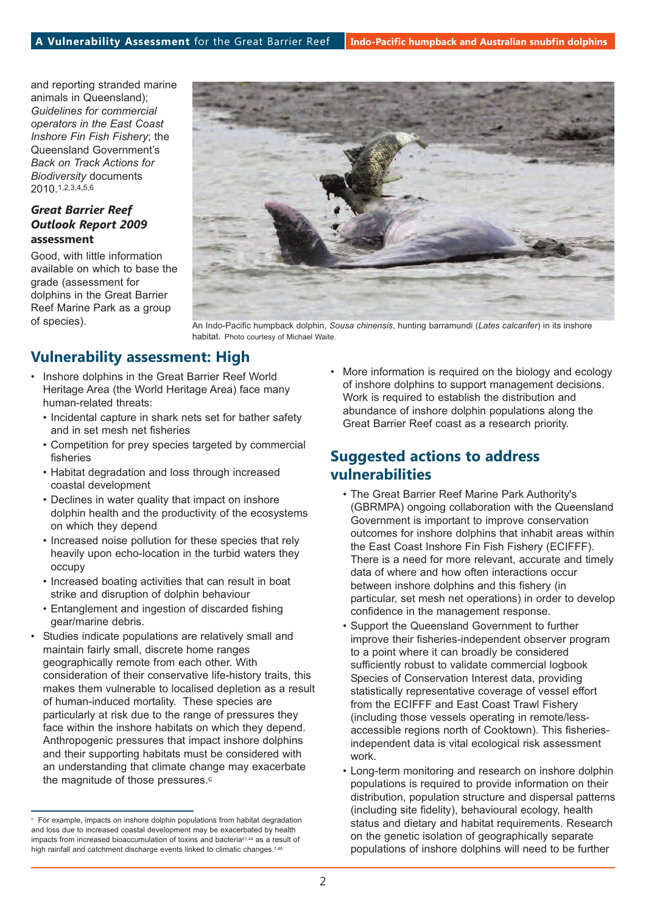and reporting stranded marine animals in Queensland); *Guidelines for commercial operators in the East Coast Inshore Fin Fish Fishery*; the Queensland Government's *Back on Track Actions for Biodiversity* documents 2010.1,2,3,4,5,6

## *Great Barrier Reef Outlook Report 2009* **assessment**

Good, with little information available on which to base the grade (assessment for dolphins in the Great Barrier Reef Marine Park as a group of species).



An Indo-Pacific humpback dolphin, *Sousa chinensis*, hunting barramundi (*Lates calcarifer*) in its inshore habitat. Photo courtesy of Michael Waite.

# **Vulnerability assessment: High**

- Inshore dolphins in the Great Barrier Reef World Heritage Area (the World Heritage Area) face many human-related threats:
	- Incidental capture in shark nets set for bather safety and in set mesh net fisheries
	- Competition for prey species targeted by commercial fisheries
	- Habitat degradation and loss through increased coastal development
	- Declines in water quality that impact on inshore dolphin health and the productivity of the ecosystems on which they depend
	- Increased noise pollution for these species that rely heavily upon echo-location in the turbid waters they occupy
	- Increased boating activities that can result in boat strike and disruption of dolphin behaviour
	- Entanglement and ingestion of discarded fishing gear/marine debris.
- Studies indicate populations are relatively small and maintain fairly small, discrete home ranges geographically remote from each other. With consideration of their conservative life-history traits, this makes them vulnerable to localised depletion as a result of human-induced mortality. These species are particularly at risk due to the range of pressures they face within the inshore habitats on which they depend. Anthropogenic pressures that impact inshore dolphins and their supporting habitats must be considered with an understanding that climate change may exacerbate the magnitude of those pressures.<sup>c</sup>

• More information is required on the biology and ecology of inshore dolphins to support management decisions. Work is required to establish the distribution and abundance of inshore dolphin populations along the Great Barrier Reef coast as a research priority.

## **Suggested actions to address vulnerabilities**

- The Great Barrier Reef Marine Park Authority's (GBRMPA) ongoing collaboration with the Queensland Government is important to improve conservation outcomes for inshore dolphins that inhabit areas within the East Coast Inshore Fin Fish Fishery (ECIFFF). There is a need for more relevant, accurate and timely data of where and how often interactions occur between inshore dolphins and this fishery (in particular, set mesh net operations) in order to develop confidence in the management response.
- Support the Queensland Government to further improve their fisheries-independent observer program to a point where it can broadly be considered sufficiently robust to validate commercial logbook Species of Conservation Interest data, providing statistically representative coverage of vessel effort from the ECIFFF and East Coast Trawl Fishery (including those vessels operating in remote/lessaccessible regions north of Cooktown). This fisheriesindependent data is vital ecological risk assessment work.
- Long-term monitoring and research on inshore dolphin populations is required to provide information on their distribution, population structure and dispersal patterns (including site fidelity), behavioural ecology, health status and dietary and habitat requirements. Research on the genetic isolation of geographically separate populations of inshore dolphins will need to be further

For example, impacts on inshore dolphin populations from habitat degradation and loss due to increased coastal development may be exacerbated by health impacts from increased bioaccumulation of toxins and bacteria51,44 as a result of high rainfall and catchment discharge events linked to climatic changes.<sup>7,48</sup>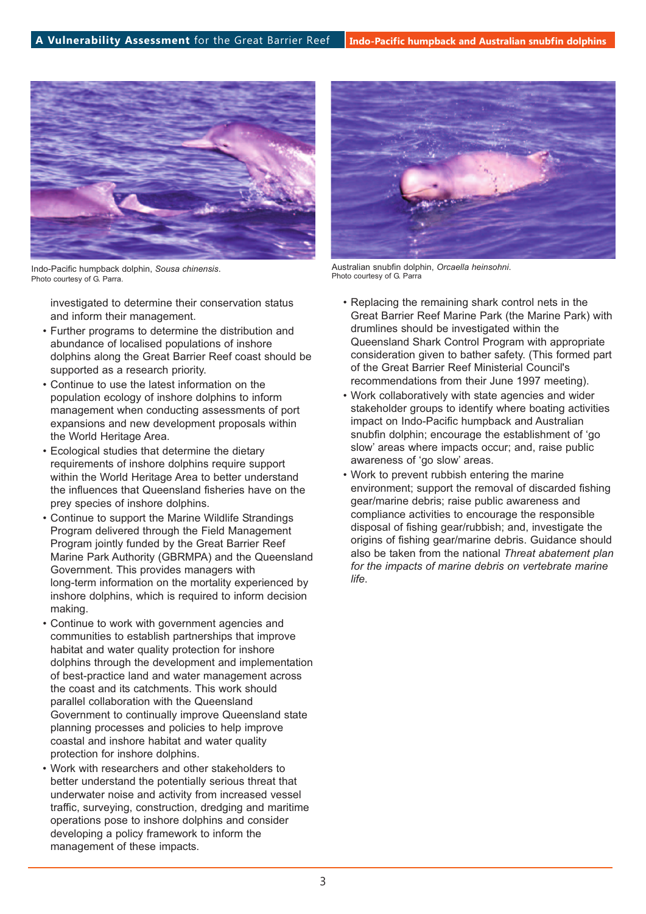

Indo-Pacific humpback dolphin, *Sousa chinensis*. Photo courtesy of G. Parra.

investigated to determine their conservation status and inform their management.

- Further programs to determine the distribution and abundance of localised populations of inshore dolphins along the Great Barrier Reef coast should be supported as a research priority.
- Continue to use the latest information on the population ecology of inshore dolphins to inform management when conducting assessments of port expansions and new development proposals within the World Heritage Area.
- Ecological studies that determine the dietary requirements of inshore dolphins require support within the World Heritage Area to better understand the influences that Queensland fisheries have on the prey species of inshore dolphins.
- Continue to support the Marine Wildlife Strandings Program delivered through the Field Management Program jointly funded by the Great Barrier Reef Marine Park Authority (GBRMPA) and the Queensland Government. This provides managers with long-term information on the mortality experienced by inshore dolphins, which is required to inform decision making.
- Continue to work with government agencies and communities to establish partnerships that improve habitat and water quality protection for inshore dolphins through the development and implementation of best-practice land and water management across the coast and its catchments. This work should parallel collaboration with the Queensland Government to continually improve Queensland state planning processes and policies to help improve coastal and inshore habitat and water quality protection for inshore dolphins.
- Work with researchers and other stakeholders to better understand the potentially serious threat that underwater noise and activity from increased vessel traffic, surveying, construction, dredging and maritime operations pose to inshore dolphins and consider developing a policy framework to inform the management of these impacts.



Australian snubfin dolphin, *Orcaella heinsohni*. Photo courtesy of G. Parra

- Replacing the remaining shark control nets in the Great Barrier Reef Marine Park (the Marine Park) with drumlines should be investigated within the Queensland Shark Control Program with appropriate consideration given to bather safety. (This formed part of the Great Barrier Reef Ministerial Council's recommendations from their June 1997 meeting).
- Work collaboratively with state agencies and wider stakeholder groups to identify where boating activities impact on Indo-Pacific humpback and Australian snubfin dolphin; encourage the establishment of 'go slow' areas where impacts occur; and, raise public awareness of 'go slow' areas.
- Work to prevent rubbish entering the marine environment; support the removal of discarded fishing gear/marine debris; raise public awareness and compliance activities to encourage the responsible disposal of fishing gear/rubbish; and, investigate the origins of fishing gear/marine debris. Guidance should also be taken from the national *Threat abatement plan for the impacts of marine debris on vertebrate marine life*.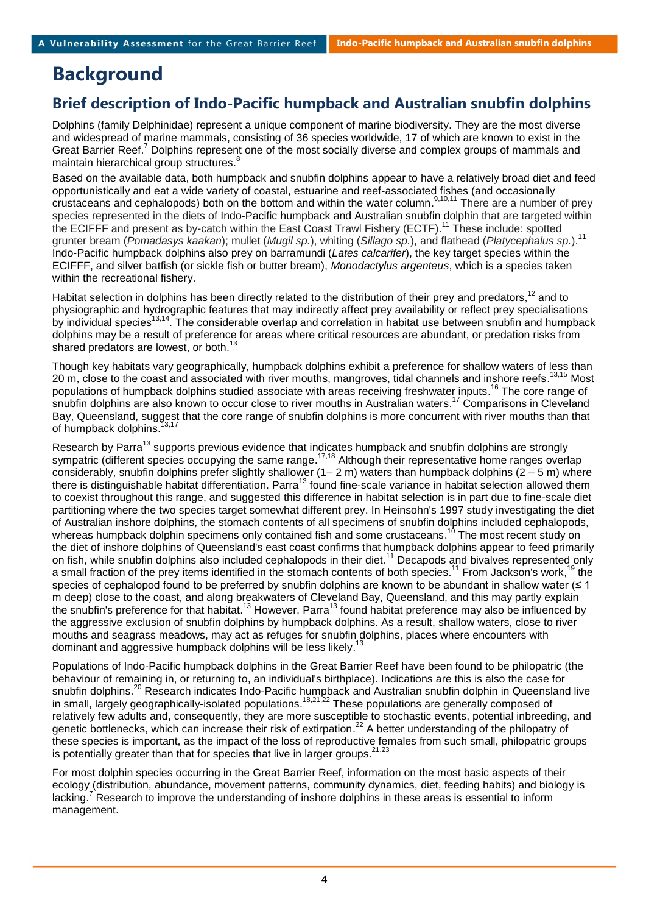# **Background**

## **Brief description of Indo-Pacific humpback and Australian snubfin dolphins**

Dolphins (family Delphinidae) represent a unique component of marine biodiversity. They are the most diverse and widespread of marine mammals, consisting of 36 species worldwide, 17 of which are known to exist in the Great Barrier Reef.<sup>7</sup> Dolphins represent one of the most socially diverse and complex groups of mammals and maintain hierarchical group structures.<sup>8</sup>

Based on the available data, both humpback and snubfin dolphins appear to have a relatively broad diet and feed opportunistically and eat a wide variety of coastal, estuarine and reef-associated fishes (and occasionally crustaceans and cephalopods) both on the bottom and within the water column.<sup>9,10,11</sup> There are a number of prey species represented in the diets of Indo-Pacific humpback and Australian snubfin dolphin that are targeted within the ECIFFF and present as by-catch within the East Coast Trawl Fishery (ECTF).<sup>11</sup> These include: spotted grunter bream (*Pomadasys kaakan*); mullet (*Mugil sp.*), whiting (*Sillago sp.*), and flathead (*Platycephalus sp.*). 11 Indo-Pacific humpback dolphins also prey on barramundi (*Lates calcarifer*), the key target species within the ECIFFF, and silver batfish (or sickle fish or butter bream), *Monodactylus argenteus*, which is a species taken within the recreational fishery.

Habitat selection in dolphins has been directly related to the distribution of their prey and predators,<sup>12</sup> and to physiographic and hydrographic features that may indirectly affect prey availability or reflect prey specialisations by individual species<sup>13,14</sup>. The considerable overlap and correlation in habitat use between snubfin and humpback dolphins may be a result of preference for areas where critical resources are abundant, or predation risks from shared predators are lowest, or both.<sup>13</sup>

Though key habitats vary geographically, humpback dolphins exhibit a preference for shallow waters of less than 20 m, close to the coast and associated with river mouths, mangroves, tidal channels and inshore reefs.<sup>13,15</sup> Most populations of humpback dolphins studied associate with areas receiving freshwater inputs.<sup>16</sup> The core range of snubfin dolphins are also known to occur close to river mouths in Australian waters. <sup>17</sup> Comparisons in Cleveland Bay, Queensland, suggest that the core range of snubfin dolphins is more concurrent with river mouths than that of humpback dolphins. 13,17

Research by Parra<sup>13</sup> supports previous evidence that indicates humpback and snubfin dolphins are strongly sympatric (different species occupying the same range.<sup>17,18</sup> Although their representative home ranges overlap considerably, snubfin dolphins prefer slightly shallower  $(1-2 m)$  waters than humpback dolphins  $(2-5 m)$  where there is distinguishable habitat differentiation. Parra<sup>13</sup> found fine-scale variance in habitat selection allowed them to coexist throughout this range, and suggested this difference in habitat selection is in part due to fine-scale diet partitioning where the two species target somewhat different prey. In Heinsohn's 1997 study investigating the diet of Australian inshore dolphins, the stomach contents of all specimens of snubfin dolphins included cephalopods, whereas humpback dolphin specimens only contained fish and some crustaceans.<sup>10</sup> The most recent study on the diet of inshore dolphins of Queensland's east coast confirms that humpback dolphins appear to feed primarily on fish, while snubfin dolphins also included cephalopods in their diet.<sup>11</sup> Decapods and bivalves represented only a small fraction of the prey items identified in the stomach contents of both species.<sup>11</sup> From Jackson's work,<sup>19</sup> the species of cephalopod found to be preferred by snubfin dolphins are known to be abundant in shallow water (≤ 1 m deep) close to the coast, and along breakwaters of Cleveland Bay, Queensland, and this may partly explain the snubfin's preference for that habitat.<sup>13</sup> However, Parra<sup>13</sup> found habitat preference may also be influenced by the aggressive exclusion of snubfin dolphins by humpback dolphins. As a result, shallow waters, close to river mouths and seagrass meadows, may act as refuges for snubfin dolphins, places where encounters with dominant and aggressive humpback dolphins will be less likely.<sup>13</sup>

Populations of Indo-Pacific humpback dolphins in the Great Barrier Reef have been found to be philopatric (the behaviour of remaining in, or returning to, an individual's birthplace). Indications are this is also the case for snubfin dolphins.<sup>20</sup> Research indicates Indo-Pacific humpback and Australian snubfin dolphin in Queensland live in small, largely geographically-isolated populations.<sup>18,21,22</sup> These populations are generally composed of relatively few adults and, consequently, they are more susceptible to stochastic events, potential inbreeding, and genetic bottlenecks, which can increase their risk of extirpation.<sup>22</sup> A better understanding of the philopatry of these species is important, as the impact of the loss of reproductive females from such small, philopatric groups is potentially greater than that for species that live in larger groups.  $^{21,23}$ 

For most dolphin species occurring in the Great Barrier Reef, information on the most basic aspects of their ecology (distribution, abundance, movement patterns, community dynamics, diet, feeding habits) and biology is lacking.<sup>7</sup> Research to improve the understanding of inshore dolphins in these areas is essential to inform management.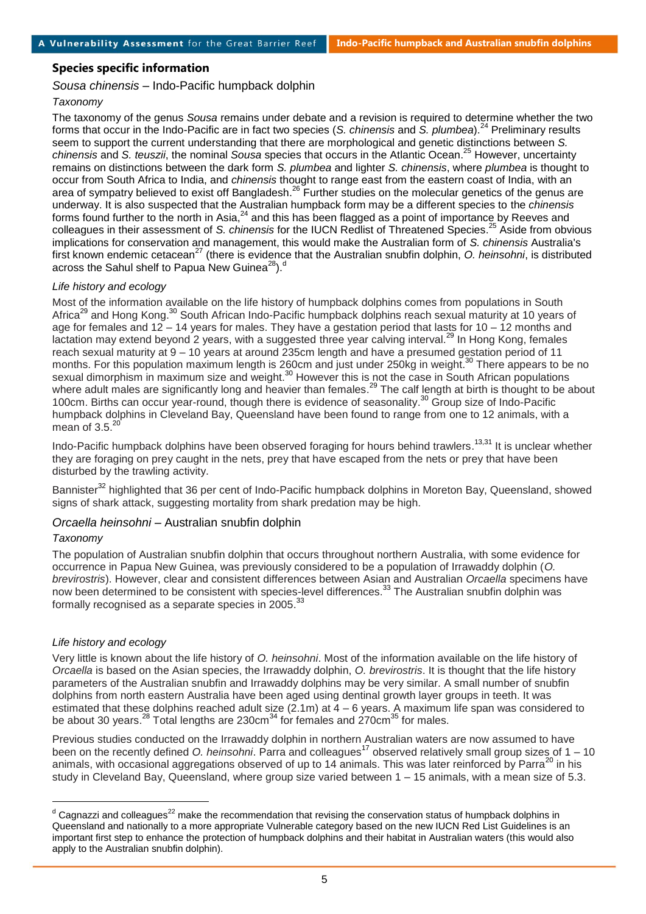## **Species specific information**

*Sousa chinensis* – Indo-Pacific humpback dolphin

## *Taxonomy*

The taxonomy of the genus *Sousa* remains under debate and a revision is required to determine whether the two forms that occur in the Indo-Pacific are in fact two species (*S. chinensis* and *S. plumbea*). <sup>24</sup> Preliminary results seem to support the current understanding that there are morphological and genetic distinctions between *S. chinensis* and *S. teuszii*, the nominal *Sousa* species that occurs in the Atlantic Ocean. <sup>25</sup> However, uncertainty remains on distinctions between the dark form *S. plumbea* and lighter *S. chinensis*, where *plumbea* is thought to occur from South Africa to India, and *chinensis* thought to range east from the eastern coast of India, with an area of sympatry believed to exist off Bangladesh.<sup>26</sup> Further studies on the molecular genetics of the genus are underway. It is also suspected that the Australian humpback form may be a different species to the *chinensis* forms found further to the north in Asia,<sup>24</sup> and this has been flagged as a point of importance by Reeves and colleagues in their assessment of *S. chinensis* for the IUCN Redlist of Threatened Species. <sup>25</sup> Aside from obvious implications for conservation and management, this would make the Australian form of *S. chinensis* Australia's first known endemic cetacean<sup>27</sup> (there is evidence that the Australian snubfin dolphin, *O. heinsohni*, is distributed across the Sahul shelf to Papua New Guinea<sup>28</sup>).<sup>d</sup>

## *Life history and ecology*

Most of the information available on the life history of humpback dolphins comes from populations in South Africa<sup>29</sup> and Hong Kong.<sup>30</sup> South African Indo-Pacific humpback dolphins reach sexual maturity at 10 years of age for females and 12 – 14 years for males. They have a gestation period that lasts for 10 – 12 months and lactation may extend beyond 2 years, with a suggested three year calving interval.<sup>29</sup> In Hong Kong, females reach sexual maturity at 9 – 10 years at around 235cm length and have a presumed gestation period of 11 months. For this population maximum length is 260cm and just under 250kg in weight.<sup>30</sup> There appears to be no sexual dimorphism in maximum size and weight.<sup>30</sup> However this is not the case in South African populations where adult males are significantly long and heavier than females.<sup>29</sup> The calf length at birth is thought to be about 100cm. Births can occur year-round, though there is evidence of seasonality. <sup>30</sup> Group size of Indo-Pacific humpback dolphins in Cleveland Bay, Queensland have been found to range from one to 12 animals, with a mean of  $3.5.^{20}$ 

Indo-Pacific humpback dolphins have been observed foraging for hours behind trawlers.<sup>13,31</sup> It is unclear whether they are foraging on prey caught in the nets, prey that have escaped from the nets or prey that have been disturbed by the trawling activity.

Bannister<sup>32</sup> highlighted that 36 per cent of Indo-Pacific humpback dolphins in Moreton Bay, Queensland, showed signs of shark attack, suggesting mortality from shark predation may be high.

## *Orcaella heinsohni* – Australian snubfin dolphin

## *Taxonomy*

l

The population of Australian snubfin dolphin that occurs throughout northern Australia, with some evidence for occurrence in Papua New Guinea, was previously considered to be a population of Irrawaddy dolphin (*O. brevirostris*). However, clear and consistent differences between Asian and Australian *Orcaella* specimens have now been determined to be consistent with species-level differences.<sup>33</sup> The Australian snubfin dolphin was formally recognised as a separate species in 2005.<sup>33</sup>

## *Life history and ecology*

Very little is known about the life history of *O. heinsohni*. Most of the information available on the life history of *Orcaella* is based on the Asian species, the Irrawaddy dolphin, *O. brevirostris*. It is thought that the life history parameters of the Australian snubfin and Irrawaddy dolphins may be very similar. A small number of snubfin dolphins from north eastern Australia have been aged using dentinal growth layer groups in teeth. It was estimated that these dolphins reached adult size (2.1m) at  $4 - 6$  years. A maximum life span was considered to be about 30 years.<sup>28</sup> Total lengths are 230cm<sup>34</sup> for females and 270cm<sup>35</sup> for males.

Previous studies conducted on the Irrawaddy dolphin in northern Australian waters are now assumed to have been on the recently defined *O. heinsohni*. Parra and colleagues<sup>17</sup> observed relatively small group sizes of 1 – 10 animals, with occasional aggregations observed of up to 14 animals. This was later reinforced by Parra<sup>20</sup> in his study in Cleveland Bay, Queensland, where group size varied between 1 – 15 animals, with a mean size of 5.3.

 $^{\text{d}}$  Cagnazzi and colleagues<sup>22</sup> make the recommendation that revising the conservation status of humpback dolphins in Queensland and nationally to a more appropriate Vulnerable category based on the new IUCN Red List Guidelines is an important first step to enhance the protection of humpback dolphins and their habitat in Australian waters (this would also apply to the Australian snubfin dolphin).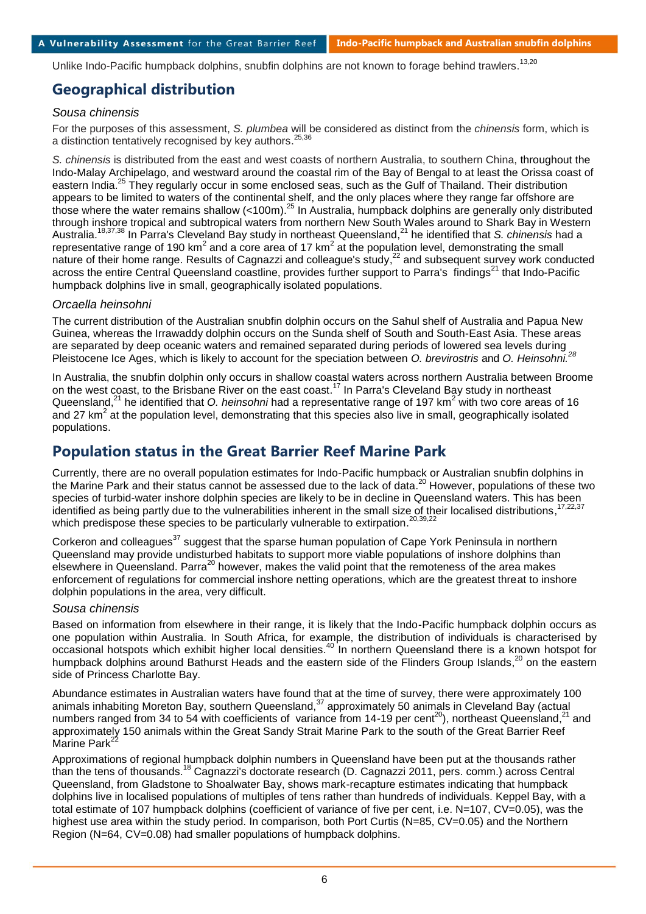Unlike Indo-Pacific humpback dolphins, snubfin dolphins are not known to forage behind trawlers.<sup>13,20</sup>

## **Geographical distribution**

## *Sousa chinensis*

For the purposes of this assessment, *S. plumbea* will be considered as distinct from the *chinensis* form, which is a distinction tentatively recognised by key authors.<sup>25,36</sup>

*S. chinensis* is distributed from the east and west coasts of northern Australia, to southern China, throughout the Indo-Malay Archipelago, and westward around the coastal rim of the Bay of Bengal to at least the Orissa coast of eastern India.<sup>25</sup> They regularly occur in some enclosed seas, such as the Gulf of Thailand. Their distribution appears to be limited to waters of the continental shelf, and the only places where they range far offshore are those where the water remains shallow (<100m).<sup>25</sup> In Australia, humpback dolphins are generally only distributed through inshore tropical and subtropical waters from northern New South Wales around to Shark Bay in Western Australia. 18,37,38 In Parra's Cleveland Bay study in northeast Queensland, <sup>21</sup> he identified that *S. chinensis* had a representative range of 190 km<sup>2</sup> and a core area of 17 km<sup>2</sup> at the population level, demonstrating the small nature of their home range. Results of Cagnazzi and colleague's study,<sup>22</sup> and subsequent survey work conducted across the entire Central Queensland coastline, provides further support to Parra's findings<sup>21</sup> that Indo-Pacific humpback dolphins live in small, geographically isolated populations.

## *Orcaella heinsohni*

The current distribution of the Australian snubfin dolphin occurs on the Sahul shelf of Australia and Papua New Guinea, whereas the Irrawaddy dolphin occurs on the Sunda shelf of South and South-East Asia. These areas are separated by deep oceanic waters and remained separated during periods of lowered sea levels during Pleistocene Ice Ages, which is likely to account for the speciation between *O. brevirostris* and *O. Heinsohni. 28*

In Australia, the snubfin dolphin only occurs in shallow coastal waters across northern Australia between Broome on the west coast, to the Brisbane River on the east coast.<sup>17</sup> In Parra's Cleveland Bay study in northeast Queensland,<sup>21</sup> he identified that *O. heinsohni* had a representative range of 197 km<sup>2</sup> with two core areas of 16 and 27 km<sup>2</sup> at the population level, demonstrating that this species also live in small, geographically isolated populations.

## **Population status in the Great Barrier Reef Marine Park**

Currently, there are no overall population estimates for Indo-Pacific humpback or Australian snubfin dolphins in the Marine Park and their status cannot be assessed due to the lack of data.<sup>20</sup> However, populations of these two species of turbid-water inshore dolphin species are likely to be in decline in Queensland waters. This has been<br>identified as being partly due to the vulnerabilities inherent in the emall size of their legalized distributi identified as being partly due to the vulnerabilities inherent in the small size of their localised distributions, which predispose these species to be particularly vulnerable to extirpation.<sup>20,39,22</sup>

Corkeron and colleagues<sup>37</sup> suggest that the sparse human population of Cape York Peninsula in northern Queensland may provide undisturbed habitats to support more viable populations of inshore dolphins than elsewhere in Queensland. Parra<sup>20</sup> however, makes the valid point that the remoteness of the area makes enforcement of regulations for commercial inshore netting operations, which are the greatest threat to inshore dolphin populations in the area, very difficult.

### *Sousa chinensis*

Based on information from elsewhere in their range, it is likely that the Indo-Pacific humpback dolphin occurs as one population within Australia. In South Africa, for example, the distribution of individuals is characterised by occasional hotspots which exhibit higher local densities.<sup>40</sup> In northern Queensland there is a known hotspot for humpback dolphins around Bathurst Heads and the eastern side of the Flinders Group Islands,<sup>20</sup> on the eastern side of Princess Charlotte Bay.

Abundance estimates in Australian waters have found that at the time of survey, there were approximately 100 animals inhabiting Moreton Bay, southern Queensland,<sup>37</sup> approximately 50 animals in Cleveland Bay (actual numbers ranged from 34 to 54 with coefficients of variance from 14-19 per cent<sup>20</sup>), northeast Queensland,<sup>21</sup> and approximately 150 animals within the Great Sandy Strait Marine Park to the south of the Great Barrier Reef Marine Park<sup>22</sup>

Approximations of regional humpback dolphin numbers in Queensland have been put at the thousands rather than the tens of thousands. <sup>18</sup> Cagnazzi's doctorate research (D. Cagnazzi 2011, pers. comm.) across Central Queensland, from Gladstone to Shoalwater Bay, shows mark-recapture estimates indicating that humpback dolphins live in localised populations of multiples of tens rather than hundreds of individuals. Keppel Bay, with a total estimate of 107 humpback dolphins (coefficient of variance of five per cent, i.e. N=107, CV=0.05), was the highest use area within the study period. In comparison, both Port Curtis (N=85, CV=0.05) and the Northern Region (N=64, CV=0.08) had smaller populations of humpback dolphins.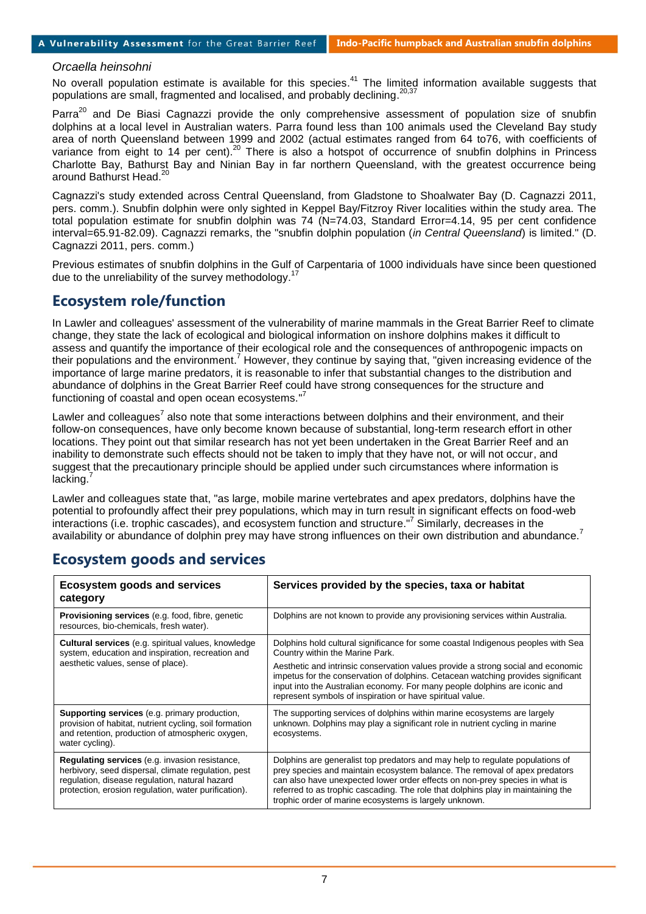### *Orcaella heinsohni*

No overall population estimate is available for this species.<sup>41</sup> The limited information available suggests that  $n$  and  $n$  and  $n$  and  $n$  and  $n$  and  $n$  and  $n$  and  $n$  and  $n$  and  $n$  and  $n$  and  $n$  and  $n$  and  $n$ populations are small, fragmented and localised, and probably declining.

Parra<sup>20</sup> and De Biasi Cagnazzi provide the only comprehensive assessment of population size of snubfin dolphins at a local level in Australian waters. Parra found less than 100 animals used the Cleveland Bay study area of north Queensland between 1999 and 2002 (actual estimates ranged from 64 to76, with coefficients of variance from eight to 14 per cent).<sup>20</sup> There is also a hotspot of occurrence of snubfin dolphins in Princess Charlotte Bay, Bathurst Bay and Ninian Bay in far northern Queensland, with the greatest occurrence being around Bathurst Head. 20

Cagnazzi's study extended across Central Queensland, from Gladstone to Shoalwater Bay (D. Cagnazzi 2011, pers. comm.). Snubfin dolphin were only sighted in Keppel Bay/Fitzroy River localities within the study area. The total population estimate for snubfin dolphin was 74 (N=74.03, Standard Error=4.14, 95 per cent confidence interval=65.91-82.09). Cagnazzi remarks, the "snubfin dolphin population (*in Central Queensland*) is limited." (D. Cagnazzi 2011, pers. comm.)

Previous estimates of snubfin dolphins in the Gulf of Carpentaria of 1000 individuals have since been questioned due to the unreliability of the survey methodology.<sup>17</sup>

## **Ecosystem role/function**

In Lawler and colleagues' assessment of the vulnerability of marine mammals in the Great Barrier Reef to climate change, they state the lack of ecological and biological information on inshore dolphins makes it difficult to assess and quantify the importance of their ecological role and the consequences of anthropogenic impacts on their populations and the environment.<sup>7</sup> However, they continue by saying that, "given increasing evidence of the importance of large marine predators, it is reasonable to infer that substantial changes to the distribution and abundance of dolphins in the Great Barrier Reef could have strong consequences for the structure and functioning of coastal and open ocean ecosystems."<sup>7</sup>

Lawler and colleagues<sup>7</sup> also note that some interactions between dolphins and their environment, and their follow-on consequences, have only become known because of substantial, long-term research effort in other locations. They point out that similar research has not yet been undertaken in the Great Barrier Reef and an inability to demonstrate such effects should not be taken to imply that they have not, or will not occur, and suggest that the precautionary principle should be applied under such circumstances where information is  $l$ acking. $<sup>7</sup>$ </sup>

Lawler and colleagues state that, "as large, mobile marine vertebrates and apex predators, dolphins have the potential to profoundly affect their prey populations, which may in turn result in significant effects on food-web interactions (i.e. trophic cascades), and ecosystem function and structure."<sup>7</sup> Similarly, decreases in the availability or abundance of dolphin prey may have strong influences on their own distribution and abundance.<sup>7</sup>

| <b>Ecosystem goods and services</b><br>category                                                                                                                                                                        | Services provided by the species, taxa or habitat                                                                                                                                                                                                                                                                                                                                        |
|------------------------------------------------------------------------------------------------------------------------------------------------------------------------------------------------------------------------|------------------------------------------------------------------------------------------------------------------------------------------------------------------------------------------------------------------------------------------------------------------------------------------------------------------------------------------------------------------------------------------|
| <b>Provisioning services</b> (e.g. food, fibre, genetic<br>resources, bio-chemicals, fresh water).                                                                                                                     | Dolphins are not known to provide any provisioning services within Australia.                                                                                                                                                                                                                                                                                                            |
| <b>Cultural services</b> (e.g. spiritual values, knowledge<br>system, education and inspiration, recreation and                                                                                                        | Dolphins hold cultural significance for some coastal Indigenous peoples with Sea<br>Country within the Marine Park.                                                                                                                                                                                                                                                                      |
| aesthetic values, sense of place).                                                                                                                                                                                     | Aesthetic and intrinsic conservation values provide a strong social and economic<br>impetus for the conservation of dolphins. Cetacean watching provides significant<br>input into the Australian economy. For many people dolphins are iconic and<br>represent symbols of inspiration or have spiritual value.                                                                          |
| <b>Supporting services</b> (e.g. primary production,<br>provision of habitat, nutrient cycling, soil formation<br>and retention, production of atmospheric oxygen,<br>water cycling).                                  | The supporting services of dolphins within marine ecosystems are largely<br>unknown. Dolphins may play a significant role in nutrient cycling in marine<br>ecosystems.                                                                                                                                                                                                                   |
| <b>Regulating services</b> (e.g. invasion resistance,<br>herbivory, seed dispersal, climate regulation, pest<br>regulation, disease regulation, natural hazard<br>protection, erosion regulation, water purification). | Dolphins are generalist top predators and may help to regulate populations of<br>prey species and maintain ecosystem balance. The removal of apex predators<br>can also have unexpected lower order effects on non-prey species in what is<br>referred to as trophic cascading. The role that dolphins play in maintaining the<br>trophic order of marine ecosystems is largely unknown. |

## **Ecosystem goods and services**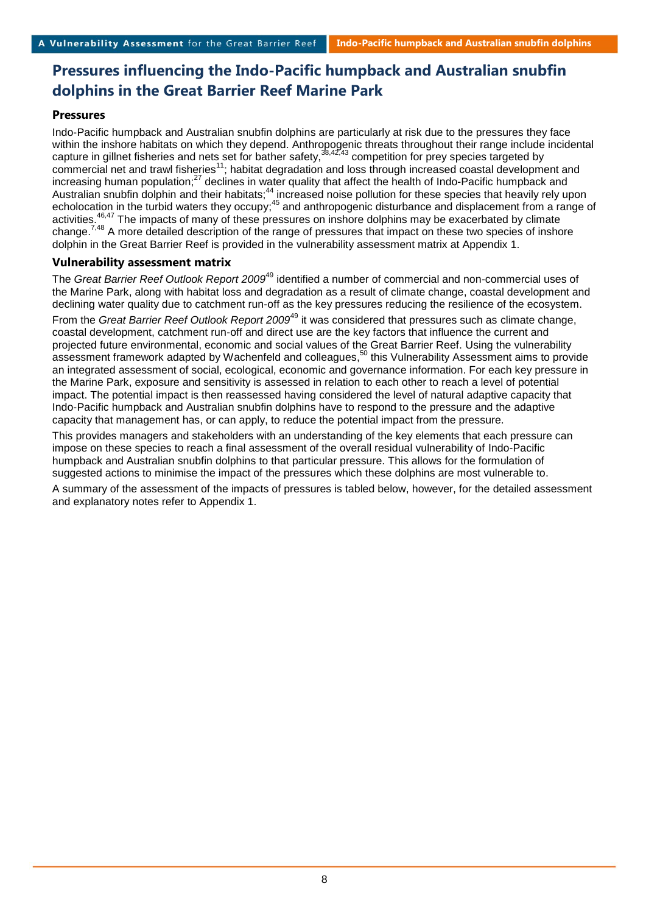# **Pressures influencing the Indo-Pacific humpback and Australian snubfin dolphins in the Great Barrier Reef Marine Park**

## **Pressures**

Indo-Pacific humpback and Australian snubfin dolphins are particularly at risk due to the pressures they face within the inshore habitats on which they depend. Anthropogenic threats throughout their range include incidental capture in gillnet fisheries and nets set for bather safety,<sup>38,42,43</sup> competition for prey species targeted by commercial net and trawl fisheries<sup>11</sup>; habitat degradation and loss through increased coastal development and increasing human population;<sup>27</sup> declines in water quality that affect the health of Indo-Pacific humpback and Australian snubfin dolphin and their habitats;<sup>44</sup> increased noise pollution for these species that heavily rely upon echolocation in the turbid waters they occupy;<sup>45</sup> and anthropogenic disturbance and displacement from a range of activities.<sup>46,47</sup> The impacts of many of these pressures on inshore dolphins may be exacerbated by climate change.<sup>7,48</sup> A more detailed description of the range of pressures that impact on these two species of inshore dolphin in the Great Barrier Reef is provided in the vulnerability assessment matrix at Appendix 1.

## **Vulnerability assessment matrix**

The *Great Barrier Reef Outlook Report 2009*<sup>49</sup> identified a number of commercial and non-commercial uses of the Marine Park, along with habitat loss and degradation as a result of climate change, coastal development and declining water quality due to catchment run-off as the key pressures reducing the resilience of the ecosystem.

From the *Great Barrier Reef Outlook Report 2009*<sup>49</sup> it was considered that pressures such as climate change, coastal development, catchment run-off and direct use are the key factors that influence the current and projected future environmental, economic and social values of the Great Barrier Reef. Using the vulnerability assessment framework adapted by Wachenfeld and colleagues,<sup>50</sup> this Vulnerability Assessment aims to provide an integrated assessment of social, ecological, economic and governance information. For each key pressure in the Marine Park, exposure and sensitivity is assessed in relation to each other to reach a level of potential impact. The potential impact is then reassessed having considered the level of natural adaptive capacity that Indo-Pacific humpback and Australian snubfin dolphins have to respond to the pressure and the adaptive capacity that management has, or can apply, to reduce the potential impact from the pressure.

This provides managers and stakeholders with an understanding of the key elements that each pressure can impose on these species to reach a final assessment of the overall residual vulnerability of Indo-Pacific humpback and Australian snubfin dolphins to that particular pressure. This allows for the formulation of suggested actions to minimise the impact of the pressures which these dolphins are most vulnerable to.

A summary of the assessment of the impacts of pressures is tabled below, however, for the detailed assessment and explanatory notes refer to Appendix 1.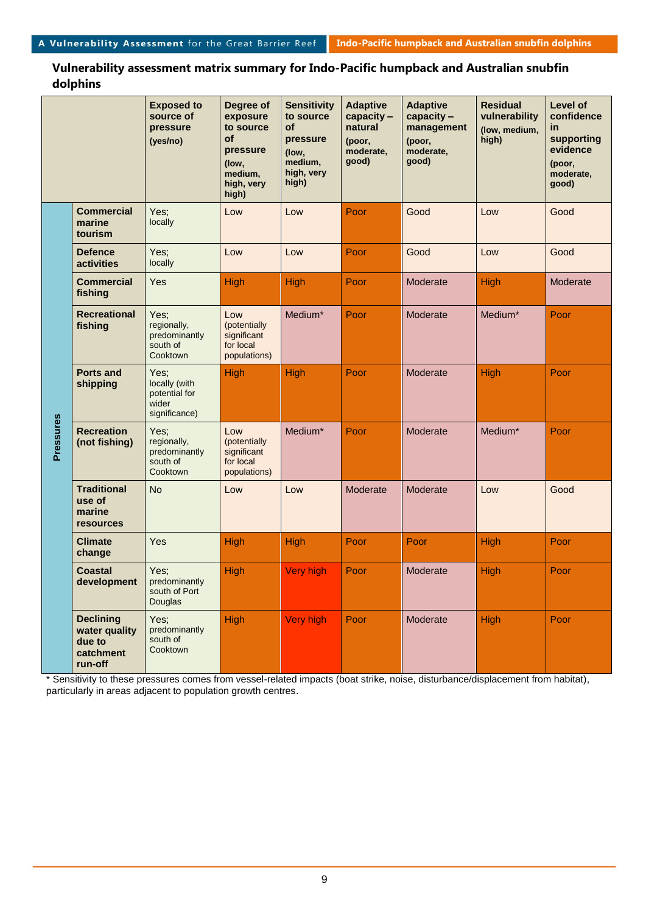#### **Sensitivity Residual Level of Exposed to Degree of Adaptive Adaptive capacity – source of exposure to source capacity – vulnerability confidence management pressure to source of natural (low, medium, in pressure supporting of (poor, high) (yes/no) (poor, pressure evidence moderate, moderate, (low, medium, good) good) (poor, (low, high, very medium, moderate, high) high, very good) high) Commercial**  Yes; Low Low Poor Good Low Good **marine**  locally **tourism Defence**  Yes; Low Low Poor Good Low Good **activities** locally **Commercial**  Yes High High Poor Moderate High Moderate **fishing Recreational**  Low Medium<sup>\*</sup> Poor Moderate Medium<sup>\*</sup> Poor Yes; regionally, (potentially **fishing** predominantly **significant** south of for local **Cooktown** populations) **Ports and**  Yes; High High Poor Moderate High Poor locally (with **shipping** potential for .<br>wider significance) **Pressures**  Pressures **Recreation**  Medium<sup>\*</sup> Poor Moderate Medium<sup>\*</sup> Poor Yes; Low (potentially **(not fishing)** regionally, predominantly significant south of for local populations) Cooktown **Traditional**  No  $\vert$  Low  $\vert$  Low  $\vert$  Moderate  $\vert$  Moderate  $\vert$  Low  $\vert$  Good **use of marine resources Climate**  Yes High High Poor Poor High Poor **change** High Very high Poor Moderate High Poor **Coastal**  Yes; **development** predominantly south of Port Douglas **Declining**  Yes; High Very high Poor Moderate High Poor predominantly **water quality**  south of **due to**  Cooktown **catchment run-off**

**Vulnerability assessment matrix summary for Indo-Pacific humpback and Australian snubfin dolphins**

\* Sensitivity to these pressures comes from vessel-related impacts (boat strike, noise, disturbance/displacement from habitat), particularly in areas adjacent to population growth centres.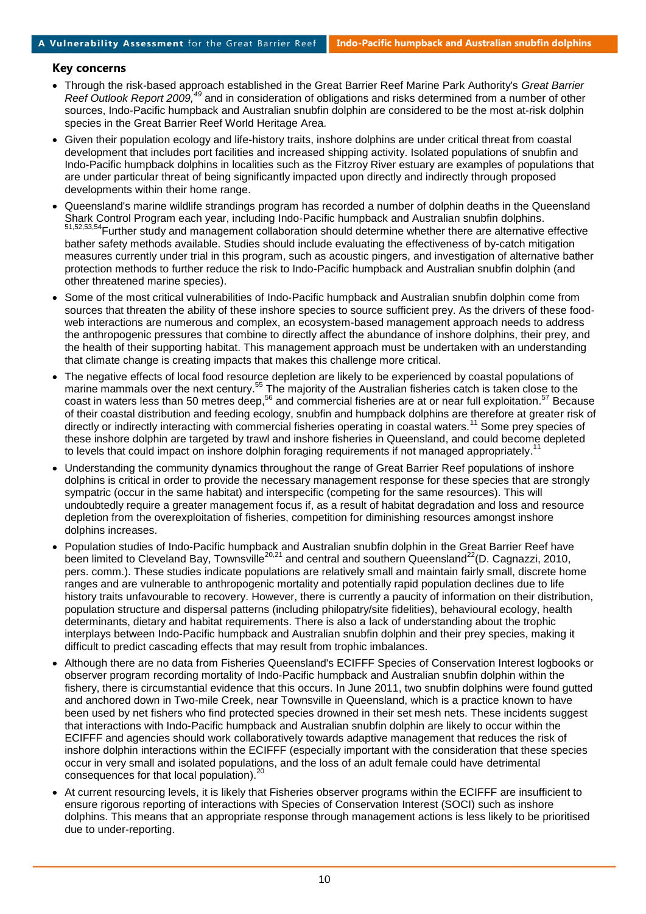### **Key concerns**

- Through the risk-based approach established in the Great Barrier Reef Marine Park Authority's *Great Barrier*  Reef Outlook Report 2009,<sup>49</sup> and in consideration of obligations and risks determined from a number of other sources, Indo-Pacific humpback and Australian snubfin dolphin are considered to be the most at-risk dolphin species in the Great Barrier Reef World Heritage Area.
- Given their population ecology and life-history traits, inshore dolphins are under critical threat from coastal development that includes port facilities and increased shipping activity. Isolated populations of snubfin and Indo-Pacific humpback dolphins in localities such as the Fitzroy River estuary are examples of populations that are under particular threat of being significantly impacted upon directly and indirectly through proposed developments within their home range.
- Queensland's marine wildlife strandings program has recorded a number of dolphin deaths in the Queensland Shark Control Program each year, including Indo-Pacific humpback and Australian snubfin dolphins. 51,52,53,54Further study and management collaboration should determine whether there are alternative effective bather safety methods available. Studies should include evaluating the effectiveness of by-catch mitigation measures currently under trial in this program, such as acoustic pingers, and investigation of alternative bather protection methods to further reduce the risk to Indo-Pacific humpback and Australian snubfin dolphin (and other threatened marine species).
- Some of the most critical vulnerabilities of Indo-Pacific humpback and Australian snubfin dolphin come from sources that threaten the ability of these inshore species to source sufficient prey. As the drivers of these foodweb interactions are numerous and complex, an ecosystem-based management approach needs to address the anthropogenic pressures that combine to directly affect the abundance of inshore dolphins, their prey, and the health of their supporting habitat. This management approach must be undertaken with an understanding that climate change is creating impacts that makes this challenge more critical.
- The negative effects of local food resource depletion are likely to be experienced by coastal populations of marine mammals over the next century.<sup>55</sup> The majority of the Australian fisheries catch is taken close to the coast in waters less than 50 metres deep,<sup>56</sup> and commercial fisheries are at or near full exploitation.<sup>57</sup> Because of their coastal distribution and feeding ecology, snubfin and humpback dolphins are therefore at greater risk of directly or indirectly interacting with commercial fisheries operating in coastal waters.<sup>11</sup> Some prey species of these inshore dolphin are targeted by trawl and inshore fisheries in Queensland, and could become depleted to levels that could impact on inshore dolphin foraging requirements if not managed appropriately.<sup>11</sup>
- Understanding the community dynamics throughout the range of Great Barrier Reef populations of inshore dolphins is critical in order to provide the necessary management response for these species that are strongly sympatric (occur in the same habitat) and interspecific (competing for the same resources). This will undoubtedly require a greater management focus if, as a result of habitat degradation and loss and resource depletion from the overexploitation of fisheries, competition for diminishing resources amongst inshore dolphins increases.
- Population studies of Indo-Pacific humpback and Australian snubfin dolphin in the Great Barrier Reef have been limited to Cleveland Bay, Townsville<sup>20,21</sup> and central and southern Queensland<sup>22</sup>(D. Cagnazzi, 2010, pers. comm.). These studies indicate populations are relatively small and maintain fairly small, discrete home ranges and are vulnerable to anthropogenic mortality and potentially rapid population declines due to life history traits unfavourable to recovery. However, there is currently a paucity of information on their distribution, population structure and dispersal patterns (including philopatry/site fidelities), behavioural ecology, health determinants, dietary and habitat requirements. There is also a lack of understanding about the trophic interplays between Indo-Pacific humpback and Australian snubfin dolphin and their prey species, making it difficult to predict cascading effects that may result from trophic imbalances.
- Although there are no data from Fisheries Queensland's ECIFFF Species of Conservation Interest logbooks or observer program recording mortality of Indo-Pacific humpback and Australian snubfin dolphin within the fishery, there is circumstantial evidence that this occurs. In June 2011, two snubfin dolphins were found gutted and anchored down in Two-mile Creek, near Townsville in Queensland, which is a practice known to have been used by net fishers who find protected species drowned in their set mesh nets. These incidents suggest that interactions with Indo-Pacific humpback and Australian snubfin dolphin are likely to occur within the ECIFFF and agencies should work collaboratively towards adaptive management that reduces the risk of inshore dolphin interactions within the ECIFFF (especially important with the consideration that these species occur in very small and isolated populations, and the loss of an adult female could have detrimental consequences for that local population). 20
- At current resourcing levels, it is likely that Fisheries observer programs within the ECIFFF are insufficient to ensure rigorous reporting of interactions with Species of Conservation Interest (SOCI) such as inshore dolphins. This means that an appropriate response through management actions is less likely to be prioritised due to under-reporting.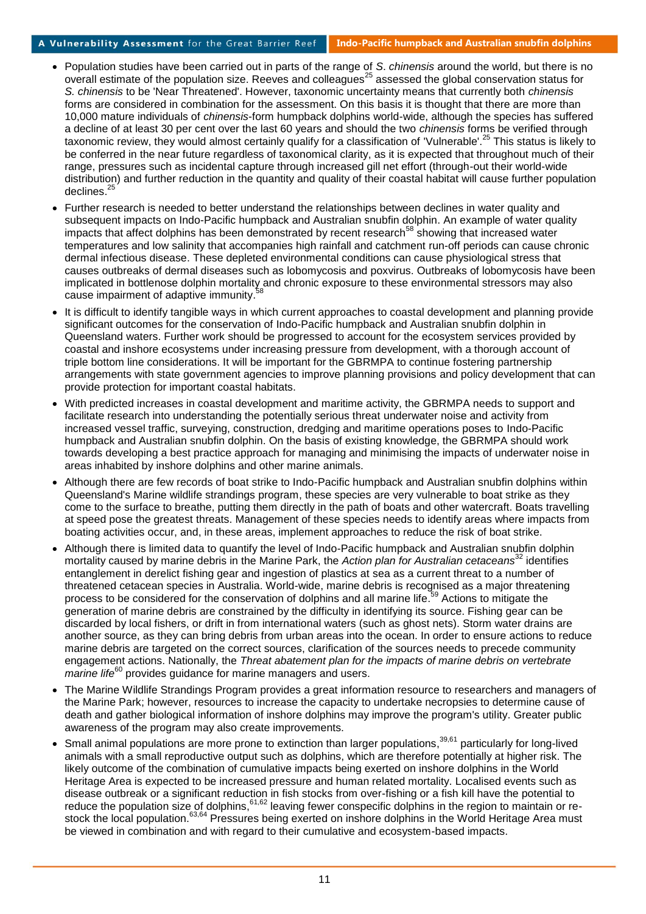- Population studies have been carried out in parts of the range of *S*. *chinensis* around the world, but there is no overall estimate of the population size. Reeves and colleagues<sup>25</sup> assessed the global conservation status for *S. chinensis* to be 'Near Threatened'. However, taxonomic uncertainty means that currently both *chinensis* forms are considered in combination for the assessment. On this basis it is thought that there are more than 10,000 mature individuals of *chinensis*-form humpback dolphins world-wide, although the species has suffered a decline of at least 30 per cent over the last 60 years and should the two *chinensis* forms be verified through taxonomic review, they would almost certainly qualify for a classification of 'Vulnerable'.<sup>25</sup> This status is likely to be conferred in the near future regardless of taxonomical clarity, as it is expected that throughout much of their range, pressures such as incidental capture through increased gill net effort (through-out their world-wide distribution) and further reduction in the quantity and quality of their coastal habitat will cause further population declines. 25
- Further research is needed to better understand the relationships between declines in water quality and subsequent impacts on Indo-Pacific humpback and Australian snubfin dolphin. An example of water quality impacts that affect dolphins has been demonstrated by recent research<sup>58</sup> showing that increased water temperatures and low salinity that accompanies high rainfall and catchment run-off periods can cause chronic dermal infectious disease. These depleted environmental conditions can cause physiological stress that causes outbreaks of dermal diseases such as lobomycosis and poxvirus. Outbreaks of lobomycosis have been implicated in bottlenose dolphin mortality and chronic exposure to these environmental stressors may also cause impairment of adaptive immunity.<sup>58</sup>
- It is difficult to identify tangible ways in which current approaches to coastal development and planning provide significant outcomes for the conservation of Indo-Pacific humpback and Australian snubfin dolphin in Queensland waters. Further work should be progressed to account for the ecosystem services provided by coastal and inshore ecosystems under increasing pressure from development, with a thorough account of triple bottom line considerations. It will be important for the GBRMPA to continue fostering partnership arrangements with state government agencies to improve planning provisions and policy development that can provide protection for important coastal habitats.
- With predicted increases in coastal development and maritime activity, the GBRMPA needs to support and facilitate research into understanding the potentially serious threat underwater noise and activity from increased vessel traffic, surveying, construction, dredging and maritime operations poses to Indo-Pacific humpback and Australian snubfin dolphin. On the basis of existing knowledge, the GBRMPA should work towards developing a best practice approach for managing and minimising the impacts of underwater noise in areas inhabited by inshore dolphins and other marine animals.
- Although there are few records of boat strike to Indo-Pacific humpback and Australian snubfin dolphins within Queensland's Marine wildlife strandings program, these species are very vulnerable to boat strike as they come to the surface to breathe, putting them directly in the path of boats and other watercraft. Boats travelling at speed pose the greatest threats. Management of these species needs to identify areas where impacts from boating activities occur, and, in these areas, implement approaches to reduce the risk of boat strike.
- Although there is limited data to quantify the level of Indo-Pacific humpback and Australian snubfin dolphin mortality caused by marine debris in the Marine Park, the *Action plan for Australian cetaceans*<sup>32</sup> identifies entanglement in derelict fishing gear and ingestion of plastics at sea as a current threat to a number of threatened cetacean species in Australia. World-wide, marine debris is recognised as a major threatening process to be considered for the conservation of dolphins and all marine life.<sup>59</sup> Actions to mitigate the generation of marine debris are constrained by the difficulty in identifying its source. Fishing gear can be discarded by local fishers, or drift in from international waters (such as ghost nets). Storm water drains are another source, as they can bring debris from urban areas into the ocean. In order to ensure actions to reduce marine debris are targeted on the correct sources, clarification of the sources needs to precede community engagement actions. Nationally, the *Threat abatement plan for the impacts of marine debris on vertebrate marine life*<sup>60</sup> provides guidance for marine managers and users.
- The Marine Wildlife Strandings Program provides a great information resource to researchers and managers of the Marine Park; however, resources to increase the capacity to undertake necropsies to determine cause of death and gather biological information of inshore dolphins may improve the program's utility. Greater public awareness of the program may also create improvements.
- Small animal populations are more prone to extinction than larger populations,<sup>39,61</sup> particularly for long-lived animals with a small reproductive output such as dolphins, which are therefore potentially at higher risk. The likely outcome of the combination of cumulative impacts being exerted on inshore dolphins in the World Heritage Area is expected to be increased pressure and human related mortality. Localised events such as disease outbreak or a significant reduction in fish stocks from over-fishing or a fish kill have the potential to reduce the population size of dolphins, <sup>61,62</sup> leaving fewer conspecific dolphins in the region to maintain or restock the local population.<sup>63,64</sup> Pressures being exerted on inshore dolphins in the World Heritage Area must be viewed in combination and with regard to their cumulative and ecosystem-based impacts.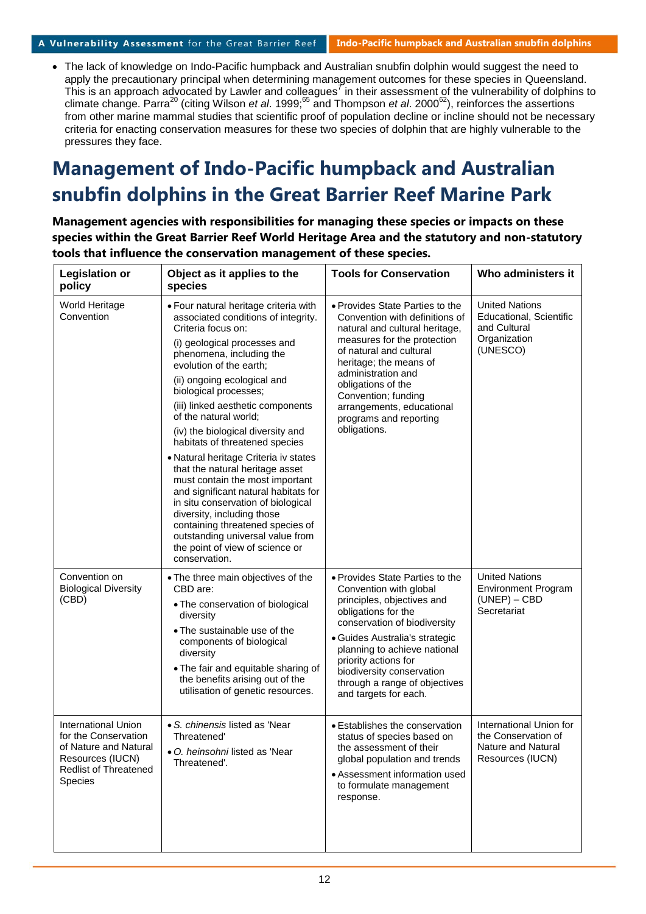#### A Vulnerability Assessment for the Great Barrier Reef **Indo-Pacific humpback and Australian snubfin dolphins**

 The lack of knowledge on Indo-Pacific humpback and Australian snubfin dolphin would suggest the need to apply the precautionary principal when determining management outcomes for these species in Queensland. This is an approach advocated by Lawler and colleagues<sup>7</sup> in their assessment of the vulnerability of dolphins to climate change. Parra<sup>20</sup> (citing Wilson *et al*. 1999; <sup>65</sup> and Thompson *et al*. 2000<sup>62</sup>), reinforces the assertions from other marine mammal studies that scientific proof of population decline or incline should not be necessary criteria for enacting conservation measures for these two species of dolphin that are highly vulnerable to the pressures they face.

# **Management of Indo-Pacific humpback and Australian snubfin dolphins in the Great Barrier Reef Marine Park**

**Management agencies with responsibilities for managing these species or impacts on these species within the Great Barrier Reef World Heritage Area and the statutory and non-statutory tools that influence the conservation management of these species.**

| <b>Legislation or</b><br>policy                                                                                                                   | Object as it applies to the<br>species                                                                                                                                                                                                                                                                                                                                                                                                                                                                                                                                                                                                                                                                                                        | <b>Tools for Conservation</b>                                                                                                                                                                                                                                                                                                     | Who administers it                                                                           |
|---------------------------------------------------------------------------------------------------------------------------------------------------|-----------------------------------------------------------------------------------------------------------------------------------------------------------------------------------------------------------------------------------------------------------------------------------------------------------------------------------------------------------------------------------------------------------------------------------------------------------------------------------------------------------------------------------------------------------------------------------------------------------------------------------------------------------------------------------------------------------------------------------------------|-----------------------------------------------------------------------------------------------------------------------------------------------------------------------------------------------------------------------------------------------------------------------------------------------------------------------------------|----------------------------------------------------------------------------------------------|
| World Heritage<br>Convention                                                                                                                      | • Four natural heritage criteria with<br>associated conditions of integrity.<br>Criteria focus on:<br>(i) geological processes and<br>phenomena, including the<br>evolution of the earth;<br>(ii) ongoing ecological and<br>biological processes;<br>(iii) linked aesthetic components<br>of the natural world;<br>(iv) the biological diversity and<br>habitats of threatened species<br>· Natural heritage Criteria iv states<br>that the natural heritage asset<br>must contain the most important<br>and significant natural habitats for<br>in situ conservation of biological<br>diversity, including those<br>containing threatened species of<br>outstanding universal value from<br>the point of view of science or<br>conservation. | • Provides State Parties to the<br>Convention with definitions of<br>natural and cultural heritage,<br>measures for the protection<br>of natural and cultural<br>heritage; the means of<br>administration and<br>obligations of the<br>Convention; funding<br>arrangements, educational<br>programs and reporting<br>obligations. | <b>United Nations</b><br>Educational, Scientific<br>and Cultural<br>Organization<br>(UNESCO) |
| Convention on<br><b>Biological Diversity</b><br>(CBD)                                                                                             | • The three main objectives of the<br>CBD are:<br>• The conservation of biological<br>diversity<br>• The sustainable use of the<br>components of biological<br>diversity<br>• The fair and equitable sharing of<br>the benefits arising out of the<br>utilisation of genetic resources.                                                                                                                                                                                                                                                                                                                                                                                                                                                       | • Provides State Parties to the<br>Convention with global<br>principles, objectives and<br>obligations for the<br>conservation of biodiversity<br>• Guides Australia's strategic<br>planning to achieve national<br>priority actions for<br>biodiversity conservation<br>through a range of objectives<br>and targets for each.   | <b>United Nations</b><br><b>Environment Program</b><br>$(UNEP) - CBD$<br>Secretariat         |
| <b>International Union</b><br>for the Conservation<br>of Nature and Natural<br>Resources (IUCN)<br><b>Redlist of Threatened</b><br><b>Species</b> | • S. chinensis listed as 'Near<br>Threatened'<br>• O. heinsohni listed as 'Near<br>Threatened'.                                                                                                                                                                                                                                                                                                                                                                                                                                                                                                                                                                                                                                               | • Establishes the conservation<br>status of species based on<br>the assessment of their<br>global population and trends<br>• Assessment information used<br>to formulate management<br>response.                                                                                                                                  | International Union for<br>the Conservation of<br>Nature and Natural<br>Resources (IUCN)     |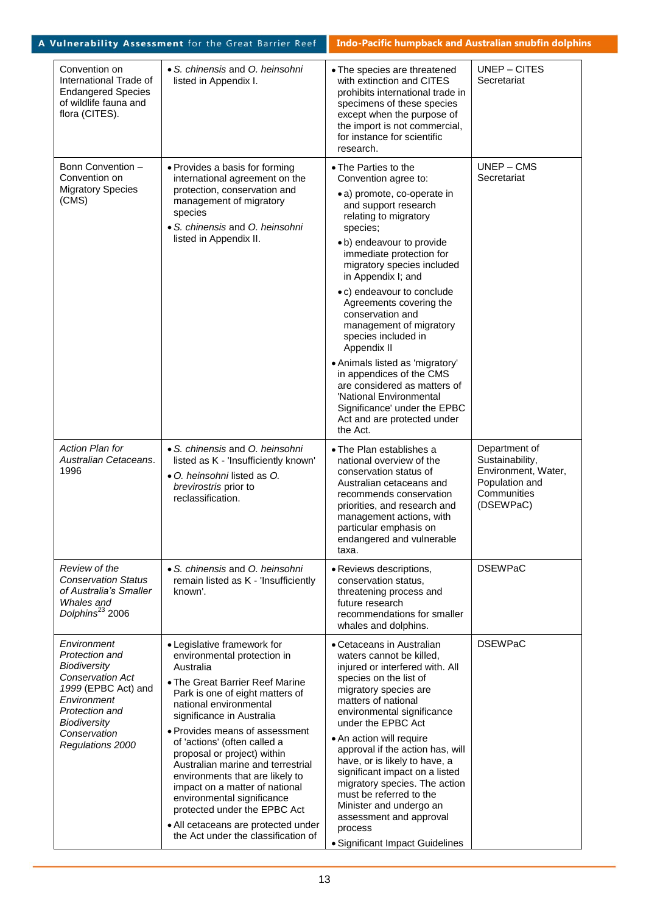|                                                                                                                                                                                             | A Vulnerability Assessment for the Great Barrier Reef                                                                                                                                                                                                                                                                                                                                                                                                                                                                                                       | <b>Indo-Pacific humpback and Australian snubfin dolphins</b>                                                                                                                                                                                                                                                                                                                                                                                                                                                                                                                                             |                                                                                                       |
|---------------------------------------------------------------------------------------------------------------------------------------------------------------------------------------------|-------------------------------------------------------------------------------------------------------------------------------------------------------------------------------------------------------------------------------------------------------------------------------------------------------------------------------------------------------------------------------------------------------------------------------------------------------------------------------------------------------------------------------------------------------------|----------------------------------------------------------------------------------------------------------------------------------------------------------------------------------------------------------------------------------------------------------------------------------------------------------------------------------------------------------------------------------------------------------------------------------------------------------------------------------------------------------------------------------------------------------------------------------------------------------|-------------------------------------------------------------------------------------------------------|
| Convention on<br>International Trade of<br><b>Endangered Species</b><br>of wildlife fauna and<br>flora (CITES).                                                                             | • S. chinensis and O. heinsohni<br>listed in Appendix I.                                                                                                                                                                                                                                                                                                                                                                                                                                                                                                    | • The species are threatened<br>with extinction and CITES<br>prohibits international trade in<br>specimens of these species<br>except when the purpose of<br>the import is not commercial,<br>for instance for scientific<br>research.                                                                                                                                                                                                                                                                                                                                                                   | UNEP-CITES<br>Secretariat                                                                             |
| Bonn Convention -<br>Convention on<br><b>Migratory Species</b><br>(CMS)                                                                                                                     | • Provides a basis for forming<br>international agreement on the<br>protection, conservation and<br>management of migratory<br>species<br>• S. chinensis and O. heinsohni<br>listed in Appendix II.                                                                                                                                                                                                                                                                                                                                                         | • The Parties to the<br>Convention agree to:<br>• a) promote, co-operate in<br>and support research<br>relating to migratory<br>species;<br>· b) endeavour to provide<br>immediate protection for<br>migratory species included<br>in Appendix I; and<br>• c) endeavour to conclude<br>Agreements covering the<br>conservation and<br>management of migratory<br>species included in<br>Appendix II<br>• Animals listed as 'migratory'<br>in appendices of the CMS<br>are considered as matters of<br>'National Environmental<br>Significance' under the EPBC<br>Act and are protected under<br>the Act. | $UNEP - CMS$<br>Secretariat                                                                           |
| <b>Action Plan for</b><br>Australian Cetaceans.<br>1996                                                                                                                                     | • S. chinensis and O. heinsohni<br>listed as K - 'Insufficiently known'<br>• O. heinsohni listed as O.<br>brevirostris prior to<br>reclassification.                                                                                                                                                                                                                                                                                                                                                                                                        | • The Plan establishes a<br>national overview of the<br>conservation status of<br>Australian cetaceans and<br>recommends conservation<br>priorities, and research and<br>management actions, with<br>particular emphasis on<br>endangered and vulnerable<br>taxa.                                                                                                                                                                                                                                                                                                                                        | Department of<br>Sustainability,<br>Environment, Water,<br>Population and<br>Communities<br>(DSEWPaC) |
| Review of the<br><b>Conservation Status</b><br>of Australia's Smaller<br>Whales and<br>Dolphins <sup>23</sup> 2006                                                                          | • S. chinensis and O. heinsohni<br>remain listed as K - 'Insufficiently<br>known'.                                                                                                                                                                                                                                                                                                                                                                                                                                                                          | · Reviews descriptions,<br>conservation status,<br>threatening process and<br>future research<br>recommendations for smaller<br>whales and dolphins.                                                                                                                                                                                                                                                                                                                                                                                                                                                     | <b>DSEWPaC</b>                                                                                        |
| Environment<br>Protection and<br>Biodiversity<br><b>Conservation Act</b><br>1999 (EPBC Act) and<br>Environment<br>Protection and<br><b>Biodiversity</b><br>Conservation<br>Regulations 2000 | • Legislative framework for<br>environmental protection in<br>Australia<br>• The Great Barrier Reef Marine<br>Park is one of eight matters of<br>national environmental<br>significance in Australia<br>• Provides means of assessment<br>of 'actions' (often called a<br>proposal or project) within<br>Australian marine and terrestrial<br>environments that are likely to<br>impact on a matter of national<br>environmental significance<br>protected under the EPBC Act<br>• All cetaceans are protected under<br>the Act under the classification of | • Cetaceans in Australian<br>waters cannot be killed.<br>injured or interfered with. All<br>species on the list of<br>migratory species are<br>matters of national<br>environmental significance<br>under the EPBC Act<br>• An action will require<br>approval if the action has, will<br>have, or is likely to have, a<br>significant impact on a listed<br>migratory species. The action<br>must be referred to the<br>Minister and undergo an<br>assessment and approval<br>process<br>• Significant Impact Guidelines                                                                                | <b>DSEWPaC</b>                                                                                        |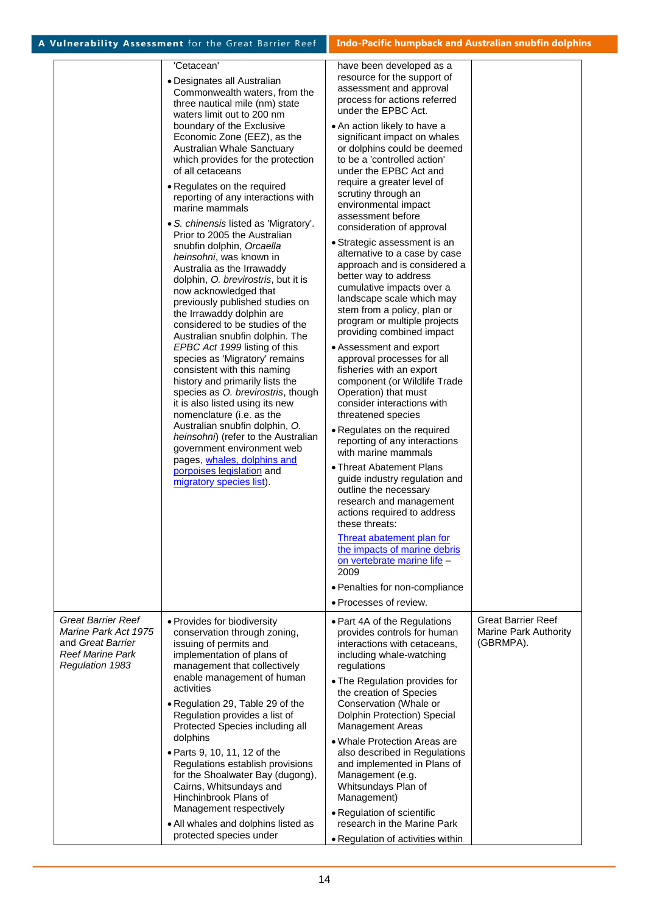| • Designates all Australian<br>Commonwealth waters, from the<br>three nautical mile (nm) state<br>waters limit out to 200 nm<br>boundary of the Exclusive<br>Economic Zone (EEZ), as the<br>Australian Whale Sanctuary<br>which provides for the protection<br>of all cetaceans<br>• Regulates on the required<br>reporting of any interactions with<br>marine mammals<br>• S. chinensis listed as 'Migratory'.<br>Prior to 2005 the Australian<br>snubfin dolphin, Orcaella<br>heinsohni, was known in<br>Australia as the Irrawaddy<br>dolphin, O. brevirostris, but it is<br>now acknowledged that<br>previously published studies on<br>the Irrawaddy dolphin are<br>considered to be studies of the<br>Australian snubfin dolphin. The<br>EPBC Act 1999 listing of this<br>species as 'Migratory' remains<br>consistent with this naming<br>history and primarily lists the<br>species as O. brevirostris, though<br>it is also listed using its new<br>nomenclature (i.e. as the<br>Australian snubfin dolphin, O.<br>heinsohni) (refer to the Australian<br>government environment web<br>pages, whales, dolphins and<br>porpoises legislation and<br>migratory species list). | resource for the support of<br>assessment and approval<br>process for actions referred<br>under the EPBC Act.<br>• An action likely to have a<br>significant impact on whales<br>or dolphins could be deemed<br>to be a 'controlled action'<br>under the EPBC Act and<br>require a greater level of<br>scrutiny through an<br>environmental impact<br>assessment before<br>consideration of approval<br>· Strategic assessment is an<br>alternative to a case by case<br>approach and is considered a<br>better way to address<br>cumulative impacts over a<br>landscape scale which may<br>stem from a policy, plan or<br>program or multiple projects<br>providing combined impact<br>• Assessment and export<br>approval processes for all<br>fisheries with an export<br>component (or Wildlife Trade<br>Operation) that must<br>consider interactions with<br>threatened species<br>• Regulates on the required<br>reporting of any interactions<br>with marine mammals<br>• Threat Abatement Plans<br>guide industry regulation and<br>outline the necessary<br>research and management<br>actions required to address<br>these threats:<br>Threat abatement plan for<br>the impacts of marine debris<br>on vertebrate marine life -<br>2009<br>• Penalties for non-compliance<br>• Processes of review. |                                                                 |
|---------------------------------------------------------------------------------------------------------------------------------------------------------------------------------------------------------------------------------------------------------------------------------------------------------------------------------------------------------------------------------------------------------------------------------------------------------------------------------------------------------------------------------------------------------------------------------------------------------------------------------------------------------------------------------------------------------------------------------------------------------------------------------------------------------------------------------------------------------------------------------------------------------------------------------------------------------------------------------------------------------------------------------------------------------------------------------------------------------------------------------------------------------------------------------------|----------------------------------------------------------------------------------------------------------------------------------------------------------------------------------------------------------------------------------------------------------------------------------------------------------------------------------------------------------------------------------------------------------------------------------------------------------------------------------------------------------------------------------------------------------------------------------------------------------------------------------------------------------------------------------------------------------------------------------------------------------------------------------------------------------------------------------------------------------------------------------------------------------------------------------------------------------------------------------------------------------------------------------------------------------------------------------------------------------------------------------------------------------------------------------------------------------------------------------------------------------------------------------------------------------------|-----------------------------------------------------------------|
| • Provides for biodiversity<br>conservation through zoning,<br>issuing of permits and<br>implementation of plans of<br>management that collectively<br>enable management of human<br>activities<br>• Regulation 29, Table 29 of the<br>Regulation provides a list of<br>Protected Species including all<br>dolphins<br>• Parts 9, 10, 11, 12 of the<br>Regulations establish provisions<br>for the Shoalwater Bay (dugong),<br>Cairns, Whitsundays and<br>Hinchinbrook Plans of<br>Management respectively<br>• All whales and dolphins listed as                                                                                                                                                                                                                                                                                                                                                                                                                                                                                                                                                                                                                                     | • Part 4A of the Regulations<br>provides controls for human<br>interactions with cetaceans,<br>including whale-watching<br>regulations<br>• The Regulation provides for<br>the creation of Species<br>Conservation (Whale or<br>Dolphin Protection) Special<br><b>Management Areas</b><br>• Whale Protection Areas are<br>also described in Regulations<br>and implemented in Plans of<br>Management (e.g.<br>Whitsundays Plan of<br>Management)<br>• Regulation of scientific<br>research in the Marine Park                                                                                                                                                                                                                                                                                                                                                                                                                                                                                                                                                                                                                                                                                                                                                                                                  | <b>Great Barrier Reef</b><br>Marine Park Authority<br>(GBRMPA). |
|                                                                                                                                                                                                                                                                                                                                                                                                                                                                                                                                                                                                                                                                                                                                                                                                                                                                                                                                                                                                                                                                                                                                                                                       | 'Cetacean'<br>protected species under                                                                                                                                                                                                                                                                                                                                                                                                                                                                                                                                                                                                                                                                                                                                                                                                                                                                                                                                                                                                                                                                                                                                                                                                                                                                          | have been developed as a<br>. Regulation of activities within   |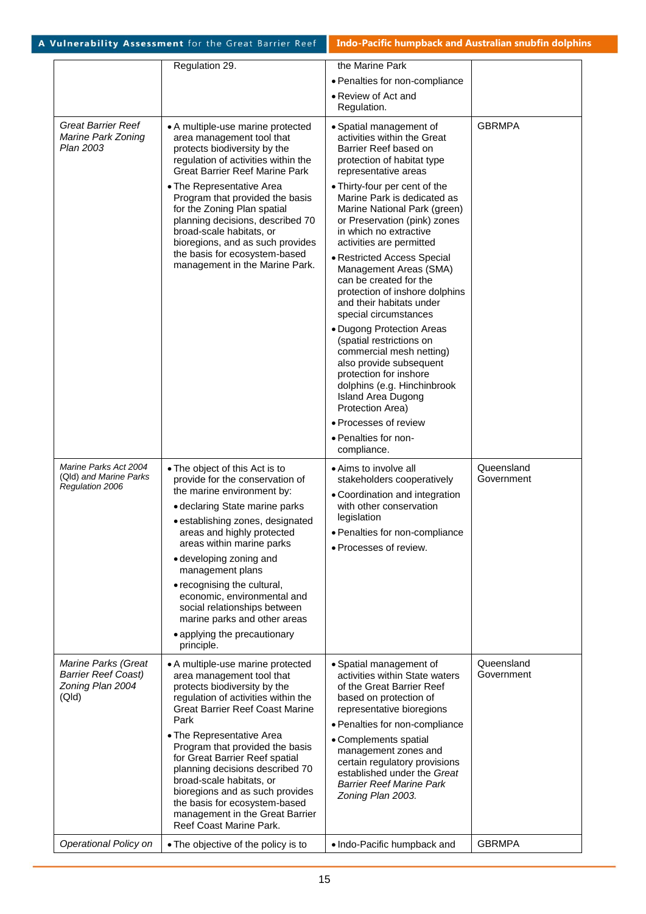|                                                                                | Regulation 29.                                                                                                                                                                                                                                                                                                                                                                                                                                                                             | the Marine Park                                                                                                                                                                                                                                                                                                                                                                                                                                                                                                                                                                                                                                                                                                                                   |                          |
|--------------------------------------------------------------------------------|--------------------------------------------------------------------------------------------------------------------------------------------------------------------------------------------------------------------------------------------------------------------------------------------------------------------------------------------------------------------------------------------------------------------------------------------------------------------------------------------|---------------------------------------------------------------------------------------------------------------------------------------------------------------------------------------------------------------------------------------------------------------------------------------------------------------------------------------------------------------------------------------------------------------------------------------------------------------------------------------------------------------------------------------------------------------------------------------------------------------------------------------------------------------------------------------------------------------------------------------------------|--------------------------|
|                                                                                |                                                                                                                                                                                                                                                                                                                                                                                                                                                                                            | • Penalties for non-compliance                                                                                                                                                                                                                                                                                                                                                                                                                                                                                                                                                                                                                                                                                                                    |                          |
|                                                                                |                                                                                                                                                                                                                                                                                                                                                                                                                                                                                            | • Review of Act and                                                                                                                                                                                                                                                                                                                                                                                                                                                                                                                                                                                                                                                                                                                               |                          |
|                                                                                |                                                                                                                                                                                                                                                                                                                                                                                                                                                                                            | Regulation.                                                                                                                                                                                                                                                                                                                                                                                                                                                                                                                                                                                                                                                                                                                                       |                          |
| <b>Great Barrier Reef</b><br>Marine Park Zoning<br>Plan 2003                   | • A multiple-use marine protected<br>area management tool that<br>protects biodiversity by the<br>regulation of activities within the<br><b>Great Barrier Reef Marine Park</b><br>• The Representative Area<br>Program that provided the basis<br>for the Zoning Plan spatial<br>planning decisions, described 70<br>broad-scale habitats, or<br>bioregions, and as such provides<br>the basis for ecosystem-based<br>management in the Marine Park.                                       | • Spatial management of<br>activities within the Great<br>Barrier Reef based on<br>protection of habitat type<br>representative areas<br>• Thirty-four per cent of the<br>Marine Park is dedicated as<br>Marine National Park (green)<br>or Preservation (pink) zones<br>in which no extractive<br>activities are permitted<br>• Restricted Access Special<br>Management Areas (SMA)<br>can be created for the<br>protection of inshore dolphins<br>and their habitats under<br>special circumstances<br>• Dugong Protection Areas<br>(spatial restrictions on<br>commercial mesh netting)<br>also provide subsequent<br>protection for inshore<br>dolphins (e.g. Hinchinbrook<br>Island Area Dugong<br>Protection Area)<br>• Processes of review | <b>GBRMPA</b>            |
|                                                                                |                                                                                                                                                                                                                                                                                                                                                                                                                                                                                            | • Penalties for non-<br>compliance.                                                                                                                                                                                                                                                                                                                                                                                                                                                                                                                                                                                                                                                                                                               |                          |
| Marine Parks Act 2004<br>(QId) and Marine Parks<br>Regulation 2006             | • The object of this Act is to<br>provide for the conservation of<br>the marine environment by:<br>• declaring State marine parks<br>· establishing zones, designated<br>areas and highly protected<br>areas within marine parks<br>• developing zoning and<br>management plans<br>• recognising the cultural,<br>economic, environmental and<br>social relationships between<br>marine parks and other areas<br>• applying the precautionary<br>principle.                                | • Aims to involve all<br>stakeholders cooperatively<br>• Coordination and integration<br>with other conservation<br>legislation<br>• Penalties for non-compliance<br>• Processes of review.                                                                                                                                                                                                                                                                                                                                                                                                                                                                                                                                                       | Queensland<br>Government |
| Marine Parks (Great<br><b>Barrier Reef Coast)</b><br>Zoning Plan 2004<br>(QId) | • A multiple-use marine protected<br>area management tool that<br>protects biodiversity by the<br>regulation of activities within the<br><b>Great Barrier Reef Coast Marine</b><br>Park<br>• The Representative Area<br>Program that provided the basis<br>for Great Barrier Reef spatial<br>planning decisions described 70<br>broad-scale habitats, or<br>bioregions and as such provides<br>the basis for ecosystem-based<br>management in the Great Barrier<br>Reef Coast Marine Park. | • Spatial management of<br>activities within State waters<br>of the Great Barrier Reef<br>based on protection of<br>representative bioregions<br>• Penalties for non-compliance<br>• Complements spatial<br>management zones and<br>certain regulatory provisions<br>established under the Great<br><b>Barrier Reef Marine Park</b><br>Zoning Plan 2003.                                                                                                                                                                                                                                                                                                                                                                                          | Queensland<br>Government |
| Operational Policy on                                                          | • The objective of the policy is to                                                                                                                                                                                                                                                                                                                                                                                                                                                        | . Indo-Pacific humpback and                                                                                                                                                                                                                                                                                                                                                                                                                                                                                                                                                                                                                                                                                                                       | <b>GBRMPA</b>            |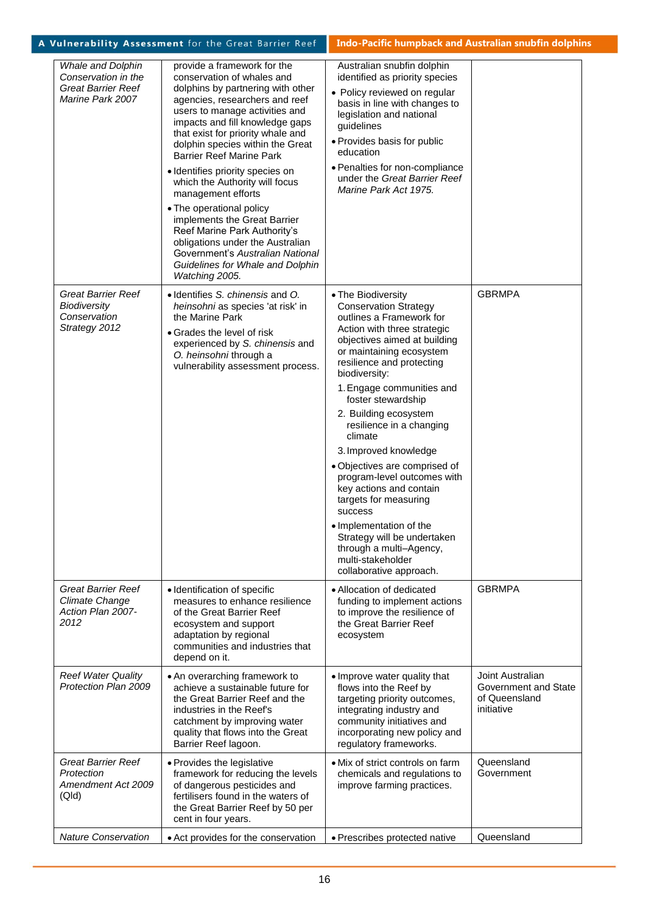|                                                                                           | A Vulnerability Assessment for the Great Barrier Reef                                                                                                                                                                                                                                                                                                                                                                                                                                                                                                                                                                                   | <b>Indo-Pacific humpback and Australian snubfin dolphins</b>                                                                                                                                                                                                                                                                                                                                                                                                                                                                                                                                                                            |                                                                         |
|-------------------------------------------------------------------------------------------|-----------------------------------------------------------------------------------------------------------------------------------------------------------------------------------------------------------------------------------------------------------------------------------------------------------------------------------------------------------------------------------------------------------------------------------------------------------------------------------------------------------------------------------------------------------------------------------------------------------------------------------------|-----------------------------------------------------------------------------------------------------------------------------------------------------------------------------------------------------------------------------------------------------------------------------------------------------------------------------------------------------------------------------------------------------------------------------------------------------------------------------------------------------------------------------------------------------------------------------------------------------------------------------------------|-------------------------------------------------------------------------|
| Whale and Dolphin<br>Conservation in the<br><b>Great Barrier Reef</b><br>Marine Park 2007 | provide a framework for the<br>conservation of whales and<br>dolphins by partnering with other<br>agencies, researchers and reef<br>users to manage activities and<br>impacts and fill knowledge gaps<br>that exist for priority whale and<br>dolphin species within the Great<br><b>Barrier Reef Marine Park</b><br>· Identifies priority species on<br>which the Authority will focus<br>management efforts<br>• The operational policy<br>implements the Great Barrier<br>Reef Marine Park Authority's<br>obligations under the Australian<br>Government's Australian National<br>Guidelines for Whale and Dolphin<br>Watching 2005. | Australian snubfin dolphin<br>identified as priority species<br>• Policy reviewed on regular<br>basis in line with changes to<br>legislation and national<br>guidelines<br>• Provides basis for public<br>education<br>• Penalties for non-compliance<br>under the Great Barrier Reef<br>Marine Park Act 1975.                                                                                                                                                                                                                                                                                                                          |                                                                         |
| <b>Great Barrier Reef</b><br><b>Biodiversity</b><br>Conservation<br>Strategy 2012         | · Identifies S. chinensis and O.<br>heinsohni as species 'at risk' in<br>the Marine Park<br>• Grades the level of risk<br>experienced by S. chinensis and<br>O. heinsohni through a<br>vulnerability assessment process.                                                                                                                                                                                                                                                                                                                                                                                                                | • The Biodiversity<br><b>Conservation Strategy</b><br>outlines a Framework for<br>Action with three strategic<br>objectives aimed at building<br>or maintaining ecosystem<br>resilience and protecting<br>biodiversity:<br>1. Engage communities and<br>foster stewardship<br>2. Building ecosystem<br>resilience in a changing<br>climate<br>3. Improved knowledge<br>· Objectives are comprised of<br>program-level outcomes with<br>key actions and contain<br>targets for measuring<br>success<br>· Implementation of the<br>Strategy will be undertaken<br>through a multi-Agency,<br>multi-stakeholder<br>collaborative approach. | <b>GBRMPA</b>                                                           |
| <b>Great Barrier Reef</b><br>Climate Change<br>Action Plan 2007-<br>2012                  | · Identification of specific<br>measures to enhance resilience<br>of the Great Barrier Reef<br>ecosystem and support<br>adaptation by regional<br>communities and industries that<br>depend on it.                                                                                                                                                                                                                                                                                                                                                                                                                                      | • Allocation of dedicated<br>funding to implement actions<br>to improve the resilience of<br>the Great Barrier Reef<br>ecosystem                                                                                                                                                                                                                                                                                                                                                                                                                                                                                                        | <b>GBRMPA</b>                                                           |
| <b>Reef Water Quality</b><br>Protection Plan 2009                                         | • An overarching framework to<br>achieve a sustainable future for<br>the Great Barrier Reef and the<br>industries in the Reef's<br>catchment by improving water<br>quality that flows into the Great<br>Barrier Reef lagoon.                                                                                                                                                                                                                                                                                                                                                                                                            | • Improve water quality that<br>flows into the Reef by<br>targeting priority outcomes,<br>integrating industry and<br>community initiatives and<br>incorporating new policy and<br>regulatory frameworks.                                                                                                                                                                                                                                                                                                                                                                                                                               | Joint Australian<br>Government and State<br>of Queensland<br>initiative |
| <b>Great Barrier Reef</b><br>Protection<br>Amendment Act 2009<br>(QId)                    | • Provides the legislative<br>framework for reducing the levels<br>of dangerous pesticides and<br>fertilisers found in the waters of<br>the Great Barrier Reef by 50 per<br>cent in four years.                                                                                                                                                                                                                                                                                                                                                                                                                                         | • Mix of strict controls on farm<br>chemicals and regulations to<br>improve farming practices.                                                                                                                                                                                                                                                                                                                                                                                                                                                                                                                                          | Queensland<br>Government                                                |
| <b>Nature Conservation</b>                                                                | • Act provides for the conservation                                                                                                                                                                                                                                                                                                                                                                                                                                                                                                                                                                                                     | • Prescribes protected native                                                                                                                                                                                                                                                                                                                                                                                                                                                                                                                                                                                                           | Queensland                                                              |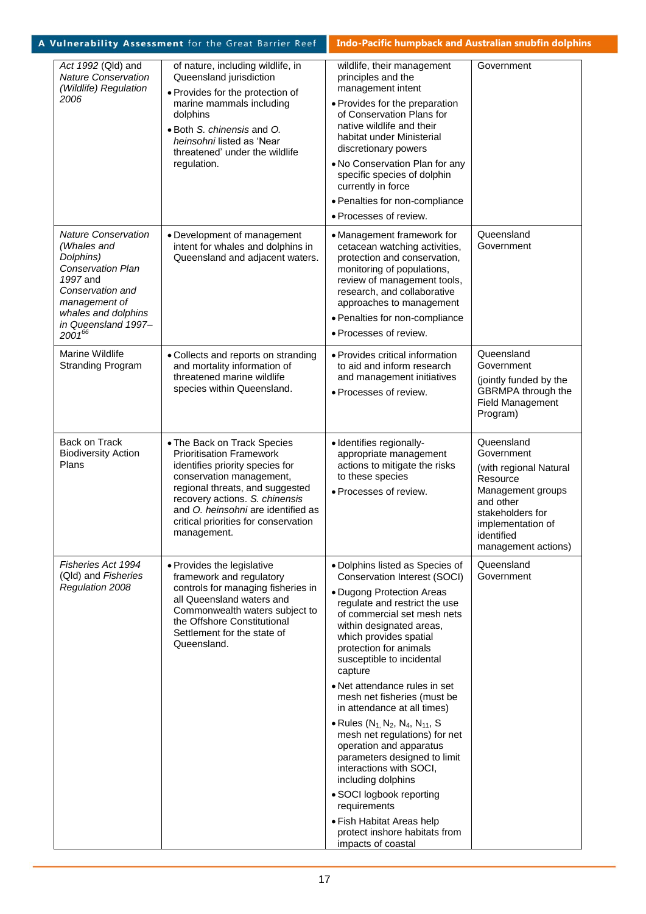|                                                                                                                      |                                                                           | A Vulnerability Assessment for the Great Barrier Reef                                                                                                                                                                                                                                           | Indo-Pacific humpback and Australian snubfin dolphins                                                                                                                                                                                                                                                                                                                                                                                                                                                                                                                                                                                                                                                    |                                                                                                                                                                                |
|----------------------------------------------------------------------------------------------------------------------|---------------------------------------------------------------------------|-------------------------------------------------------------------------------------------------------------------------------------------------------------------------------------------------------------------------------------------------------------------------------------------------|----------------------------------------------------------------------------------------------------------------------------------------------------------------------------------------------------------------------------------------------------------------------------------------------------------------------------------------------------------------------------------------------------------------------------------------------------------------------------------------------------------------------------------------------------------------------------------------------------------------------------------------------------------------------------------------------------------|--------------------------------------------------------------------------------------------------------------------------------------------------------------------------------|
| 2006                                                                                                                 | Act 1992 (Qld) and<br><b>Nature Conservation</b><br>(Wildlife) Regulation | of nature, including wildlife, in<br>Queensland jurisdiction<br>• Provides for the protection of<br>marine mammals including<br>dolphins<br>· Both S. chinensis and O.<br>heinsohni listed as 'Near<br>threatened' under the wildlife<br>regulation.                                            | wildlife, their management<br>principles and the<br>management intent<br>• Provides for the preparation<br>of Conservation Plans for<br>native wildlife and their<br>habitat under Ministerial<br>discretionary powers<br>. No Conservation Plan for any<br>specific species of dolphin<br>currently in force<br>• Penalties for non-compliance<br>• Processes of review.                                                                                                                                                                                                                                                                                                                                | Government                                                                                                                                                                     |
| (Whales and<br>Dolphins)<br><b>Conservation Plan</b><br>1997 and<br>Conservation and<br>management of<br>$2001^{66}$ | <b>Nature Conservation</b><br>whales and dolphins<br>in Queensland 1997-  | • Development of management<br>intent for whales and dolphins in<br>Queensland and adjacent waters.                                                                                                                                                                                             | • Management framework for<br>cetacean watching activities,<br>protection and conservation,<br>monitoring of populations,<br>review of management tools,<br>research, and collaborative<br>approaches to management<br>• Penalties for non-compliance<br>• Processes of review.                                                                                                                                                                                                                                                                                                                                                                                                                          | Queensland<br>Government                                                                                                                                                       |
| Marine Wildlife                                                                                                      | <b>Stranding Program</b>                                                  | · Collects and reports on stranding<br>and mortality information of<br>threatened marine wildlife<br>species within Queensland.                                                                                                                                                                 | • Provides critical information<br>to aid and inform research<br>and management initiatives<br>· Processes of review.                                                                                                                                                                                                                                                                                                                                                                                                                                                                                                                                                                                    | Queensland<br>Government<br>(jointly funded by the<br><b>GBRMPA</b> through the<br><b>Field Management</b><br>Program)                                                         |
| Back on Track<br><b>Biodiversity Action</b><br>Plans                                                                 |                                                                           | • The Back on Track Species<br><b>Prioritisation Framework</b><br>identifies priority species for<br>conservation management,<br>regional threats, and suggested<br>recovery actions. S. chinensis<br>and O. heinsohni are identified as<br>critical priorities for conservation<br>management. | · Identifies regionally-<br>appropriate management<br>actions to mitigate the risks<br>to these species<br>· Processes of review.                                                                                                                                                                                                                                                                                                                                                                                                                                                                                                                                                                        | Queensland<br>Government<br>(with regional Natural<br>Resource<br>Management groups<br>and other<br>stakeholders for<br>implementation of<br>identified<br>management actions) |
| Regulation 2008                                                                                                      | Fisheries Act 1994<br>(Qld) and Fisheries                                 | • Provides the legislative<br>framework and regulatory<br>controls for managing fisheries in<br>all Queensland waters and<br>Commonwealth waters subject to<br>the Offshore Constitutional<br>Settlement for the state of<br>Queensland.                                                        | • Dolphins listed as Species of<br>Conservation Interest (SOCI)<br>• Dugong Protection Areas<br>regulate and restrict the use<br>of commercial set mesh nets<br>within designated areas,<br>which provides spatial<br>protection for animals<br>susceptible to incidental<br>capture<br>• Net attendance rules in set<br>mesh net fisheries (must be<br>in attendance at all times)<br>• Rules $(N_1, N_2, N_4, N_{11}, S)$<br>mesh net regulations) for net<br>operation and apparatus<br>parameters designed to limit<br>interactions with SOCI,<br>including dolphins<br>• SOCI logbook reporting<br>requirements<br>• Fish Habitat Areas help<br>protect inshore habitats from<br>impacts of coastal | Queensland<br>Government                                                                                                                                                       |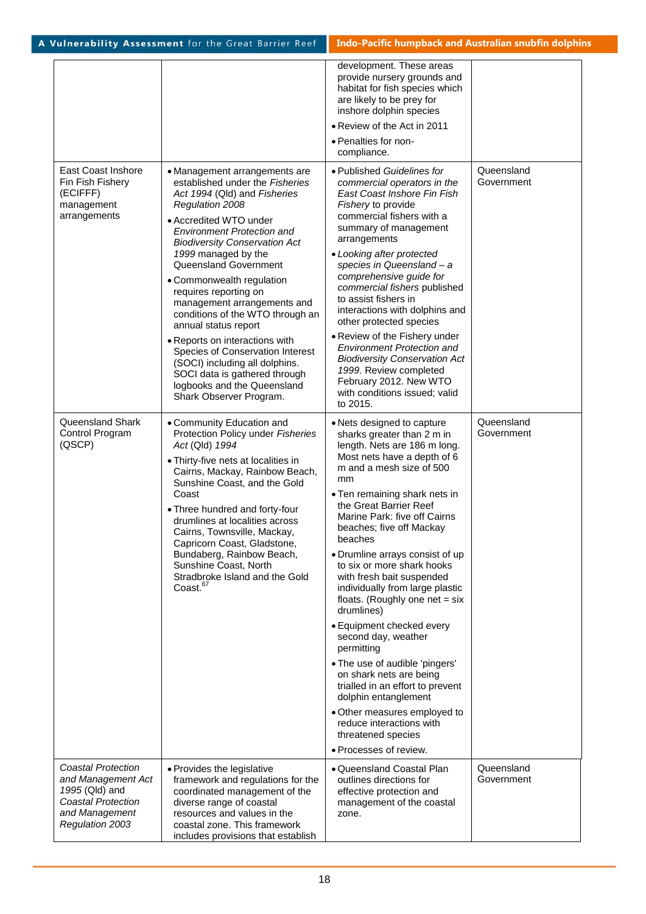|                                                                                                                              |                                                                                                                                                                                                                                                                                                                                                                                                                                                                                                                                                                                                                                | development. These areas<br>provide nursery grounds and<br>habitat for fish species which<br>are likely to be prey for<br>inshore dolphin species<br>• Review of the Act in 2011<br>• Penalties for non-<br>compliance.                                                                                                                                                                                                                                                                                                                                                                                                                                                                                                                                                               |                          |
|------------------------------------------------------------------------------------------------------------------------------|--------------------------------------------------------------------------------------------------------------------------------------------------------------------------------------------------------------------------------------------------------------------------------------------------------------------------------------------------------------------------------------------------------------------------------------------------------------------------------------------------------------------------------------------------------------------------------------------------------------------------------|---------------------------------------------------------------------------------------------------------------------------------------------------------------------------------------------------------------------------------------------------------------------------------------------------------------------------------------------------------------------------------------------------------------------------------------------------------------------------------------------------------------------------------------------------------------------------------------------------------------------------------------------------------------------------------------------------------------------------------------------------------------------------------------|--------------------------|
| East Coast Inshore<br>Fin Fish Fishery<br>(ECIFFF)<br>management<br>arrangements                                             | • Management arrangements are<br>established under the Fisheries<br>Act 1994 (Qld) and Fisheries<br>Regulation 2008<br>• Accredited WTO under<br><b>Environment Protection and</b><br><b>Biodiversity Conservation Act</b><br>1999 managed by the<br>Queensland Government<br>• Commonwealth regulation<br>requires reporting on<br>management arrangements and<br>conditions of the WTO through an<br>annual status report<br>• Reports on interactions with<br>Species of Conservation Interest<br>(SOCI) including all dolphins.<br>SOCI data is gathered through<br>logbooks and the Queensland<br>Shark Observer Program. | • Published Guidelines for<br>commercial operators in the<br>East Coast Inshore Fin Fish<br>Fishery to provide<br>commercial fishers with a<br>summary of management<br>arrangements<br>• Looking after protected<br>species in Queensland - a<br>comprehensive guide for<br>commercial fishers published<br>to assist fishers in<br>interactions with dolphins and<br>other protected species<br>• Review of the Fishery under<br><b>Environment Protection and</b><br><b>Biodiversity Conservation Act</b><br>1999. Review completed<br>February 2012. New WTO<br>with conditions issued; valid<br>to 2015.                                                                                                                                                                         | Queensland<br>Government |
| Queensland Shark<br>Control Program<br>(QSCP)                                                                                | • Community Education and<br>Protection Policy under Fisheries<br>Act (Qld) 1994<br>• Thirty-five nets at localities in<br>Cairns, Mackay, Rainbow Beach,<br>Sunshine Coast, and the Gold<br>Coast<br>• Three hundred and forty-four<br>drumlines at localities across<br>Cairns, Townsville, Mackay,<br>Capricorn Coast, Gladstone,<br>Bundaberg, Rainbow Beach,<br>Sunshine Coast, North<br>Stradbroke Island and the Gold<br>Coast. <sup>67</sup>                                                                                                                                                                           | • Nets designed to capture<br>sharks greater than 2 m in<br>length. Nets are 186 m long.<br>Most nets have a depth of 6<br>m and a mesh size of 500<br>mm<br>• Ten remaining shark nets in<br>the Great Barrier Reef<br>Marine Park: five off Cairns<br>beaches; five off Mackay<br>beaches<br>• Drumline arrays consist of up<br>to six or more shark hooks<br>with fresh bait suspended<br>individually from large plastic<br>floats. (Roughly one net $=$ six<br>drumlines)<br>• Equipment checked every<br>second day, weather<br>permitting<br>• The use of audible 'pingers'<br>on shark nets are being<br>trialled in an effort to prevent<br>dolphin entanglement<br>• Other measures employed to<br>reduce interactions with<br>threatened species<br>• Processes of review. | Queensland<br>Government |
| Coastal Protection<br>and Management Act<br>1995 (Qld) and<br><b>Coastal Protection</b><br>and Management<br>Regulation 2003 | • Provides the legislative<br>framework and regulations for the<br>coordinated management of the<br>diverse range of coastal<br>resources and values in the<br>coastal zone. This framework<br>includes provisions that establish                                                                                                                                                                                                                                                                                                                                                                                              | • Queensland Coastal Plan<br>outlines directions for<br>effective protection and<br>management of the coastal<br>zone.                                                                                                                                                                                                                                                                                                                                                                                                                                                                                                                                                                                                                                                                | Queensland<br>Government |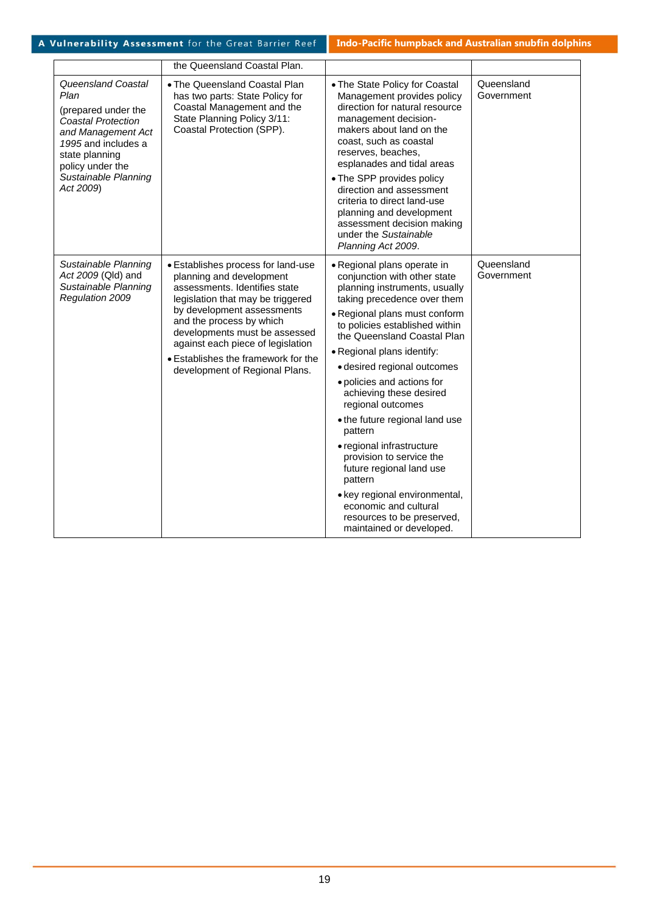|                                                                                                                                                                                                 | the Queensland Coastal Plan.                                                                                                                                                                                                                                                                                                                  |                                                                                                                                                                                                                                                                                                                                                                                                                                                                                                                                                                                                                                           |                          |
|-------------------------------------------------------------------------------------------------------------------------------------------------------------------------------------------------|-----------------------------------------------------------------------------------------------------------------------------------------------------------------------------------------------------------------------------------------------------------------------------------------------------------------------------------------------|-------------------------------------------------------------------------------------------------------------------------------------------------------------------------------------------------------------------------------------------------------------------------------------------------------------------------------------------------------------------------------------------------------------------------------------------------------------------------------------------------------------------------------------------------------------------------------------------------------------------------------------------|--------------------------|
| Queensland Coastal<br>Plan<br>(prepared under the<br>Coastal Protection<br>and Management Act<br>1995 and includes a<br>state planning<br>policy under the<br>Sustainable Planning<br>Act 2009) | . The Queensland Coastal Plan<br>has two parts: State Policy for<br>Coastal Management and the<br>State Planning Policy 3/11:<br>Coastal Protection (SPP).                                                                                                                                                                                    | • The State Policy for Coastal<br>Management provides policy<br>direction for natural resource<br>management decision-<br>makers about land on the<br>coast, such as coastal<br>reserves, beaches,<br>esplanades and tidal areas<br>• The SPP provides policy<br>direction and assessment<br>criteria to direct land-use<br>planning and development<br>assessment decision making<br>under the Sustainable<br>Planning Act 2009.                                                                                                                                                                                                         | Queensland<br>Government |
| Sustainable Planning<br>Act 2009 (Qld) and<br>Sustainable Planning<br>Regulation 2009                                                                                                           | • Establishes process for land-use<br>planning and development<br>assessments. Identifies state<br>legislation that may be triggered<br>by development assessments<br>and the process by which<br>developments must be assessed<br>against each piece of legislation<br>• Establishes the framework for the<br>development of Regional Plans. | • Regional plans operate in<br>conjunction with other state<br>planning instruments, usually<br>taking precedence over them<br>• Regional plans must conform<br>to policies established within<br>the Queensland Coastal Plan<br>• Regional plans identify:<br>· desired regional outcomes<br>• policies and actions for<br>achieving these desired<br>regional outcomes<br>• the future regional land use<br>pattern<br>• regional infrastructure<br>provision to service the<br>future regional land use<br>pattern<br>• key regional environmental,<br>economic and cultural<br>resources to be preserved,<br>maintained or developed. | Queensland<br>Government |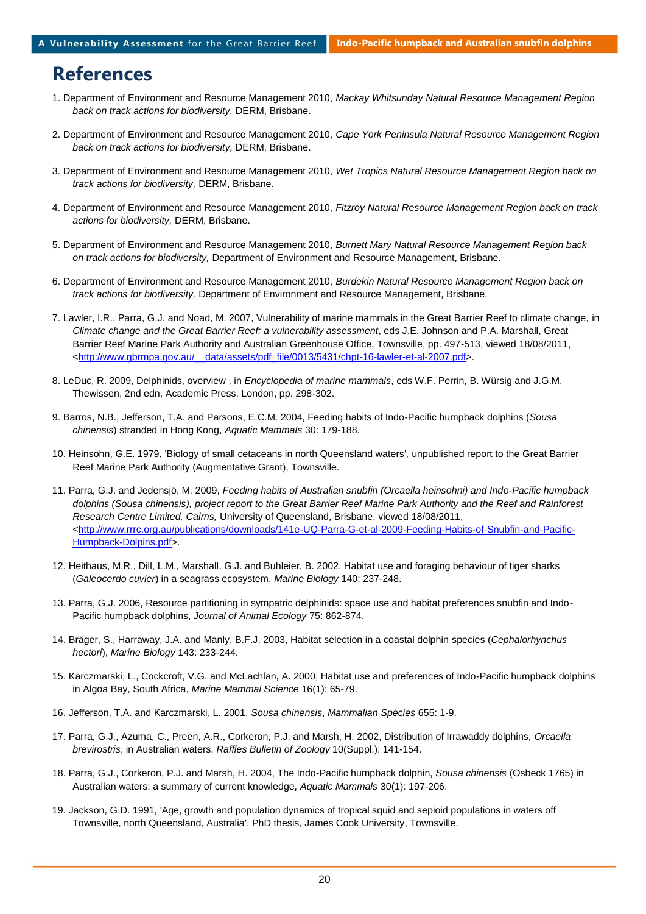# **References**

- 1. Department of Environment and Resource Management 2010, *Mackay Whitsunday Natural Resource Management Region back on track actions for biodiversity,* DERM, Brisbane.
- 2. Department of Environment and Resource Management 2010, *Cape York Peninsula Natural Resource Management Region back on track actions for biodiversity,* DERM, Brisbane.
- 3. Department of Environment and Resource Management 2010, *Wet Tropics Natural Resource Management Region back on track actions for biodiversity,* DERM, Brisbane.
- 4. Department of Environment and Resource Management 2010, *Fitzroy Natural Resource Management Region back on track actions for biodiversity,* DERM, Brisbane.
- 5. Department of Environment and Resource Management 2010, *Burnett Mary Natural Resource Management Region back on track actions for biodiversity,* Department of Environment and Resource Management, Brisbane.
- 6. Department of Environment and Resource Management 2010, *Burdekin Natural Resource Management Region back on track actions for biodiversity,* Department of Environment and Resource Management, Brisbane.
- 7. Lawler, I.R., Parra, G.J. and Noad, M. 2007, Vulnerability of marine mammals in the Great Barrier Reef to climate change, in *Climate change and the Great Barrier Reef: a vulnerability assessment*, eds J.E. Johnson and P.A. Marshall, Great Barrier Reef Marine Park Authority and Australian Greenhouse Office, Townsville, pp. 497-513, viewed 18/08/2011, [<http://www.gbrmpa.gov.au/\\_\\_data/assets/pdf\\_file/0013/5431/chpt-16-lawler-et-al-2007.pdf>](http://www.gbrmpa.gov.au/__data/assets/pdf_file/0013/5431/chpt-16-lawler-et-al-2007.pdf).
- 8. LeDuc, R. 2009, Delphinids, overview , in *Encyclopedia of marine mammals*, eds W.F. Perrin, B. Würsig and J.G.M. Thewissen, 2nd edn, Academic Press, London, pp. 298-302.
- 9. Barros, N.B., Jefferson, T.A. and Parsons, E.C.M. 2004, Feeding habits of Indo-Pacific humpback dolphins (*Sousa chinensis*) stranded in Hong Kong, *Aquatic Mammals* 30: 179-188.
- 10. Heinsohn, G.E. 1979, 'Biology of small cetaceans in north Queensland waters'*,* unpublished report to the Great Barrier Reef Marine Park Authority (Augmentative Grant), Townsville.
- 11. Parra, G.J. and Jedensjö, M. 2009, *Feeding habits of Australian snubfin (Orcaella heinsohni) and Indo-Pacific humpback dolphins (Sousa chinensis), project report to the Great Barrier Reef Marine Park Authority and the Reef and Rainforest Research Centre Limited, Cairns,* University of Queensland, Brisbane, viewed 18/08/2011, [<http://www.rrrc.org.au/publications/downloads/141e-UQ-Parra-G-et-al-2009-Feeding-Habits-of-Snubfin-and-Pacific-](http://www.rrrc.org.au/publications/downloads/141e-UQ-Parra-G-et-al-2009-Feeding-Habits-of-Snubfin-and-Pacific-Humpback-Dolpins.pdf)[Humpback-Dolpins.pdf>](http://www.rrrc.org.au/publications/downloads/141e-UQ-Parra-G-et-al-2009-Feeding-Habits-of-Snubfin-and-Pacific-Humpback-Dolpins.pdf).
- 12. Heithaus, M.R., Dill, L.M., Marshall, G.J. and Buhleier, B. 2002, Habitat use and foraging behaviour of tiger sharks (*Galeocerdo cuvier*) in a seagrass ecosystem, *Marine Biology* 140: 237-248.
- 13. Parra, G.J. 2006, Resource partitioning in sympatric delphinids: space use and habitat preferences snubfin and Indo-Pacific humpback dolphins, *Journal of Animal Ecology* 75: 862-874.
- 14. Bräger, S., Harraway, J.A. and Manly, B.F.J. 2003, Habitat selection in a coastal dolphin species (*Cephalorhynchus hectori*), *Marine Biology* 143: 233-244.
- 15. Karczmarski, L., Cockcroft, V.G. and McLachlan, A. 2000, Habitat use and preferences of Indo-Pacific humpback dolphins in Algoa Bay, South Africa, *Marine Mammal Science* 16(1): 65-79.
- 16. Jefferson, T.A. and Karczmarski, L. 2001, *Sousa chinensis*, *Mammalian Species* 655: 1-9.
- 17. Parra, G.J., Azuma, C., Preen, A.R., Corkeron, P.J. and Marsh, H. 2002, Distribution of Irrawaddy dolphins, *Orcaella brevirostris*, in Australian waters, *Raffles Bulletin of Zoology* 10(Suppl.): 141-154.
- 18. Parra, G.J., Corkeron, P.J. and Marsh, H. 2004, The Indo-Pacific humpback dolphin, *Sousa chinensis* (Osbeck 1765) in Australian waters: a summary of current knowledge, *Aquatic Mammals* 30(1): 197-206.
- 19. Jackson, G.D. 1991, 'Age, growth and population dynamics of tropical squid and sepioid populations in waters off Townsville, north Queensland, Australia', PhD thesis, James Cook University, Townsville.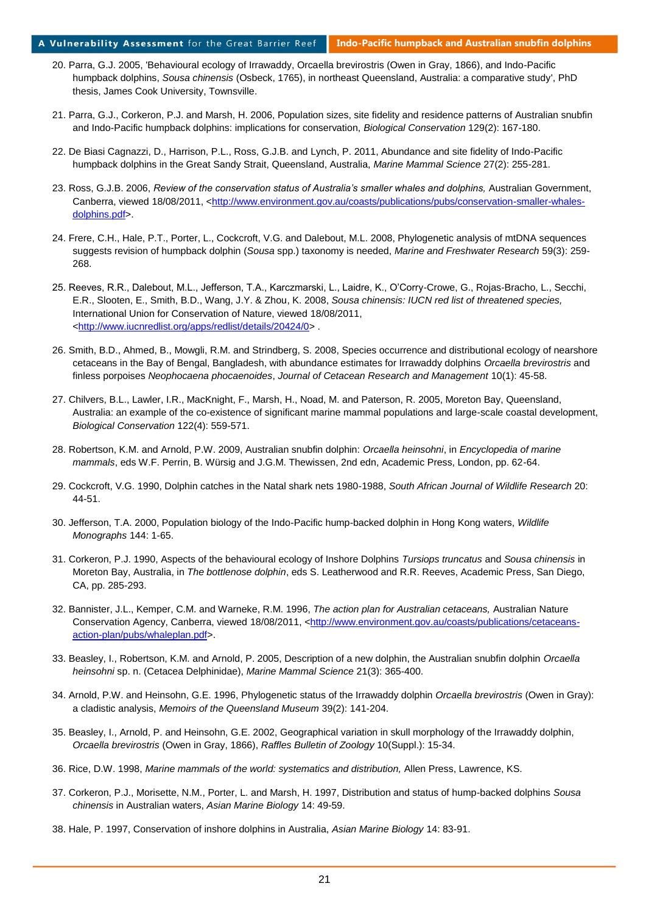#### A Vulnerability Assessment for the Great Barrier Reef **Indo-Pacific humpback and Australian snubfin dolphins**

- 20. Parra, G.J. 2005, 'Behavioural ecology of Irrawaddy, Orcaella brevirostris (Owen in Gray, 1866), and Indo-Pacific humpback dolphins, *Sousa chinensis* (Osbeck, 1765), in northeast Queensland, Australia: a comparative study', PhD thesis, James Cook University, Townsville.
- 21. Parra, G.J., Corkeron, P.J. and Marsh, H. 2006, Population sizes, site fidelity and residence patterns of Australian snubfin and Indo-Pacific humpback dolphins: implications for conservation, *Biological Conservation* 129(2): 167-180.
- 22. De Biasi Cagnazzi, D., Harrison, P.L., Ross, G.J.B. and Lynch, P. 2011, Abundance and site fidelity of Indo-Pacific humpback dolphins in the Great Sandy Strait, Queensland, Australia, *Marine Mammal Science* 27(2): 255-281.
- 23. Ross, G.J.B. 2006, *Review of the conservation status of Australia's smaller whales and dolphins,* Australian Government, Canberra, viewed 18/08/2011, [<http://www.environment.gov.au/coasts/publications/pubs/conservation-smaller-whales](http://www.environment.gov.au/coasts/publications/pubs/conservation-smaller-whales-dolphins.pdf)[dolphins.pdf>](http://www.environment.gov.au/coasts/publications/pubs/conservation-smaller-whales-dolphins.pdf).
- 24. Frere, C.H., Hale, P.T., Porter, L., Cockcroft, V.G. and Dalebout, M.L. 2008, Phylogenetic analysis of mtDNA sequences suggests revision of humpback dolphin (*Sousa* spp.) taxonomy is needed, *Marine and Freshwater Research* 59(3): 259- 268.
- 25. Reeves, R.R., Dalebout, M.L., Jefferson, T.A., Karczmarski, L., Laidre, K., O'Corry-Crowe, G., Rojas-Bracho, L., Secchi, E.R., Slooten, E., Smith, B.D., Wang, J.Y. & Zhou, K. 2008, *Sousa chinensis: IUCN red list of threatened species,*  International Union for Conservation of Nature, viewed 18/08/2011, [<http://www.iucnredlist.org/apps/redlist/details/20424/0>](http://www.iucnredlist.org/apps/redlist/details/20424/0) .
- 26. Smith, B.D., Ahmed, B., Mowgli, R.M. and Strindberg, S. 2008, Species occurrence and distributional ecology of nearshore cetaceans in the Bay of Bengal, Bangladesh, with abundance estimates for Irrawaddy dolphins *Orcaella brevirostris* and finless porpoises *Neophocaena phocaenoides*, *Journal of Cetacean Research and Management* 10(1): 45-58.
- 27. Chilvers, B.L., Lawler, I.R., MacKnight, F., Marsh, H., Noad, M. and Paterson, R. 2005, Moreton Bay, Queensland, Australia: an example of the co-existence of significant marine mammal populations and large-scale coastal development, *Biological Conservation* 122(4): 559-571.
- 28. Robertson, K.M. and Arnold, P.W. 2009, Australian snubfin dolphin: *Orcaella heinsohni*, in *Encyclopedia of marine mammals*, eds W.F. Perrin, B. Würsig and J.G.M. Thewissen, 2nd edn, Academic Press, London, pp. 62-64.
- 29. Cockcroft, V.G. 1990, Dolphin catches in the Natal shark nets 1980-1988, *South African Journal of Wildlife Research* 20: 44-51.
- 30. Jefferson, T.A. 2000, Population biology of the Indo-Pacific hump-backed dolphin in Hong Kong waters, *Wildlife Monographs* 144: 1-65.
- 31. Corkeron, P.J. 1990, Aspects of the behavioural ecology of Inshore Dolphins *Tursiops truncatus* and *Sousa chinensis* in Moreton Bay, Australia, in *The bottlenose dolphin*, eds S. Leatherwood and R.R. Reeves, Academic Press, San Diego, CA, pp. 285-293.
- 32. Bannister, J.L., Kemper, C.M. and Warneke, R.M. 1996, *The action plan for Australian cetaceans,* Australian Nature Conservation Agency, Canberra, viewed 18/08/2011, [<http://www.environment.gov.au/coasts/publications/cetaceans](http://www.environment.gov.au/coasts/publications/cetaceans-action-plan/pubs/whaleplan.pdf)[action-plan/pubs/whaleplan.pdf>](http://www.environment.gov.au/coasts/publications/cetaceans-action-plan/pubs/whaleplan.pdf).
- 33. Beasley, I., Robertson, K.M. and Arnold, P. 2005, Description of a new dolphin, the Australian snubfin dolphin *Orcaella heinsohni* sp. n. (Cetacea Delphinidae), *Marine Mammal Science* 21(3): 365-400.
- 34. Arnold, P.W. and Heinsohn, G.E. 1996, Phylogenetic status of the Irrawaddy dolphin *Orcaella brevirostris* (Owen in Gray): a cladistic analysis, *Memoirs of the Queensland Museum* 39(2): 141-204.
- 35. Beasley, I., Arnold, P. and Heinsohn, G.E. 2002, Geographical variation in skull morphology of the Irrawaddy dolphin, *Orcaella brevirostris* (Owen in Gray, 1866), *Raffles Bulletin of Zoology* 10(Suppl.): 15-34.
- 36. Rice, D.W. 1998, *Marine mammals of the world: systematics and distribution,* Allen Press, Lawrence, KS.
- 37. Corkeron, P.J., Morisette, N.M., Porter, L. and Marsh, H. 1997, Distribution and status of hump-backed dolphins *Sousa chinensis* in Australian waters, *Asian Marine Biology* 14: 49-59.
- 38. Hale, P. 1997, Conservation of inshore dolphins in Australia, *Asian Marine Biology* 14: 83-91.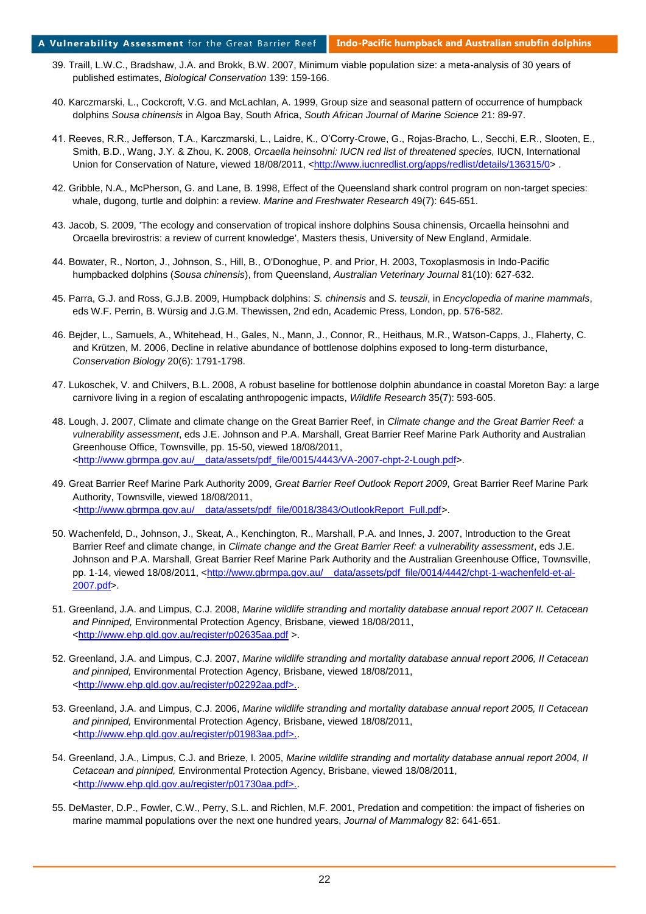- 39. Traill, L.W.C., Bradshaw, J.A. and Brokk, B.W. 2007, Minimum viable population size: a meta-analysis of 30 years of published estimates, *Biological Conservation* 139: 159-166.
- 40. Karczmarski, L., Cockcroft, V.G. and McLachlan, A. 1999, Group size and seasonal pattern of occurrence of humpback dolphins *Sousa chinensis* in Algoa Bay, South Africa, *South African Journal of Marine Science* 21: 89-97.
- 41. Reeves, R.R., Jefferson, T.A., Karczmarski, L., Laidre, K., O'Corry-Crowe, G., Rojas-Bracho, L., Secchi, E.R., Slooten, E., Smith, B.D., Wang, J.Y. & Zhou, K. 2008, *Orcaella heinsohni: IUCN red list of threatened species*, IUCN, International Union for Conservation of Nature, viewed 18/08/2011, [<http://www.iucnredlist.org/apps/redlist/details/136315/0>](http://www.iucnredlist.org/apps/redlist/details/136315/0).
- 42. Gribble, N.A., McPherson, G. and Lane, B. 1998, Effect of the Queensland shark control program on non-target species: whale, dugong, turtle and dolphin: a review. *Marine and Freshwater Research* 49(7): 645-651.
- 43. Jacob, S. 2009, 'The ecology and conservation of tropical inshore dolphins Sousa chinensis, Orcaella heinsohni and Orcaella brevirostris: a review of current knowledge', Masters thesis, University of New England, Armidale.
- 44. Bowater, R., Norton, J., Johnson, S., Hill, B., O'Donoghue, P. and Prior, H. 2003, Toxoplasmosis in Indo-Pacific humpbacked dolphins (*Sousa chinensis*), from Queensland, *Australian Veterinary Journal* 81(10): 627-632.
- 45. Parra, G.J. and Ross, G.J.B. 2009, Humpback dolphins: *S. chinensis* and *S. teuszii*, in *Encyclopedia of marine mammals*, eds W.F. Perrin, B. Würsig and J.G.M. Thewissen, 2nd edn, Academic Press, London, pp. 576-582.
- 46. Bejder, L., Samuels, A., Whitehead, H., Gales, N., Mann, J., Connor, R., Heithaus, M.R., Watson-Capps, J., Flaherty, C. and Krützen, M. 2006, Decline in relative abundance of bottlenose dolphins exposed to long-term disturbance, *Conservation Biology* 20(6): 1791-1798.
- 47. Lukoschek, V. and Chilvers, B.L. 2008, A robust baseline for bottlenose dolphin abundance in coastal Moreton Bay: a large carnivore living in a region of escalating anthropogenic impacts, *Wildlife Research* 35(7): 593-605.
- 48. Lough, J. 2007, Climate and climate change on the Great Barrier Reef, in *Climate change and the Great Barrier Reef: a vulnerability assessment*, eds J.E. Johnson and P.A. Marshall, Great Barrier Reef Marine Park Authority and Australian Greenhouse Office, Townsville, pp. 15-50, viewed 18/08/2011, [<http://www.gbrmpa.gov.au/\\_\\_data/assets/pdf\\_file/0015/4443/VA-2007-chpt-2-Lough.pdf>](http://www.gbrmpa.gov.au/__data/assets/pdf_file/0015/4443/VA-2007-chpt-2-Lough.pdf).
- 49. Great Barrier Reef Marine Park Authority 2009, *Great Barrier Reef Outlook Report 2009,* Great Barrier Reef Marine Park Authority, Townsville, viewed 18/08/2011, [<http://www.gbrmpa.gov.au/\\_\\_data/assets/pdf\\_file/0018/3843/OutlookReport\\_Full.pdf>](http://www.gbrmpa.gov.au/__data/assets/pdf_file/0018/3843/OutlookReport_Full.pdf).
- 50. Wachenfeld, D., Johnson, J., Skeat, A., Kenchington, R., Marshall, P.A. and Innes, J. 2007, Introduction to the Great Barrier Reef and climate change, in *Climate change and the Great Barrier Reef: a vulnerability assessment*, eds J.E. Johnson and P.A. Marshall, Great Barrier Reef Marine Park Authority and the Australian Greenhouse Office, Townsville, pp. 1-14, viewed 18/08/2011, [<http://www.gbrmpa.gov.au/\\_\\_data/assets/pdf\\_file/0014/4442/chpt-1-wachenfeld-et-al-](http://www.gbrmpa.gov.au/__data/assets/pdf_file/0014/4442/chpt-1-wachenfeld-et-al-2007.pdf)[2007.pdf>](http://www.gbrmpa.gov.au/__data/assets/pdf_file/0014/4442/chpt-1-wachenfeld-et-al-2007.pdf).
- 51. Greenland, J.A. and Limpus, C.J. 2008, *Marine wildlife stranding and mortality database annual report 2007 II. Cetacean and Pinniped,* Environmental Protection Agency, Brisbane, viewed 18/08/2011, [<http://www.ehp.qld.gov.au/register/p02635aa.pdf](http://www.ehp.qld.gov.au/register/p02635aa.pdf) >.
- 52. Greenland, J.A. and Limpus, C.J. 2007, *Marine wildlife stranding and mortality database annual report 2006, II Cetacean and pinniped,* Environmental Protection Agency, Brisbane, viewed 18/08/2011, [<http://www.ehp.qld.gov.au/register/p02292aa.pdf>..](http://www.ehp.qld.gov.au/register/p02292aa.pdf%3e.)
- 53. Greenland, J.A. and Limpus, C.J. 2006, *Marine wildlife stranding and mortality database annual report 2005, II Cetacean and pinniped,* Environmental Protection Agency, Brisbane, viewed 18/08/2011, [<http://www.ehp.qld.gov.au/register/p01983aa.pdf>..](http://www.ehp.qld.gov.au/register/p01983aa.pdf%3e.)
- 54. Greenland, J.A., Limpus, C.J. and Brieze, I. 2005, *Marine wildlife stranding and mortality database annual report 2004, II Cetacean and pinniped,* Environmental Protection Agency, Brisbane, viewed 18/08/2011, [<http://www.ehp.qld.gov.au/register/p01730aa.pdf>..](http://www.ehp.qld.gov.au/register/p01730aa.pdf%3e.)
- 55. DeMaster, D.P., Fowler, C.W., Perry, S.L. and Richlen, M.F. 2001, Predation and competition: the impact of fisheries on marine mammal populations over the next one hundred years, *Journal of Mammalogy* 82: 641-651.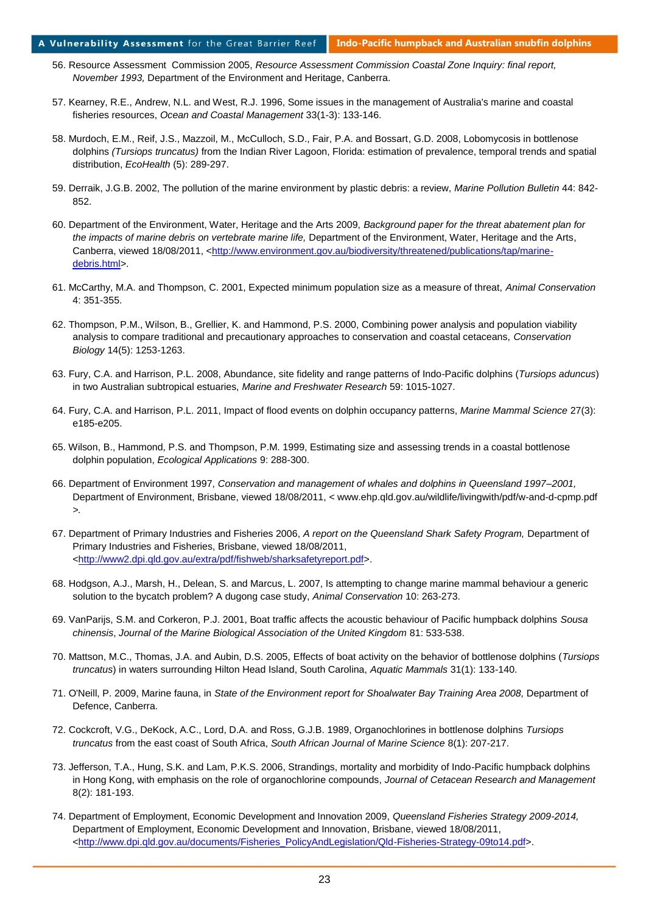#### A Vulnerability Assessment for the Great Barrier Reef **Indo-Pacific humpback and Australian snubfin dolphins**

- 56. Resource Assessment Commission 2005, *Resource Assessment Commission Coastal Zone Inquiry: final report, November 1993,* Department of the Environment and Heritage, Canberra.
- 57. Kearney, R.E., Andrew, N.L. and West, R.J. 1996, Some issues in the management of Australia's marine and coastal fisheries resources, *Ocean and Coastal Management* 33(1-3): 133-146.
- 58. Murdoch, E.M., Reif, J.S., Mazzoil, M., McCulloch, S.D., Fair, P.A. and Bossart, G.D. 2008, Lobomycosis in bottlenose dolphins *(Tursiops truncatus)* from the Indian River Lagoon, Florida: estimation of prevalence, temporal trends and spatial distribution, *EcoHealth* (5): 289-297.
- 59. Derraik, J.G.B. 2002, The pollution of the marine environment by plastic debris: a review, *Marine Pollution Bulletin* 44: 842- 852.
- 60. Department of the Environment, Water, Heritage and the Arts 2009, *Background paper for the threat abatement plan for the impacts of marine debris on vertebrate marine life,* Department of the Environment, Water, Heritage and the Arts, Canberra, viewed 18/08/2011, [<http://www.environment.gov.au/biodiversity/threatened/publications/tap/marine](http://www.environment.gov.au/biodiversity/threatened/publications/tap/marine-debris.html)[debris.html>](http://www.environment.gov.au/biodiversity/threatened/publications/tap/marine-debris.html).
- 61. McCarthy, M.A. and Thompson, C. 2001, Expected minimum population size as a measure of threat, *Animal Conservation*  4: 351-355.
- 62. Thompson, P.M., Wilson, B., Grellier, K. and Hammond, P.S. 2000, Combining power analysis and population viability analysis to compare traditional and precautionary approaches to conservation and coastal cetaceans, *Conservation Biology* 14(5): 1253-1263.
- 63. Fury, C.A. and Harrison, P.L. 2008, Abundance, site fidelity and range patterns of Indo-Pacific dolphins (*Tursiops aduncus*) in two Australian subtropical estuaries, *Marine and Freshwater Research* 59: 1015-1027.
- 64. Fury, C.A. and Harrison, P.L. 2011, Impact of flood events on dolphin occupancy patterns, *Marine Mammal Science* 27(3): e185-e205.
- 65. Wilson, B., Hammond, P.S. and Thompson, P.M. 1999, Estimating size and assessing trends in a coastal bottlenose dolphin population, *Ecological Applications* 9: 288-300.
- 66. Department of Environment 1997, *Conservation and management of whales and dolphins in Queensland 1997–2001,*  Department of Environment, Brisbane, viewed 18/08/2011, *<* www.ehp.qld.gov.au/wildlife/livingwith/pdf/w-and-d-cpmp.pdf *>.*
- 67. Department of Primary Industries and Fisheries 2006, *A report on the Queensland Shark Safety Program,* Department of Primary Industries and Fisheries, Brisbane, viewed 18/08/2011, [<http://www2.dpi.qld.gov.au/extra/pdf/fishweb/sharksafetyreport.pdf>](http://www2.dpi.qld.gov.au/extra/pdf/fishweb/sharksafetyreport.pdf).
- 68. Hodgson, A.J., Marsh, H., Delean, S. and Marcus, L. 2007, Is attempting to change marine mammal behaviour a generic solution to the bycatch problem? A dugong case study, *Animal Conservation* 10: 263-273.
- 69. VanParijs, S.M. and Corkeron, P.J. 2001, Boat traffic affects the acoustic behaviour of Pacific humpback dolphins *Sousa chinensis*, *Journal of the Marine Biological Association of the United Kingdom* 81: 533-538.
- 70. Mattson, M.C., Thomas, J.A. and Aubin, D.S. 2005, Effects of boat activity on the behavior of bottlenose dolphins (*Tursiops truncatus*) in waters surrounding Hilton Head Island, South Carolina, *Aquatic Mammals* 31(1): 133-140.
- 71. O'Neill, P. 2009, Marine fauna, in *State of the Environment report for Shoalwater Bay Training Area 2008,* Department of Defence, Canberra.
- 72. Cockcroft, V.G., DeKock, A.C., Lord, D.A. and Ross, G.J.B. 1989, Organochlorines in bottlenose dolphins *Tursiops truncatus* from the east coast of South Africa, *South African Journal of Marine Science* 8(1): 207-217.
- 73. Jefferson, T.A., Hung, S.K. and Lam, P.K.S. 2006, Strandings, mortality and morbidity of Indo-Pacific humpback dolphins in Hong Kong, with emphasis on the role of organochlorine compounds, *Journal of Cetacean Research and Management*  8(2): 181-193.
- 74. Department of Employment, Economic Development and Innovation 2009, *Queensland Fisheries Strategy 2009-2014,* Department of Employment, Economic Development and Innovation, Brisbane, viewed 18/08/2011, [<http://www.dpi.qld.gov.au/documents/Fisheries\\_PolicyAndLegislation/Qld-Fisheries-Strategy-09to14.pdf>](http://www.dpi.qld.gov.au/documents/Fisheries_PolicyAndLegislation/Qld-Fisheries-Strategy-09to14.pdf).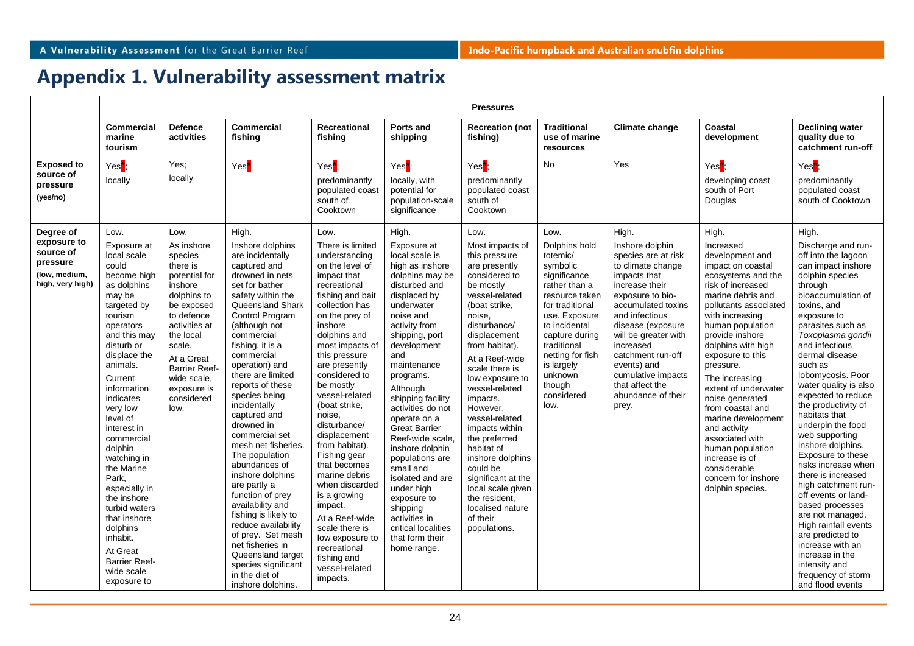# **Appendix 1. Vulnerability assessment matrix**

|                                                                           | <b>Pressures</b>                                                                                                                                                                                                                                                                                                                                                                                                                                                                    |                                                                                                                                                                                                                                            |                                                                                                                                                                                                                                                                                                                                                                                                                                                                                                                                                                                                                                                                                     |                                                                                                                                                                                                                                                                                                                                                                                                                                                                                                                                                                            |                                                                                                                                                                                                                                                                                                                                                                                                                                                                                                                                  |                                                                                                                                                                                                                                                                                                                                                                                                                                                                                                |                                                                                                                                                                                                                                                             |                                                                                                                                                                                                                                                                                                                                 |                                                                                                                                                                                                                                                                                                                                                                                                                                                                                                        |                                                                                                                                                                                                                                                                                                                                                                                                                                                                                                                                                                                                                                                                                                                         |
|---------------------------------------------------------------------------|-------------------------------------------------------------------------------------------------------------------------------------------------------------------------------------------------------------------------------------------------------------------------------------------------------------------------------------------------------------------------------------------------------------------------------------------------------------------------------------|--------------------------------------------------------------------------------------------------------------------------------------------------------------------------------------------------------------------------------------------|-------------------------------------------------------------------------------------------------------------------------------------------------------------------------------------------------------------------------------------------------------------------------------------------------------------------------------------------------------------------------------------------------------------------------------------------------------------------------------------------------------------------------------------------------------------------------------------------------------------------------------------------------------------------------------------|----------------------------------------------------------------------------------------------------------------------------------------------------------------------------------------------------------------------------------------------------------------------------------------------------------------------------------------------------------------------------------------------------------------------------------------------------------------------------------------------------------------------------------------------------------------------------|----------------------------------------------------------------------------------------------------------------------------------------------------------------------------------------------------------------------------------------------------------------------------------------------------------------------------------------------------------------------------------------------------------------------------------------------------------------------------------------------------------------------------------|------------------------------------------------------------------------------------------------------------------------------------------------------------------------------------------------------------------------------------------------------------------------------------------------------------------------------------------------------------------------------------------------------------------------------------------------------------------------------------------------|-------------------------------------------------------------------------------------------------------------------------------------------------------------------------------------------------------------------------------------------------------------|---------------------------------------------------------------------------------------------------------------------------------------------------------------------------------------------------------------------------------------------------------------------------------------------------------------------------------|--------------------------------------------------------------------------------------------------------------------------------------------------------------------------------------------------------------------------------------------------------------------------------------------------------------------------------------------------------------------------------------------------------------------------------------------------------------------------------------------------------|-------------------------------------------------------------------------------------------------------------------------------------------------------------------------------------------------------------------------------------------------------------------------------------------------------------------------------------------------------------------------------------------------------------------------------------------------------------------------------------------------------------------------------------------------------------------------------------------------------------------------------------------------------------------------------------------------------------------------|
|                                                                           | <b>Commercial</b><br>marine<br>tourism                                                                                                                                                                                                                                                                                                                                                                                                                                              | <b>Defence</b><br>activities                                                                                                                                                                                                               | <b>Commercial</b><br>fishing                                                                                                                                                                                                                                                                                                                                                                                                                                                                                                                                                                                                                                                        | Recreational<br>fishing                                                                                                                                                                                                                                                                                                                                                                                                                                                                                                                                                    | Ports and<br>shipping                                                                                                                                                                                                                                                                                                                                                                                                                                                                                                            | <b>Recreation (not</b><br>fishing)                                                                                                                                                                                                                                                                                                                                                                                                                                                             | <b>Traditional</b><br>use of marine<br>resources                                                                                                                                                                                                            | <b>Climate change</b>                                                                                                                                                                                                                                                                                                           | Coastal<br>development                                                                                                                                                                                                                                                                                                                                                                                                                                                                                 | <b>Declining water</b><br>quality due to<br>catchment run-off                                                                                                                                                                                                                                                                                                                                                                                                                                                                                                                                                                                                                                                           |
| <b>Exposed to</b><br>source of<br>pressure<br>(yes/no)<br>Degree of       | Yes <sup>1</sup><br>locally<br>Low.                                                                                                                                                                                                                                                                                                                                                                                                                                                 | Yes:<br>locally<br>Low.                                                                                                                                                                                                                    | Yes <sup>*</sup><br>High.                                                                                                                                                                                                                                                                                                                                                                                                                                                                                                                                                                                                                                                           | Yes <sup>*</sup> ;<br>predominantly<br>populated coast<br>south of<br>Cooktown<br>Low.                                                                                                                                                                                                                                                                                                                                                                                                                                                                                     | Yes <sup>*</sup><br>locally, with<br>potential for<br>population-scale<br>significance<br>High.                                                                                                                                                                                                                                                                                                                                                                                                                                  | Yes <sup>*</sup> :<br>predominantly<br>populated coast<br>south of<br>Cooktown<br>Low.                                                                                                                                                                                                                                                                                                                                                                                                         | <b>No</b><br>Low.                                                                                                                                                                                                                                           | Yes<br>High.                                                                                                                                                                                                                                                                                                                    | Yes <sup>*</sup><br>developing coast<br>south of Port<br>Douglas<br>High.                                                                                                                                                                                                                                                                                                                                                                                                                              | Yes <sup>*</sup> ;<br>predominantly<br>populated coast<br>south of Cooktown<br>High.                                                                                                                                                                                                                                                                                                                                                                                                                                                                                                                                                                                                                                    |
| exposure to<br>source of<br>pressure<br>(low, medium,<br>high, very high) | Exposure at<br>local scale<br>could<br>become high<br>as dolphins<br>may be<br>targeted by<br>tourism<br>operators<br>and this may<br>disturb or<br>displace the<br>animals.<br>Current<br>information<br>indicates<br>very low<br>level of<br>interest in<br>commercial<br>dolphin<br>watching in<br>the Marine<br>Park.<br>especially in<br>the inshore<br>turbid waters<br>that inshore<br>dolphins<br>inhabit.<br>At Great<br><b>Barrier Reef-</b><br>wide scale<br>exposure to | As inshore<br>species<br>there is<br>potential for<br>inshore<br>dolphins to<br>be exposed<br>to defence<br>activities at<br>the local<br>scale.<br>At a Great<br><b>Barrier Reef-</b><br>wide scale,<br>exposure is<br>considered<br>low. | Inshore dolphins<br>are incidentally<br>captured and<br>drowned in nets<br>set for bather<br>safety within the<br>Queensland Shark<br>Control Program<br>(although not<br>commercial<br>fishing, it is a<br>commercial<br>operation) and<br>there are limited<br>reports of these<br>species being<br>incidentally<br>captured and<br>drowned in<br>commercial set<br>mesh net fisheries.<br>The population<br>abundances of<br>inshore dolphins<br>are partly a<br>function of prey<br>availability and<br>fishing is likely to<br>reduce availability<br>of prey. Set mesh<br>net fisheries in<br>Queensland target<br>species significant<br>in the diet of<br>inshore dolphins. | There is limited<br>understanding<br>on the level of<br>impact that<br>recreational<br>fishing and bait<br>collection has<br>on the prey of<br>inshore<br>dolphins and<br>most impacts of<br>this pressure<br>are presently<br>considered to<br>be mostly<br>vessel-related<br>(boat strike.<br>noise.<br>disturbance/<br>displacement<br>from habitat).<br>Fishing gear<br>that becomes<br>marine debris<br>when discarded<br>is a growing<br>impact.<br>At a Reef-wide<br>scale there is<br>low exposure to<br>recreational<br>fishing and<br>vessel-related<br>impacts. | Exposure at<br>local scale is<br>high as inshore<br>dolphins may be<br>disturbed and<br>displaced by<br>underwater<br>noise and<br>activity from<br>shipping, port<br>development<br>and<br>maintenance<br>programs.<br>Although<br>shipping facility<br>activities do not<br>operate on a<br><b>Great Barrier</b><br>Reef-wide scale.<br>inshore dolphin<br>populations are<br>small and<br>isolated and are<br>under high<br>exposure to<br>shipping<br>activities in<br>critical localities<br>that form their<br>home range. | Most impacts of<br>this pressure<br>are presently<br>considered to<br>be mostly<br>vessel-related<br>(boat strike,<br>noise.<br>disturbance/<br>displacement<br>from habitat).<br>At a Reef-wide<br>scale there is<br>low exposure to<br>vessel-related<br>impacts.<br>However.<br>vessel-related<br>impacts within<br>the preferred<br>habitat of<br>inshore dolphins<br>could be<br>significant at the<br>local scale given<br>the resident.<br>localised nature<br>of their<br>populations. | Dolphins hold<br>totemic/<br>symbolic<br>significance<br>rather than a<br>resource taken<br>for traditional<br>use. Exposure<br>to incidental<br>capture during<br>traditional<br>netting for fish<br>is largely<br>unknown<br>though<br>considered<br>low. | Inshore dolphin<br>species are at risk<br>to climate change<br>impacts that<br>increase their<br>exposure to bio-<br>accumulated toxins<br>and infectious<br>disease (exposure<br>will be greater with<br>increased<br>catchment run-off<br>events) and<br>cumulative impacts<br>that affect the<br>abundance of their<br>prey. | Increased<br>development and<br>impact on coastal<br>ecosystems and the<br>risk of increased<br>marine debris and<br>pollutants associated<br>with increasing<br>human population<br>provide inshore<br>dolphins with high<br>exposure to this<br>pressure.<br>The increasing<br>extent of underwater<br>noise generated<br>from coastal and<br>marine development<br>and activity<br>associated with<br>human population<br>increase is of<br>considerable<br>concern for inshore<br>dolphin species. | Discharge and run-<br>off into the lagoon<br>can impact inshore<br>dolphin species<br>through<br>bioaccumulation of<br>toxins, and<br>exposure to<br>parasites such as<br>Toxoplasma gondii<br>and infectious<br>dermal disease<br>such as<br>lobomycosis. Poor<br>water quality is also<br>expected to reduce<br>the productivity of<br>habitats that<br>underpin the food<br>web supporting<br>inshore dolphins.<br>Exposure to these<br>risks increase when<br>there is increased<br>high catchment run-<br>off events or land-<br>based processes<br>are not managed.<br>High rainfall events<br>are predicted to<br>increase with an<br>increase in the<br>intensity and<br>frequency of storm<br>and flood events |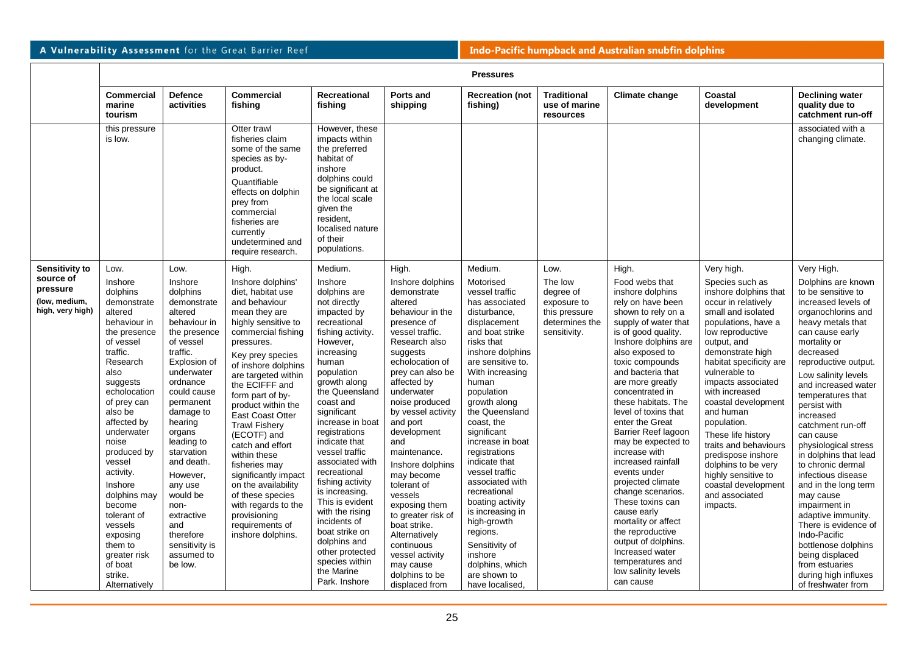|                                                                              | <b>Pressures</b>                                                                                                                                                                                                                                                                                                                                                                                                  |                                                                                                                                                                                                                                                                                                                                                                                          |                                                                                                                                                                                                                                                                                                                                                                                                                                                                                                                                                     |                                                                                                                                                                                                                                                                                                                                                                                                                                                                                                                                    |                                                                                                                                                                                                                                                                                                                                                                                                                                                                                                                            |                                                                                                                                                                                                                                                                                                                                                                                                                                                                                                                                              |                                                                                                |                                                                                                                                                                                                                                                                                                                                                                                                                                                                                                                                                                                                                                                                 |                                                                                                                                                                                                                                                                                                                                                                                                                                                                                                  |                                                                                                                                                                                                                                                                                                                                                                                                                                                                                                                                                                                                                                                              |
|------------------------------------------------------------------------------|-------------------------------------------------------------------------------------------------------------------------------------------------------------------------------------------------------------------------------------------------------------------------------------------------------------------------------------------------------------------------------------------------------------------|------------------------------------------------------------------------------------------------------------------------------------------------------------------------------------------------------------------------------------------------------------------------------------------------------------------------------------------------------------------------------------------|-----------------------------------------------------------------------------------------------------------------------------------------------------------------------------------------------------------------------------------------------------------------------------------------------------------------------------------------------------------------------------------------------------------------------------------------------------------------------------------------------------------------------------------------------------|------------------------------------------------------------------------------------------------------------------------------------------------------------------------------------------------------------------------------------------------------------------------------------------------------------------------------------------------------------------------------------------------------------------------------------------------------------------------------------------------------------------------------------|----------------------------------------------------------------------------------------------------------------------------------------------------------------------------------------------------------------------------------------------------------------------------------------------------------------------------------------------------------------------------------------------------------------------------------------------------------------------------------------------------------------------------|----------------------------------------------------------------------------------------------------------------------------------------------------------------------------------------------------------------------------------------------------------------------------------------------------------------------------------------------------------------------------------------------------------------------------------------------------------------------------------------------------------------------------------------------|------------------------------------------------------------------------------------------------|-----------------------------------------------------------------------------------------------------------------------------------------------------------------------------------------------------------------------------------------------------------------------------------------------------------------------------------------------------------------------------------------------------------------------------------------------------------------------------------------------------------------------------------------------------------------------------------------------------------------------------------------------------------------|--------------------------------------------------------------------------------------------------------------------------------------------------------------------------------------------------------------------------------------------------------------------------------------------------------------------------------------------------------------------------------------------------------------------------------------------------------------------------------------------------|--------------------------------------------------------------------------------------------------------------------------------------------------------------------------------------------------------------------------------------------------------------------------------------------------------------------------------------------------------------------------------------------------------------------------------------------------------------------------------------------------------------------------------------------------------------------------------------------------------------------------------------------------------------|
|                                                                              | Commercial<br>marine<br>tourism                                                                                                                                                                                                                                                                                                                                                                                   | <b>Defence</b><br>activities                                                                                                                                                                                                                                                                                                                                                             | <b>Commercial</b><br>fishing                                                                                                                                                                                                                                                                                                                                                                                                                                                                                                                        | Recreational<br>fishing                                                                                                                                                                                                                                                                                                                                                                                                                                                                                                            | Ports and<br>shipping                                                                                                                                                                                                                                                                                                                                                                                                                                                                                                      | <b>Recreation (not</b><br>fishing)                                                                                                                                                                                                                                                                                                                                                                                                                                                                                                           | <b>Traditional</b><br>use of marine<br>resources                                               | Climate change                                                                                                                                                                                                                                                                                                                                                                                                                                                                                                                                                                                                                                                  | Coastal<br>development                                                                                                                                                                                                                                                                                                                                                                                                                                                                           | <b>Declining water</b><br>quality due to<br>catchment run-off                                                                                                                                                                                                                                                                                                                                                                                                                                                                                                                                                                                                |
|                                                                              | this pressure<br>is low.                                                                                                                                                                                                                                                                                                                                                                                          |                                                                                                                                                                                                                                                                                                                                                                                          | Otter trawl<br>fisheries claim<br>some of the same<br>species as by-<br>product.<br>Quantifiable<br>effects on dolphin<br>prey from<br>commercial<br>fisheries are<br>currently<br>undetermined and<br>require research.                                                                                                                                                                                                                                                                                                                            | However, these<br>impacts within<br>the preferred<br>habitat of<br>inshore<br>dolphins could<br>be significant at<br>the local scale<br>given the<br>resident.<br>localised nature<br>of their<br>populations.                                                                                                                                                                                                                                                                                                                     |                                                                                                                                                                                                                                                                                                                                                                                                                                                                                                                            |                                                                                                                                                                                                                                                                                                                                                                                                                                                                                                                                              |                                                                                                |                                                                                                                                                                                                                                                                                                                                                                                                                                                                                                                                                                                                                                                                 |                                                                                                                                                                                                                                                                                                                                                                                                                                                                                                  | associated with a<br>changing climate.                                                                                                                                                                                                                                                                                                                                                                                                                                                                                                                                                                                                                       |
| Sensitivity to<br>source of<br>pressure<br>(low, medium,<br>high, very high) | Low.<br>Inshore<br>dolphins<br>demonstrate<br>altered<br>behaviour in<br>the presence<br>of vessel<br>traffic.<br>Research<br>also<br>suggests<br>echolocation<br>of prey can<br>also be<br>affected by<br>underwater<br>noise<br>produced by<br>vessel<br>activity.<br>Inshore<br>dolphins may<br>become<br>tolerant of<br>vessels<br>exposing<br>them to<br>greater risk<br>of boat<br>strike.<br>Alternatively | Low.<br>Inshore<br>dolphins<br>demonstrate<br>altered<br>behaviour in<br>the presence<br>of vessel<br>traffic.<br>Explosion of<br>underwater<br>ordnance<br>could cause<br>permanent<br>damage to<br>hearing<br>organs<br>leading to<br>starvation<br>and death.<br>However.<br>any use<br>would be<br>non-<br>extractive<br>and<br>therefore<br>sensitivity is<br>assumed to<br>be low. | High.<br>Inshore dolphins'<br>diet. habitat use<br>and behaviour<br>mean they are<br>highly sensitive to<br>commercial fishing<br>pressures.<br>Key prey species<br>of inshore dolphins<br>are targeted within<br>the ECIFFF and<br>form part of by-<br>product within the<br><b>East Coast Otter</b><br><b>Trawl Fishery</b><br>(ECOTF) and<br>catch and effort<br>within these<br>fisheries may<br>significantly impact<br>on the availability<br>of these species<br>with regards to the<br>provisioning<br>requirements of<br>inshore dolphins. | Medium.<br>Inshore<br>dolphins are<br>not directly<br>impacted by<br>recreational<br>fishing activity.<br>However,<br>increasing<br>human<br>population<br>growth along<br>the Queensland<br>coast and<br>significant<br>increase in boat<br>registrations<br>indicate that<br>vessel traffic<br>associated with<br>recreational<br>fishing activity<br>is increasing.<br>This is evident<br>with the rising<br>incidents of<br>boat strike on<br>dolphins and<br>other protected<br>species within<br>the Marine<br>Park. Inshore | High.<br>Inshore dolphins<br>demonstrate<br>altered<br>behaviour in the<br>presence of<br>vessel traffic.<br>Research also<br>suggests<br>echolocation of<br>prey can also be<br>affected by<br>underwater<br>noise produced<br>by vessel activity<br>and port<br>development<br>and<br>maintenance.<br>Inshore dolphins<br>may become<br>tolerant of<br>vessels<br>exposing them<br>to greater risk of<br>boat strike.<br>Alternatively<br>continuous<br>vessel activity<br>may cause<br>dolphins to be<br>displaced from | Medium.<br>Motorised<br>vessel traffic<br>has associated<br>disturbance,<br>displacement<br>and boat strike<br>risks that<br>inshore dolphins<br>are sensitive to.<br>With increasing<br>human<br>population<br>growth along<br>the Queensland<br>coast, the<br>significant<br>increase in boat<br>registrations<br>indicate that<br>vessel traffic<br>associated with<br>recreational<br>boating activity<br>is increasing in<br>high-growth<br>regions.<br>Sensitivity of<br>inshore<br>dolphins, which<br>are shown to<br>have localised. | Low.<br>The low<br>degree of<br>exposure to<br>this pressure<br>determines the<br>sensitivity. | High.<br>Food webs that<br>inshore dolphins<br>rely on have been<br>shown to rely on a<br>supply of water that<br>is of good quality.<br>Inshore dolphins are<br>also exposed to<br>toxic compounds<br>and bacteria that<br>are more greatly<br>concentrated in<br>these habitats. The<br>level of toxins that<br>enter the Great<br>Barrier Reef lagoon<br>may be expected to<br>increase with<br>increased rainfall<br>events under<br>projected climate<br>change scenarios.<br>These toxins can<br>cause early<br>mortality or affect<br>the reproductive<br>output of dolphins.<br>Increased water<br>temperatures and<br>low salinity levels<br>can cause | Very high.<br>Species such as<br>inshore dolphins that<br>occur in relatively<br>small and isolated<br>populations, have a<br>low reproductive<br>output, and<br>demonstrate high<br>habitat specificity are<br>vulnerable to<br>impacts associated<br>with increased<br>coastal development<br>and human<br>population.<br>These life history<br>traits and behaviours<br>predispose inshore<br>dolphins to be very<br>highly sensitive to<br>coastal development<br>and associated<br>impacts. | Very High.<br>Dolphins are known<br>to be sensitive to<br>increased levels of<br>organochlorins and<br>heavy metals that<br>can cause early<br>mortality or<br>decreased<br>reproductive output.<br>Low salinity levels<br>and increased water<br>temperatures that<br>persist with<br>increased<br>catchment run-off<br>can cause<br>physiological stress<br>in dolphins that lead<br>to chronic dermal<br>infectious disease<br>and in the long term<br>may cause<br>impairment in<br>adaptive immunity.<br>There is evidence of<br>Indo-Pacific<br>bottlenose dolphins<br>being displaced<br>from estuaries<br>during high influxes<br>of freshwater from |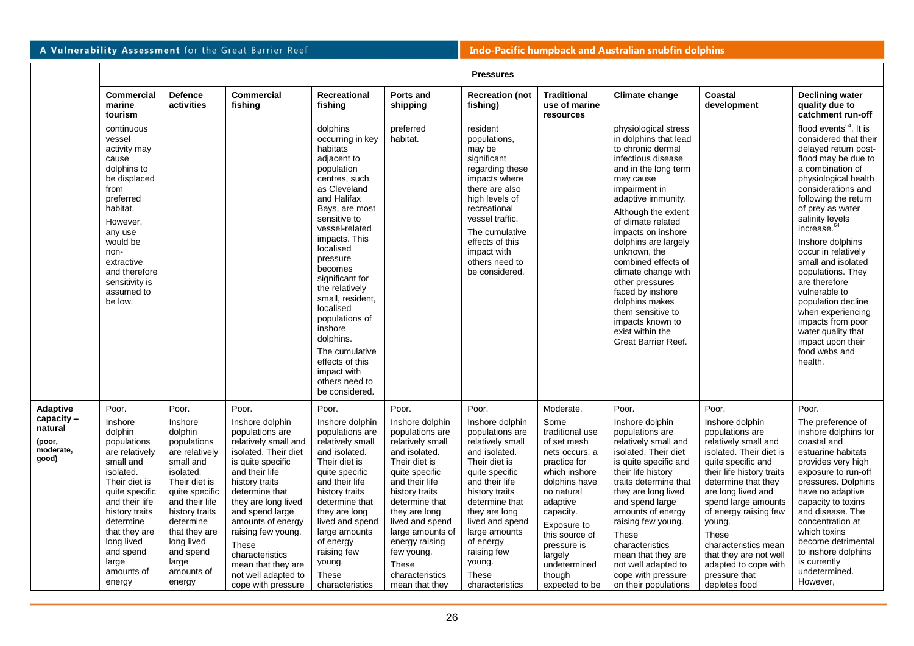|                                                                     | <b>Pressures</b>                                                                                                                                                                                                                                        |                                                                                                                                                                                                                                                         |                                                                                                                                                                                                                                                                                                                                                            |                                                                                                                                                                                                                                                                                                                                                                                                                                        |                                                                                                                                                                                                                                                                                                                 |                                                                                                                                                                                                                                                                                                         |                                                                                                                                                                                                                                                                       |                                                                                                                                                                                                                                                                                                                                                                                                                                                                                   |                                                                                                                                                                                                                                                                                                                                                                               |                                                                                                                                                                                                                                                                                                                                                                                                                                                                                                                                       |
|---------------------------------------------------------------------|---------------------------------------------------------------------------------------------------------------------------------------------------------------------------------------------------------------------------------------------------------|---------------------------------------------------------------------------------------------------------------------------------------------------------------------------------------------------------------------------------------------------------|------------------------------------------------------------------------------------------------------------------------------------------------------------------------------------------------------------------------------------------------------------------------------------------------------------------------------------------------------------|----------------------------------------------------------------------------------------------------------------------------------------------------------------------------------------------------------------------------------------------------------------------------------------------------------------------------------------------------------------------------------------------------------------------------------------|-----------------------------------------------------------------------------------------------------------------------------------------------------------------------------------------------------------------------------------------------------------------------------------------------------------------|---------------------------------------------------------------------------------------------------------------------------------------------------------------------------------------------------------------------------------------------------------------------------------------------------------|-----------------------------------------------------------------------------------------------------------------------------------------------------------------------------------------------------------------------------------------------------------------------|-----------------------------------------------------------------------------------------------------------------------------------------------------------------------------------------------------------------------------------------------------------------------------------------------------------------------------------------------------------------------------------------------------------------------------------------------------------------------------------|-------------------------------------------------------------------------------------------------------------------------------------------------------------------------------------------------------------------------------------------------------------------------------------------------------------------------------------------------------------------------------|---------------------------------------------------------------------------------------------------------------------------------------------------------------------------------------------------------------------------------------------------------------------------------------------------------------------------------------------------------------------------------------------------------------------------------------------------------------------------------------------------------------------------------------|
|                                                                     | <b>Commercial</b><br>marine<br>tourism                                                                                                                                                                                                                  | <b>Defence</b><br>activities                                                                                                                                                                                                                            | <b>Commercial</b><br>fishing                                                                                                                                                                                                                                                                                                                               | <b>Recreational</b><br>fishing                                                                                                                                                                                                                                                                                                                                                                                                         | Ports and<br>shipping                                                                                                                                                                                                                                                                                           | <b>Recreation (not</b><br>fishing)                                                                                                                                                                                                                                                                      | <b>Traditional</b><br>use of marine<br>resources                                                                                                                                                                                                                      | Climate change                                                                                                                                                                                                                                                                                                                                                                                                                                                                    | Coastal<br>development                                                                                                                                                                                                                                                                                                                                                        | <b>Declining water</b><br>quality due to<br>catchment run-off                                                                                                                                                                                                                                                                                                                                                                                                                                                                         |
|                                                                     | continuous<br>vessel<br>activity may<br>cause<br>dolphins to<br>be displaced<br>from<br>preferred<br>habitat.<br>However,<br>any use<br>would be<br>non-<br>extractive<br>and therefore<br>sensitivity is<br>assumed to<br>be low.                      |                                                                                                                                                                                                                                                         |                                                                                                                                                                                                                                                                                                                                                            | dolphins<br>occurring in key<br>habitats<br>adjacent to<br>population<br>centres, such<br>as Cleveland<br>and Halifax<br>Bays, are most<br>sensitive to<br>vessel-related<br>impacts. This<br>localised<br>pressure<br>becomes<br>significant for<br>the relatively<br>small, resident,<br>localised<br>populations of<br>inshore<br>dolphins.<br>The cumulative<br>effects of this<br>impact with<br>others need to<br>be considered. | preferred<br>habitat.                                                                                                                                                                                                                                                                                           | resident<br>populations,<br>may be<br>significant<br>regarding these<br>impacts where<br>there are also<br>high levels of<br>recreational<br>vessel traffic.<br>The cumulative<br>effects of this<br>impact with<br>others need to<br>be considered.                                                    |                                                                                                                                                                                                                                                                       | physiological stress<br>in dolphins that lead<br>to chronic dermal<br>infectious disease<br>and in the long term<br>may cause<br>impairment in<br>adaptive immunity.<br>Although the extent<br>of climate related<br>impacts on inshore<br>dolphins are largely<br>unknown, the<br>combined effects of<br>climate change with<br>other pressures<br>faced by inshore<br>dolphins makes<br>them sensitive to<br>impacts known to<br>exist within the<br><b>Great Barrier Reef.</b> |                                                                                                                                                                                                                                                                                                                                                                               | flood events <sup>64</sup> . It is<br>considered that their<br>delayed return post-<br>flood may be due to<br>a combination of<br>physiological health<br>considerations and<br>following the return<br>of prey as water<br>salinity levels<br>increase. <sup>64</sup><br>Inshore dolphins<br>occur in relatively<br>small and isolated<br>populations. They<br>are therefore<br>vulnerable to<br>population decline<br>when experiencing<br>impacts from poor<br>water quality that<br>impact upon their<br>food webs and<br>health. |
| Adaptive<br>$capacity -$<br>natural<br>(poor,<br>moderate,<br>good) | Poor.<br>Inshore<br>dolphin<br>populations<br>are relatively<br>small and<br>isolated.<br>Their diet is<br>quite specific<br>and their life<br>history traits<br>determine<br>that they are<br>long lived<br>and spend<br>large<br>amounts of<br>energy | Poor.<br>Inshore<br>dolphin<br>populations<br>are relatively<br>small and<br>isolated.<br>Their diet is<br>quite specific<br>and their life<br>history traits<br>determine<br>that they are<br>long lived<br>and spend<br>large<br>amounts of<br>energy | Poor.<br>Inshore dolphin<br>populations are<br>relatively small and<br>isolated. Their diet<br>is quite specific<br>and their life<br>history traits<br>determine that<br>they are long lived<br>and spend large<br>amounts of energy<br>raising few young.<br>These<br>characteristics<br>mean that they are<br>not well adapted to<br>cope with pressure | Poor.<br>Inshore dolphin<br>populations are<br>relatively small<br>and isolated.<br>Their diet is<br>quite specific<br>and their life<br>history traits<br>determine that<br>they are long<br>lived and spend<br>large amounts<br>of energy<br>raising few<br>young.<br>These<br>characteristics                                                                                                                                       | Poor.<br>Inshore dolphin<br>populations are<br>relatively small<br>and isolated.<br>Their diet is<br>quite specific<br>and their life<br>history traits<br>determine that<br>they are long<br>lived and spend<br>large amounts of<br>energy raising<br>few young.<br>These<br>characteristics<br>mean that they | Poor.<br>Inshore dolphin<br>populations are<br>relatively small<br>and isolated.<br>Their diet is<br>quite specific<br>and their life<br>history traits<br>determine that<br>they are long<br>lived and spend<br>large amounts<br>of energy<br>raising few<br>young.<br><b>These</b><br>characteristics | Moderate.<br>Some<br>traditional use<br>of set mesh<br>nets occurs, a<br>practice for<br>which inshore<br>dolphins have<br>no natural<br>adaptive<br>capacity.<br>Exposure to<br>this source of<br>pressure is<br>largely<br>undetermined<br>though<br>expected to be | Poor.<br>Inshore dolphin<br>populations are<br>relatively small and<br>isolated. Their diet<br>is quite specific and<br>their life history<br>traits determine that<br>they are long lived<br>and spend large<br>amounts of energy<br>raising few young.<br>These<br>characteristics<br>mean that they are<br>not well adapted to<br>cope with pressure<br>on their populations                                                                                                   | Poor.<br>Inshore dolphin<br>populations are<br>relatively small and<br>isolated. Their diet is<br>quite specific and<br>their life history traits<br>determine that they<br>are long lived and<br>spend large amounts<br>of energy raising few<br>young.<br>These<br>characteristics mean<br>that they are not well<br>adapted to cope with<br>pressure that<br>depletes food | Poor.<br>The preference of<br>inshore dolphins for<br>coastal and<br>estuarine habitats<br>provides very high<br>exposure to run-off<br>pressures. Dolphins<br>have no adaptive<br>capacity to toxins<br>and disease. The<br>concentration at<br>which toxins<br>become detrimental<br>to inshore dolphins<br>is currently<br>undetermined.<br>However,                                                                                                                                                                               |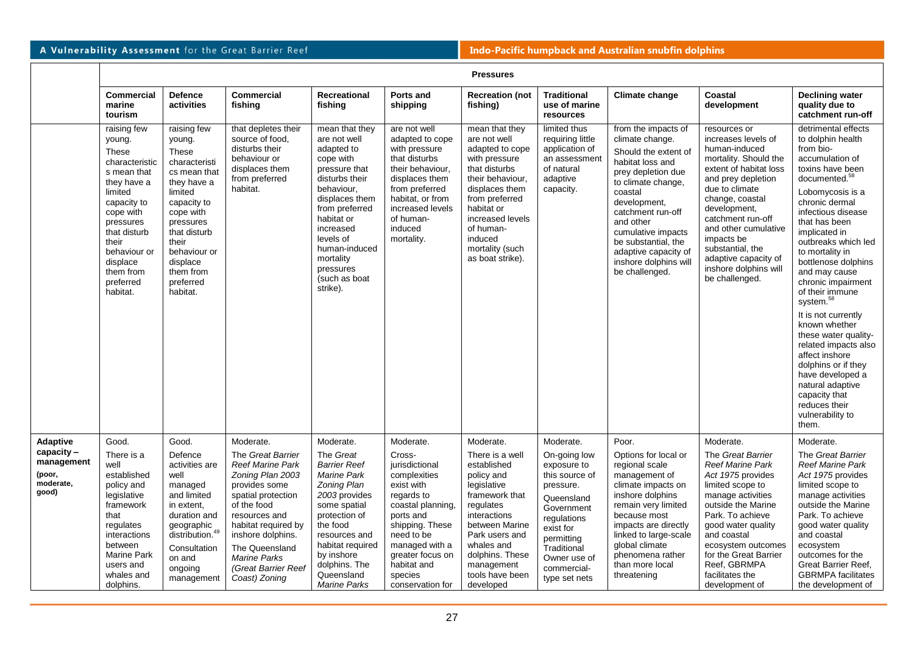|                                                            | <b>Pressures</b>                                                                                                                                                                                                                     |                                                                                                                                                                                                                               |                                                                                                                                                                                                                                                                      |                                                                                                                                                                                                                                                                |                                                                                                                                                                                                                             |                                                                                                                                                                                                                                              |                                                                                                                                                                                                 |                                                                                                                                                                                                                                                                                                             |                                                                                                                                                                                                                                                                                                                                      |                                                                                                                                                                                                                                                                                                                                                                                                                                                                                                                                                                                                                     |  |
|------------------------------------------------------------|--------------------------------------------------------------------------------------------------------------------------------------------------------------------------------------------------------------------------------------|-------------------------------------------------------------------------------------------------------------------------------------------------------------------------------------------------------------------------------|----------------------------------------------------------------------------------------------------------------------------------------------------------------------------------------------------------------------------------------------------------------------|----------------------------------------------------------------------------------------------------------------------------------------------------------------------------------------------------------------------------------------------------------------|-----------------------------------------------------------------------------------------------------------------------------------------------------------------------------------------------------------------------------|----------------------------------------------------------------------------------------------------------------------------------------------------------------------------------------------------------------------------------------------|-------------------------------------------------------------------------------------------------------------------------------------------------------------------------------------------------|-------------------------------------------------------------------------------------------------------------------------------------------------------------------------------------------------------------------------------------------------------------------------------------------------------------|--------------------------------------------------------------------------------------------------------------------------------------------------------------------------------------------------------------------------------------------------------------------------------------------------------------------------------------|---------------------------------------------------------------------------------------------------------------------------------------------------------------------------------------------------------------------------------------------------------------------------------------------------------------------------------------------------------------------------------------------------------------------------------------------------------------------------------------------------------------------------------------------------------------------------------------------------------------------|--|
|                                                            | <b>Commercial</b><br>marine<br>tourism                                                                                                                                                                                               | <b>Defence</b><br>activities                                                                                                                                                                                                  | <b>Commercial</b><br>fishing                                                                                                                                                                                                                                         | <b>Recreational</b><br>fishing                                                                                                                                                                                                                                 | Ports and<br>shipping                                                                                                                                                                                                       | <b>Recreation (not</b><br>fishing)                                                                                                                                                                                                           | <b>Traditional</b><br>use of marine<br>resources                                                                                                                                                | Climate change                                                                                                                                                                                                                                                                                              | Coastal<br>development                                                                                                                                                                                                                                                                                                               | <b>Declining water</b><br>quality due to<br>catchment run-off                                                                                                                                                                                                                                                                                                                                                                                                                                                                                                                                                       |  |
|                                                            | raising few<br>young.<br><b>These</b><br>characteristic<br>s mean that<br>they have a<br>limited<br>capacity to<br>cope with<br>pressures<br>that disturb<br>their<br>behaviour or<br>displace<br>them from<br>preferred<br>habitat. | raising few<br>young.<br>These<br>characteristi<br>cs mean that<br>they have a<br>limited<br>capacity to<br>cope with<br>pressures<br>that disturb<br>their<br>behaviour or<br>displace<br>them from<br>preferred<br>habitat. | that depletes their<br>source of food,<br>disturbs their<br>behaviour or<br>displaces them<br>from preferred<br>habitat.                                                                                                                                             | mean that they<br>are not well<br>adapted to<br>cope with<br>pressure that<br>disturbs their<br>behaviour,<br>displaces them<br>from preferred<br>habitat or<br>increased<br>levels of<br>human-induced<br>mortality<br>pressures<br>(such as boat<br>strike). | are not well<br>adapted to cope<br>with pressure<br>that disturbs<br>their behaviour,<br>displaces them<br>from preferred<br>habitat, or from<br>increased levels<br>of human-<br>induced<br>mortality.                     | mean that they<br>are not well<br>adapted to cope<br>with pressure<br>that disturbs<br>their behaviour.<br>displaces them<br>from preferred<br>habitat or<br>increased levels<br>of human-<br>induced<br>mortality (such<br>as boat strike). | limited thus<br>requiring little<br>application of<br>an assessment<br>of natural<br>adaptive<br>capacity.                                                                                      | from the impacts of<br>climate change.<br>Should the extent of<br>habitat loss and<br>prey depletion due<br>to climate change,<br>coastal<br>development,<br>catchment run-off<br>and other<br>cumulative impacts<br>be substantial, the<br>adaptive capacity of<br>inshore dolphins will<br>be challenged. | resources or<br>increases levels of<br>human-induced<br>mortality. Should the<br>extent of habitat loss<br>and prey depletion<br>due to climate<br>change, coastal<br>development,<br>catchment run-off<br>and other cumulative<br>impacts be<br>substantial, the<br>adaptive capacity of<br>inshore dolphins will<br>be challenged. | detrimental effects<br>to dolphin health<br>from bio-<br>accumulation of<br>toxins have been<br>documented. <sup>58</sup><br>Lobomycosis is a<br>chronic dermal<br>infectious disease<br>that has been<br>implicated in<br>outbreaks which led<br>to mortality in<br>bottlenose dolphins<br>and may cause<br>chronic impairment<br>of their immune<br>system. <sup>58</sup><br>It is not currently<br>known whether<br>these water quality-<br>related impacts also<br>affect inshore<br>dolphins or if they<br>have developed a<br>natural adaptive<br>capacity that<br>reduces their<br>vulnerability to<br>them. |  |
| Adaptive                                                   | Good.                                                                                                                                                                                                                                | Good.                                                                                                                                                                                                                         | Moderate.                                                                                                                                                                                                                                                            | Moderate.                                                                                                                                                                                                                                                      | Moderate.                                                                                                                                                                                                                   | Moderate.                                                                                                                                                                                                                                    | Moderate.                                                                                                                                                                                       | Poor.                                                                                                                                                                                                                                                                                                       | Moderate.                                                                                                                                                                                                                                                                                                                            | Moderate.                                                                                                                                                                                                                                                                                                                                                                                                                                                                                                                                                                                                           |  |
| $capacity -$<br>management<br>(poor,<br>moderate,<br>good) | There is a<br>well<br>established<br>policy and<br>legislative<br>framework<br>that<br>regulates<br>interactions<br>between<br><b>Marine Park</b><br>users and<br>whales and<br>dolphins.                                            | Defence<br>activities are<br>well<br>managed<br>and limited<br>in extent,<br>duration and<br>geographic<br>distribution. <sup>49</sup><br>Consultation<br>on and<br>ongoing<br>management                                     | The Great Barrier<br><b>Reef Marine Park</b><br>Zoning Plan 2003<br>provides some<br>spatial protection<br>of the food<br>resources and<br>habitat required by<br>inshore dolphins.<br>The Queensland<br><b>Marine Parks</b><br>(Great Barrier Reef<br>Coast) Zoning | The Great<br><b>Barrier Reef</b><br><b>Marine Park</b><br>Zoning Plan<br>2003 provides<br>some spatial<br>protection of<br>the food<br>resources and<br>habitat required<br>by inshore<br>dolphins. The<br>Queensland<br><b>Marine Parks</b>                   | Cross-<br>jurisdictional<br>complexities<br>exist with<br>regards to<br>coastal planning.<br>ports and<br>shipping. These<br>need to be<br>managed with a<br>greater focus on<br>habitat and<br>species<br>conservation for | There is a well<br>established<br>policy and<br>legislative<br>framework that<br>regulates<br>interactions<br>between Marine<br>Park users and<br>whales and<br>dolphins. These<br>management<br>tools have been<br>developed                | On-going low<br>exposure to<br>this source of<br>pressure.<br>Queensland<br>Government<br>regulations<br>exist for<br>permitting<br>Traditional<br>Owner use of<br>commercial-<br>type set nets | Options for local or<br>regional scale<br>management of<br>climate impacts on<br>inshore dolphins<br>remain very limited<br>because most<br>impacts are directly<br>linked to large-scale<br>global climate<br>phenomena rather<br>than more local<br>threatening                                           | The Great Barrier<br><b>Reef Marine Park</b><br>Act 1975 provides<br>limited scope to<br>manage activities<br>outside the Marine<br>Park. To achieve<br>good water quality<br>and coastal<br>ecosystem outcomes<br>for the Great Barrier<br>Reef, GBRMPA<br>facilitates the<br>development of                                        | The Great Barrier<br><b>Reef Marine Park</b><br>Act 1975 provides<br>limited scope to<br>manage activities<br>outside the Marine<br>Park. To achieve<br>good water quality<br>and coastal<br>ecosystem<br>outcomes for the<br>Great Barrier Reef,<br><b>GBRMPA</b> facilitates<br>the development of                                                                                                                                                                                                                                                                                                                |  |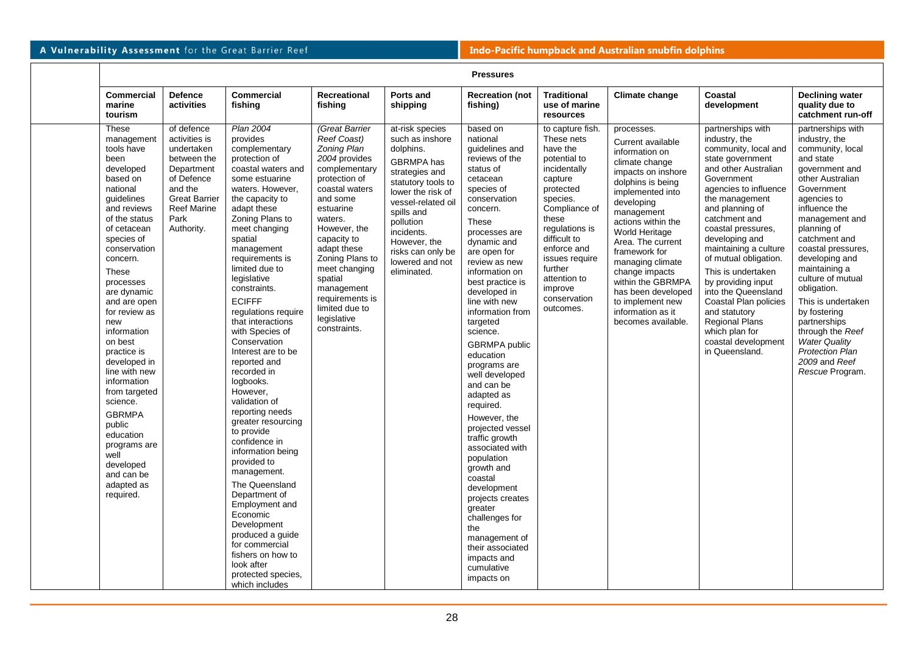| <b>Pressures</b>                                                                                                                                                                                                                                                                                                                                                                                                                                                                                                             |                                                                                                                                                                     |                                                                                                                                                                                                                                                                                                                                                                                                                                                                                                                                                                                                                                                                                                                                                                                                                   |                                                                                                                                                                                                                                                                                                                                      |                                                                                                                                                                                                                                                                  |                                                                                                                                                                                                                                                                                                                                                                                                                                                                                                                                                                                                                                                                                                                 |                                                                                                                                                                                                                                                                                |                                                                                                                                                                                                                                                                                                                                                                                              |                                                                                                                                                                                                                                                                                                                                                                                                                                                                                                |                                                                                                                                                                                                                                                                                                                                                                                                                                                                 |  |
|------------------------------------------------------------------------------------------------------------------------------------------------------------------------------------------------------------------------------------------------------------------------------------------------------------------------------------------------------------------------------------------------------------------------------------------------------------------------------------------------------------------------------|---------------------------------------------------------------------------------------------------------------------------------------------------------------------|-------------------------------------------------------------------------------------------------------------------------------------------------------------------------------------------------------------------------------------------------------------------------------------------------------------------------------------------------------------------------------------------------------------------------------------------------------------------------------------------------------------------------------------------------------------------------------------------------------------------------------------------------------------------------------------------------------------------------------------------------------------------------------------------------------------------|--------------------------------------------------------------------------------------------------------------------------------------------------------------------------------------------------------------------------------------------------------------------------------------------------------------------------------------|------------------------------------------------------------------------------------------------------------------------------------------------------------------------------------------------------------------------------------------------------------------|-----------------------------------------------------------------------------------------------------------------------------------------------------------------------------------------------------------------------------------------------------------------------------------------------------------------------------------------------------------------------------------------------------------------------------------------------------------------------------------------------------------------------------------------------------------------------------------------------------------------------------------------------------------------------------------------------------------------|--------------------------------------------------------------------------------------------------------------------------------------------------------------------------------------------------------------------------------------------------------------------------------|----------------------------------------------------------------------------------------------------------------------------------------------------------------------------------------------------------------------------------------------------------------------------------------------------------------------------------------------------------------------------------------------|------------------------------------------------------------------------------------------------------------------------------------------------------------------------------------------------------------------------------------------------------------------------------------------------------------------------------------------------------------------------------------------------------------------------------------------------------------------------------------------------|-----------------------------------------------------------------------------------------------------------------------------------------------------------------------------------------------------------------------------------------------------------------------------------------------------------------------------------------------------------------------------------------------------------------------------------------------------------------|--|
| <b>Commercial</b><br>marine<br>tourism                                                                                                                                                                                                                                                                                                                                                                                                                                                                                       | <b>Defence</b><br>activities                                                                                                                                        | <b>Commercial</b><br>fishing                                                                                                                                                                                                                                                                                                                                                                                                                                                                                                                                                                                                                                                                                                                                                                                      | <b>Recreational</b><br>fishing                                                                                                                                                                                                                                                                                                       | Ports and<br>shipping                                                                                                                                                                                                                                            | <b>Recreation (not</b><br>fishing)                                                                                                                                                                                                                                                                                                                                                                                                                                                                                                                                                                                                                                                                              | <b>Traditional</b><br>use of marine<br>resources                                                                                                                                                                                                                               | <b>Climate change</b>                                                                                                                                                                                                                                                                                                                                                                        | Coastal<br>development                                                                                                                                                                                                                                                                                                                                                                                                                                                                         | <b>Declining water</b><br>quality due to<br>catchment run-off                                                                                                                                                                                                                                                                                                                                                                                                   |  |
| <b>These</b><br>management<br>tools have<br>been<br>developed<br>based on<br>national<br><i>guidelines</i><br>and reviews<br>of the status<br>of cetacean<br>species of<br>conservation<br>concern.<br>These<br>processes<br>are dynamic<br>and are open<br>for review as<br>new<br>information<br>on best<br>practice is<br>developed in<br>line with new<br>information<br>from targeted<br>science.<br><b>GBRMPA</b><br>public<br>education<br>programs are<br>well<br>developed<br>and can be<br>adapted as<br>required. | of defence<br>activities is<br>undertaken<br>between the<br>Department<br>of Defence<br>and the<br><b>Great Barrier</b><br><b>Reef Marine</b><br>Park<br>Authority. | Plan 2004<br>provides<br>complementary<br>protection of<br>coastal waters and<br>some estuarine<br>waters. However,<br>the capacity to<br>adapt these<br>Zoning Plans to<br>meet changing<br>spatial<br>management<br>requirements is<br>limited due to<br>legislative<br>constraints.<br><b>ECIFFF</b><br>regulations require<br>that interactions<br>with Species of<br>Conservation<br>Interest are to be<br>reported and<br>recorded in<br>logbooks.<br>However,<br>validation of<br>reporting needs<br>greater resourcing<br>to provide<br>confidence in<br>information being<br>provided to<br>management.<br>The Queensland<br>Department of<br>Employment and<br>Economic<br>Development<br>produced a guide<br>for commercial<br>fishers on how to<br>look after<br>protected species,<br>which includes | (Great Barrier<br>Reef Coast)<br>Zoning Plan<br>2004 provides<br>complementary<br>protection of<br>coastal waters<br>and some<br>estuarine<br>waters.<br>However, the<br>capacity to<br>adapt these<br>Zoning Plans to<br>meet changing<br>spatial<br>management<br>requirements is<br>limited due to<br>legislative<br>constraints. | at-risk species<br>such as inshore<br>dolphins.<br>GBRMPA has<br>strategies and<br>statutory tools to<br>lower the risk of<br>vessel-related oil<br>spills and<br>pollution<br>incidents.<br>However, the<br>risks can only be<br>lowered and not<br>eliminated. | based on<br>national<br>quidelines and<br>reviews of the<br>status of<br>cetacean<br>species of<br>conservation<br>concern.<br>These<br>processes are<br>dynamic and<br>are open for<br>review as new<br>information on<br>best practice is<br>developed in<br>line with new<br>information from<br>targeted<br>science.<br><b>GBRMPA</b> public<br>education<br>programs are<br>well developed<br>and can be<br>adapted as<br>required.<br>However, the<br>projected vessel<br>traffic growth<br>associated with<br>population<br>growth and<br>coastal<br>development<br>projects creates<br>greater<br>challenges for<br>the<br>management of<br>their associated<br>impacts and<br>cumulative<br>impacts on | to capture fish.<br>These nets<br>have the<br>potential to<br>incidentally<br>capture<br>protected<br>species.<br>Compliance of<br>these<br>regulations is<br>difficult to<br>enforce and<br>issues require<br>further<br>attention to<br>improve<br>conservation<br>outcomes. | processes.<br>Current available<br>information on<br>climate change<br>impacts on inshore<br>dolphins is being<br>implemented into<br>developing<br>management<br>actions within the<br>World Heritage<br>Area. The current<br>framework for<br>managing climate<br>change impacts<br>within the GBRMPA<br>has been developed<br>to implement new<br>information as it<br>becomes available. | partnerships with<br>industry, the<br>community, local and<br>state government<br>and other Australian<br>Government<br>agencies to influence<br>the management<br>and planning of<br>catchment and<br>coastal pressures,<br>developing and<br>maintaining a culture<br>of mutual obligation.<br>This is undertaken<br>by providing input<br>into the Queensland<br>Coastal Plan policies<br>and statutory<br><b>Regional Plans</b><br>which plan for<br>coastal development<br>in Queensland. | partnerships with<br>industry, the<br>community, local<br>and state<br>government and<br>other Australian<br>Government<br>agencies to<br>influence the<br>management and<br>planning of<br>catchment and<br>coastal pressures,<br>developing and<br>maintaining a<br>culture of mutual<br>obligation.<br>This is undertaken<br>by fostering<br>partnerships<br>through the Reef<br><b>Water Quality</b><br>Protection Plan<br>2009 and Reef<br>Rescue Program. |  |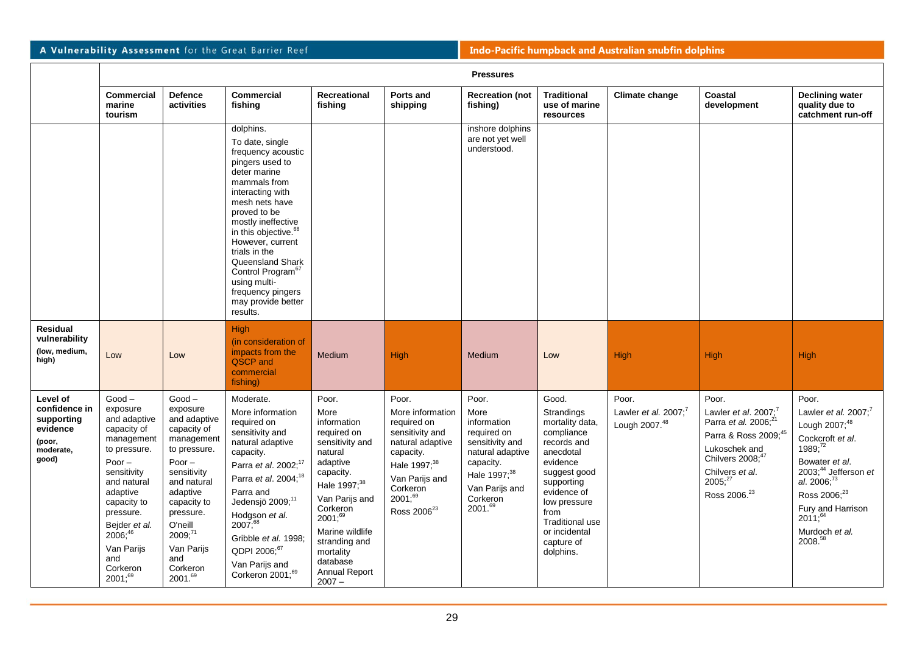|                                                                                     | <b>Pressures</b>                                                                                                                                                                                                                                       |                                                                                                                                                                                                                                       |                                                                                                                                                                                                                                                                                                                                                                                        |                                                                                                                                                                                                                                                                         |                                                                                                                                                                                                  |                                                                                                                                                                      |                                                                                                                                                                                                                                         |                                                  |                                                                                                                                                                                                                 |                                                                                                                                                                                                                                                                     |
|-------------------------------------------------------------------------------------|--------------------------------------------------------------------------------------------------------------------------------------------------------------------------------------------------------------------------------------------------------|---------------------------------------------------------------------------------------------------------------------------------------------------------------------------------------------------------------------------------------|----------------------------------------------------------------------------------------------------------------------------------------------------------------------------------------------------------------------------------------------------------------------------------------------------------------------------------------------------------------------------------------|-------------------------------------------------------------------------------------------------------------------------------------------------------------------------------------------------------------------------------------------------------------------------|--------------------------------------------------------------------------------------------------------------------------------------------------------------------------------------------------|----------------------------------------------------------------------------------------------------------------------------------------------------------------------|-----------------------------------------------------------------------------------------------------------------------------------------------------------------------------------------------------------------------------------------|--------------------------------------------------|-----------------------------------------------------------------------------------------------------------------------------------------------------------------------------------------------------------------|---------------------------------------------------------------------------------------------------------------------------------------------------------------------------------------------------------------------------------------------------------------------|
|                                                                                     | <b>Commercial</b><br>marine<br>tourism                                                                                                                                                                                                                 | <b>Defence</b><br>activities                                                                                                                                                                                                          | <b>Commercial</b><br>fishing                                                                                                                                                                                                                                                                                                                                                           | Recreational<br>fishing                                                                                                                                                                                                                                                 | Ports and<br>shipping                                                                                                                                                                            | <b>Recreation (not</b><br>fishing)                                                                                                                                   | <b>Traditional</b><br>use of marine<br>resources                                                                                                                                                                                        | Climate change                                   | Coastal<br>development                                                                                                                                                                                          | <b>Declining water</b><br>quality due to<br>catchment run-off                                                                                                                                                                                                       |
|                                                                                     |                                                                                                                                                                                                                                                        |                                                                                                                                                                                                                                       | dolphins.<br>To date, single<br>frequency acoustic<br>pingers used to<br>deter marine<br>mammals from<br>interacting with<br>mesh nets have<br>proved to be<br>mostly ineffective<br>in this objective. <sup>68</sup><br>However, current<br>trials in the<br>Queensland Shark<br>Control Program <sup>67</sup><br>using multi-<br>frequency pingers<br>may provide better<br>results. |                                                                                                                                                                                                                                                                         |                                                                                                                                                                                                  | inshore dolphins<br>are not yet well<br>understood.                                                                                                                  |                                                                                                                                                                                                                                         |                                                  |                                                                                                                                                                                                                 |                                                                                                                                                                                                                                                                     |
| <b>Residual</b><br>vulnerability<br>(low, medium,<br>high)                          | Low                                                                                                                                                                                                                                                    | Low                                                                                                                                                                                                                                   | High<br>(in consideration of<br>impacts from the<br>QSCP and<br>commercial<br>fishing)                                                                                                                                                                                                                                                                                                 | Medium                                                                                                                                                                                                                                                                  | High                                                                                                                                                                                             | Medium                                                                                                                                                               | Low                                                                                                                                                                                                                                     | High                                             | High                                                                                                                                                                                                            | High                                                                                                                                                                                                                                                                |
| Level of<br>confidence in<br>supporting<br>evidence<br>(poor,<br>moderate,<br>good) | $Good -$<br>exposure<br>and adaptive<br>capacity of<br>management<br>to pressure.<br>Poor $-$<br>sensitivity<br>and natural<br>adaptive<br>capacity to<br>pressure.<br>Bejder et al.<br>$2006;^{46}$<br>Van Parijs<br>and<br>Corkeron<br>$2001; ^{69}$ | $Good -$<br>exposure<br>and adaptive<br>capacity of<br>management<br>to pressure.<br>Poor $-$<br>sensitivity<br>and natural<br>adaptive<br>capacity to<br>pressure.<br>O'neill<br>2009:71<br>Van Parijs<br>and<br>Corkeron<br>2001.69 | Moderate.<br>More information<br>required on<br>sensitivity and<br>natural adaptive<br>capacity.<br>Parra et al. 2002; <sup>17</sup><br>Parra et al. 2004; <sup>18</sup><br>Parra and<br>Jedensjö 2009; <sup>11</sup><br>Hodgson et al.<br>$2007;^{68}$<br>Gribble et al. 1998;<br>QDPI 2006;67<br>Van Parijs and<br>Corkeron 2001; <sup>69</sup>                                      | Poor.<br>More<br>information<br>required on<br>sensitivity and<br>natural<br>adaptive<br>capacity.<br>Hale 1997; <sup>38</sup><br>Van Parijs and<br>Corkeron<br>$2001: ^{69}$<br>Marine wildlife<br>stranding and<br>mortality<br>database<br>Annual Report<br>$2007 -$ | Poor.<br>More information<br>required on<br>sensitivity and<br>natural adaptive<br>capacity.<br>Hale 1997; <sup>38</sup><br>Van Parijs and<br>Corkeron<br>$2001^{69}$<br>Ross 2006 <sup>23</sup> | Poor.<br>More<br>information<br>required on<br>sensitivity and<br>natural adaptive<br>capacity.<br>Hale 1997; <sup>38</sup><br>Van Parijs and<br>Corkeron<br>2001.69 | Good.<br>Strandings<br>mortality data,<br>compliance<br>records and<br>anecdotal<br>evidence<br>suggest good<br>supporting<br>evidence of<br>low pressure<br>from<br><b>Traditional use</b><br>or incidental<br>capture of<br>dolphins. | Poor.<br>Lawler et al. $2007$ :<br>Lough 2007.48 | Poor.<br>Lawler et al. $2007$ :<br>Parra et al. 2006; <sup>21</sup><br>Parra & Ross 2009; <sup>45</sup><br>Lukoschek and<br>Chilvers 2008;47<br>Chilvers et al.<br>$2005$ ; $^{27}$<br>Ross 2006. <sup>23</sup> | Poor.<br>Lawler et al. $2007$ ; <sup>7</sup><br>Lough 2007; <sup>48</sup><br>Cockcroft et al.<br>1989;72<br>Bowater et al.<br>2003;44 Jefferson et<br>al. $2006;^{73}$<br>Ross 2006; <sup>23</sup><br>Fury and Harrison<br>$2011^{64}$<br>Murdoch et al.<br>2008.58 |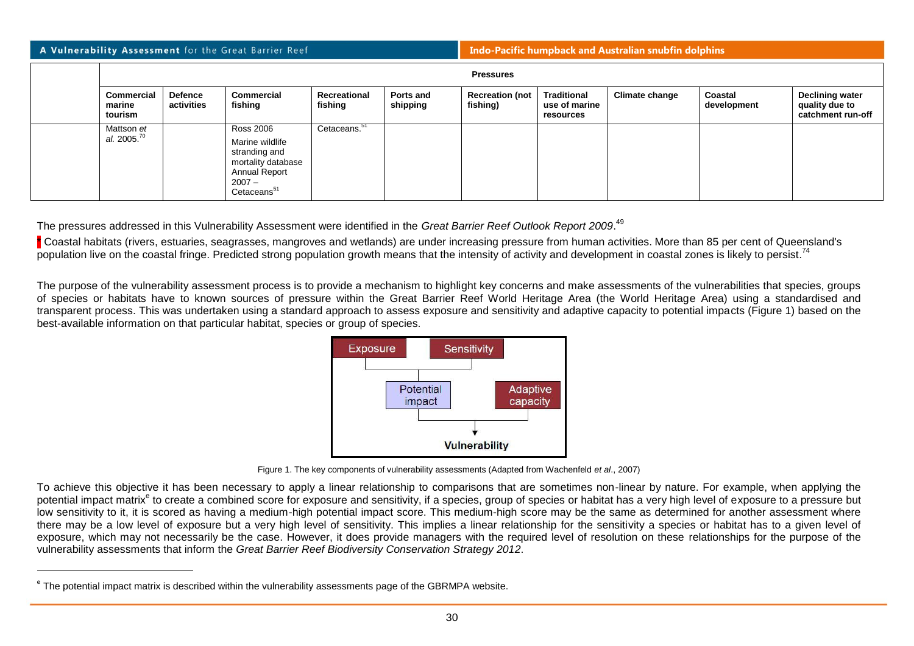#### **Indo-Pacific humpback and Australian snubfin dolphins**

| <b>Pressures</b>                      |                       |                                                                                                                                    |                          |                       |                                    |                                                  |                |                        |                                                               |  |
|---------------------------------------|-----------------------|------------------------------------------------------------------------------------------------------------------------------------|--------------------------|-----------------------|------------------------------------|--------------------------------------------------|----------------|------------------------|---------------------------------------------------------------|--|
| Commercial<br>marine<br>tourism       | Defence<br>activities | Commercial<br>fishing                                                                                                              | Recreational<br>fishing  | Ports and<br>shipping | <b>Recreation (not</b><br>fishing) | <b>Traditional</b><br>use of marine<br>resources | Climate change | Coastal<br>development | <b>Declining water</b><br>quality due to<br>catchment run-off |  |
| Mattson et<br>al. 2005. <sup>70</sup> |                       | <b>Ross 2006</b><br>Marine wildlife<br>stranding and<br>mortality database<br>Annual Report<br>$2007 -$<br>Cetaceans <sup>51</sup> | Cetaceans. <sup>51</sup> |                       |                                    |                                                  |                |                        |                                                               |  |

The pressures addressed in this Vulnerability Assessment were identified in the *Great Barrier Reef Outlook Report 2009*. 49

\* Coastal habitats (rivers, estuaries, seagrasses, mangroves and wetlands) are under increasing pressure from human activities. More than 85 per cent of Queensland's population live on the coastal fringe. Predicted strong population growth means that the intensity of activity and development in coastal zones is likely to persist.<sup>74</sup>

The purpose of the vulnerability assessment process is to provide a mechanism to highlight key concerns and make assessments of the vulnerabilities that species, groups of species or habitats have to known sources of pressure within the Great Barrier Reef World Heritage Area (the World Heritage Area) using a standardised and transparent process. This was undertaken using a standard approach to assess exposure and sensitivity and adaptive capacity to potential impacts (Figure 1) based on the best-available information on that particular habitat, species or group of species.



Figure 1. The key components of vulnerability assessments (Adapted from Wachenfeld *et al*., 2007)

To achieve this objective it has been necessary to apply a linear relationship to comparisons that are sometimes non-linear by nature. For example, when applying the potential impact matrix<sup>e</sup> to create a combined score for exposure and sensitivity, if a species, group of species or habitat has a very high level of exposure to a pressure but low sensitivity to it, it is scored as having a medium-high potential impact score. This medium-high score may be the same as determined for another assessment where there may be a low level of exposure but a very high level of sensitivity. This implies a linear relationship for the sensitivity a species or habitat has to a given level of exposure, which may not necessarily be the case. However, it does provide managers with the required level of resolution on these relationships for the purpose of the vulnerability assessments that inform the *Great Barrier Reef Biodiversity Conservation Strategy 2012*.

l

<sup>&</sup>lt;sup>e</sup> The potential impact matrix is described within the vulnerability assessments page of the GBRMPA website.